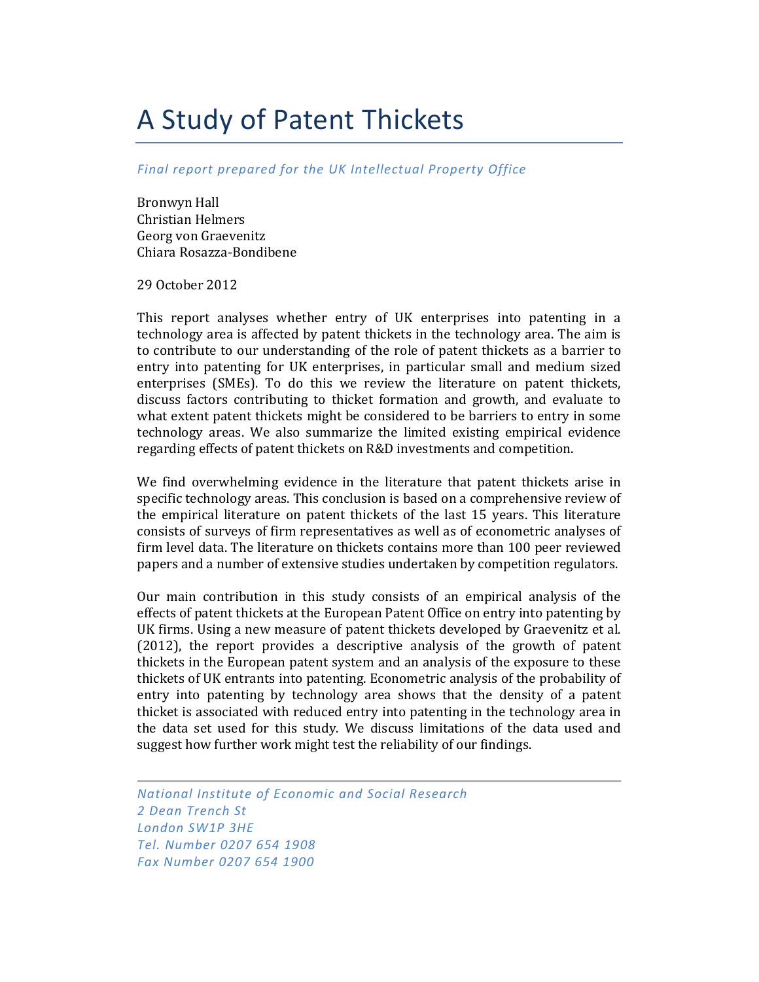# A Study of Patent Thickets

*Final report prepared for the UK Intellectual Property Office*

Bronwyn Hall Christian Helmers Georg von Graevenitz Chiara Rosazza‐Bondibene

29 October 2012

This report analyses whether entry of UK enterprises into patenting in a technology area is affected by patent thickets in the technology area. The aim is to contribute to our understanding of the role of patent thickets as a barrier to entry into patenting for UK enterprises, in particular small and medium sized enterprises (SMEs). To do this we review the literature on patent thickets, discuss factors contributing to thicket formation and growth, and evaluate to what extent patent thickets might be considered to be barriers to entry in some technology areas. We also summarize the limited existing empirical evidence regarding effects of patent thickets on R&D investments and competition.

We find overwhelming evidence in the literature that patent thickets arise in specific technology areas. This conclusion is based on a comprehensive review of the empirical literature on patent thickets of the last 15 years. This literature consists of surveys of firm representatives as well as of econometric analyses of firm level data. The literature on thickets contains more than 100 peer reviewed papers and a number of extensive studies undertaken by competition regulators.

Our main contribution in this study consists of an empirical analysis of the effects of patent thickets at the European Patent Office on entry into patenting by UK firms. Using a new measure of patent thickets developed by Graevenitz et al. (2012), the report provides a descriptive analysis of the growth of patent thickets in the European patent system and an analysis of the exposure to these thickets of UK entrants into patenting. Econometric analysis of the probability of entry into patenting by technology area shows that the density of a patent thicket is associated with reduced entry into patenting in the technology area in the data set used for this study. We discuss limitations of the data used and suggest how further work might test the reliability of our findings.

*National Institute of Economic and Social Research 2 Dean Trench St London SW1P 3HE Tel. Number 0207 654 1908 Fax Number 0207 654 1900*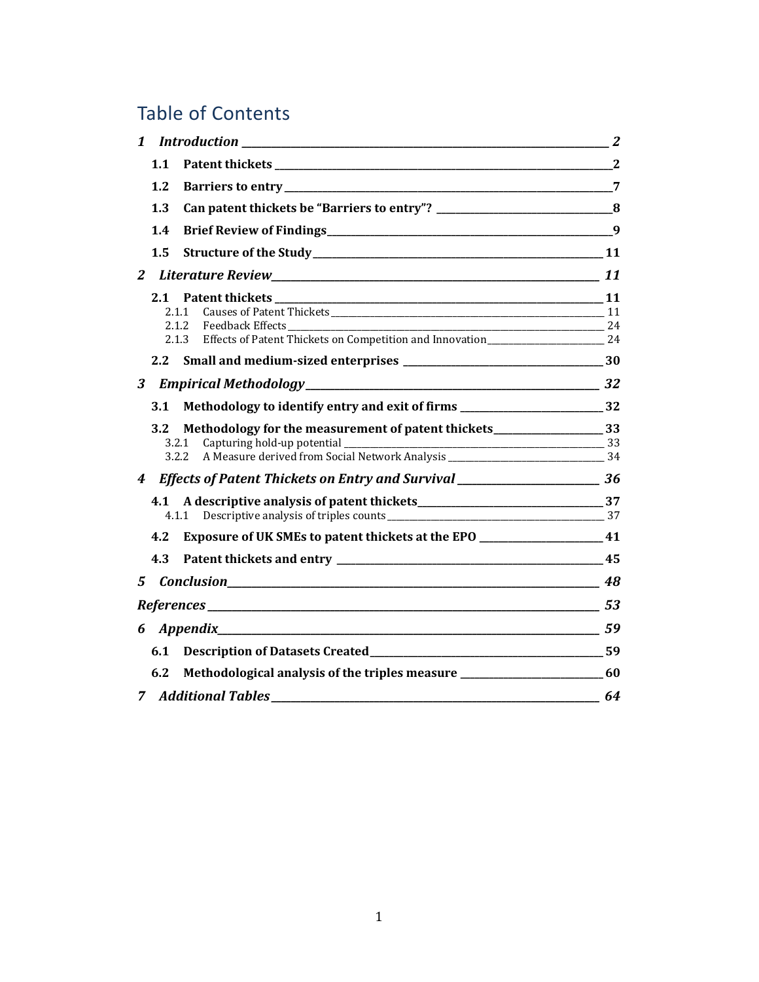## Table of Contents

| $\mathbf{1}$   |                                                                                                                                                                                             |                  |
|----------------|---------------------------------------------------------------------------------------------------------------------------------------------------------------------------------------------|------------------|
|                | 1.1                                                                                                                                                                                         |                  |
|                | 1.2                                                                                                                                                                                         |                  |
|                | 1.3                                                                                                                                                                                         |                  |
|                | 1.4                                                                                                                                                                                         | 9                |
|                | 1.5                                                                                                                                                                                         |                  |
| $\overline{2}$ |                                                                                                                                                                                             |                  |
|                | 2.1<br>2.1.1<br>2.1.2<br>2.1.3                                                                                                                                                              |                  |
|                | $2.2\phantom{0}$                                                                                                                                                                            |                  |
| 3              |                                                                                                                                                                                             |                  |
|                | 3.1                                                                                                                                                                                         |                  |
|                | Methodology for the measurement of patent thickets______________________33<br>3.2<br>3.2.1<br>A Measure derived from Social Network Analysis __________________________________ 34<br>3.2.2 |                  |
| 4              |                                                                                                                                                                                             |                  |
|                | 4.1<br>4.1.1<br>Exposure of UK SMEs to patent thickets at the EPO _______________________41<br>4.2                                                                                          |                  |
|                | 4.3                                                                                                                                                                                         |                  |
|                |                                                                                                                                                                                             |                  |
|                |                                                                                                                                                                                             | 53               |
| 6              |                                                                                                                                                                                             |                  |
|                | 6.1                                                                                                                                                                                         |                  |
|                | 6.2<br>Methodological analysis of the triples measure __________________________________ 60                                                                                                 |                  |
| $\overline{7}$ | <b>Additional Tables</b>                                                                                                                                                                    | $\frac{1}{2}$ 64 |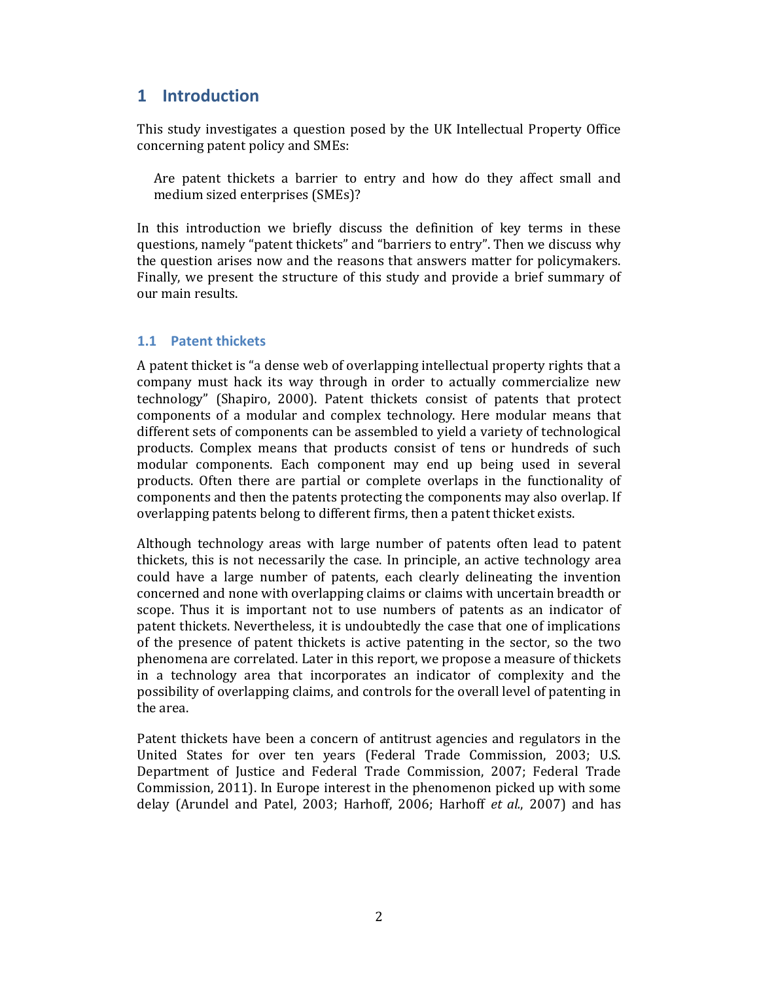## **1 Introduction**

This study investigates a question posed by the UK Intellectual Property Office concerning patent policy and SMEs:

Are patent thickets a barrier to entry and how do they affect small and medium sized enterprises (SMEs)?

In this introduction we briefly discuss the definition of key terms in these questions, namely "patent thickets" and "barriers to entry". Then we discuss why the question arises now and the reasons that answers matter for policymakers. Finally, we present the structure of this study and provide a brief summary of our main results.

## **1.1 Patent thickets**

A patent thicket is "a dense web of overlapping intellectual property rights that a company must hack its way through in order to actually commercialize new technology" (Shapiro, 2000). Patent thickets consist of patents that protect components of a modular and complex technology. Here modular means that different sets of components can be assembled to yield a variety of technological products. Complex means that products consist of tens or hundreds of such modular components. Each component may end up being used in several products. Often there are partial or complete overlaps in the functionality of components and then the patents protecting the components may also overlap. If overlapping patents belong to different firms, then a patent thicket exists.

Although technology areas with large number of patents often lead to patent thickets, this is not necessarily the case. In principle, an active technology area could have a large number of patents, each clearly delineating the invention concerned and none with overlapping claims or claims with uncertain breadth or scope. Thus it is important not to use numbers of patents as an indicator of patent thickets. Nevertheless, it is undoubtedly the case that one of implications of the presence of patent thickets is active patenting in the sector, so the two phenomena are correlated. Later in this report, we propose a measure of thickets in a technology area that incorporates an indicator of complexity and the possibility of overlapping claims, and controls for the overall level of patenting in the area.

Patent thickets have been a concern of antitrust agencies and regulators in the United States for over ten years (Federal Trade Commission, 2003; U.S. Department of Justice and Federal Trade Commission, 2007; Federal Trade Commission, 2011). In Europe interest in the phenomenon picked up with some delay (Arundel and Patel, 2003; Harhoff, 2006; Harhoff *et al.*, 2007) and has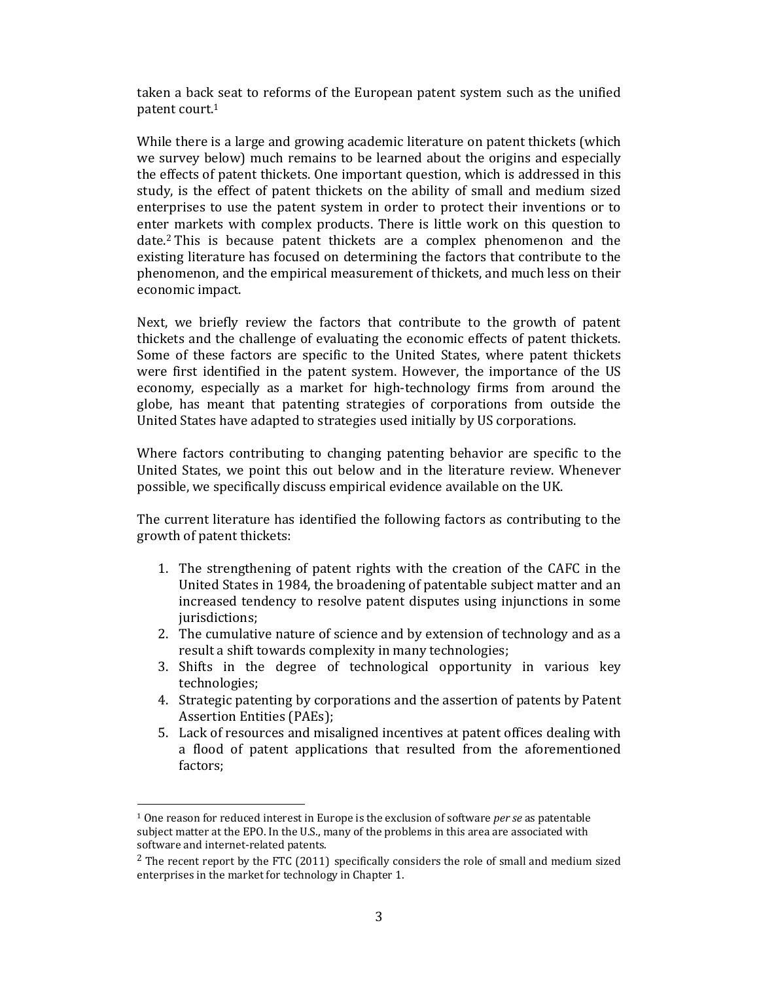taken a back seat to reforms of the European patent system such as the unified patent court.1

While there is a large and growing academic literature on patent thickets (which we survey below) much remains to be learned about the origins and especially the effects of patent thickets. One important question, which is addressed in this study, is the effect of patent thickets on the ability of small and medium sized enterprises to use the patent system in order to protect their inventions or to enter markets with complex products. There is little work on this question to date.<sup>2</sup> This is because patent thickets are a complex phenomenon and the existing literature has focused on determining the factors that contribute to the phenomenon, and the empirical measurement of thickets, and much less on their economic impact.

Next, we briefly review the factors that contribute to the growth of patent thickets and the challenge of evaluating the economic effects of patent thickets. Some of these factors are specific to the United States, where patent thickets were first identified in the patent system. However, the importance of the US economy, especially as a market for high-technology firms from around the globe, has meant that patenting strategies of corporations from outside the United States have adapted to strategies used initially by US corporations.

Where factors contributing to changing patenting behavior are specific to the United States, we point this out below and in the literature review. Whenever possible, we specifically discuss empirical evidence available on the UK.

The current literature has identified the following factors as contributing to the growth of patent thickets:

- 1. The strengthening of patent rights with the creation of the CAFC in the United States in 1984, the broadening of patentable subject matter and an increased tendency to resolve patent disputes using injunctions in some jurisdictions:
- 2. The cumulative nature of science and by extension of technology and as a result a shift towards complexity in many technologies;
- 3. Shifts in the degree of technological opportunity in various key technologies;
- 4. Strategic patenting by corporations and the assertion of patents by Patent Assertion Entities (PAEs);
- 5. Lack of resources and misaligned incentives at patent offices dealing with a flood of patent applications that resulted from the aforementioned factors;

<sup>1</sup> One reason for reduced interest in Europe is the exclusion of software *per se* as patentable subject matter at the EPO. In the U.S., many of the problems in this area are associated with software and internet‐related patents.

<sup>&</sup>lt;sup>2</sup> The recent report by the FTC (2011) specifically considers the role of small and medium sized enterprises in the market for technology in Chapter 1.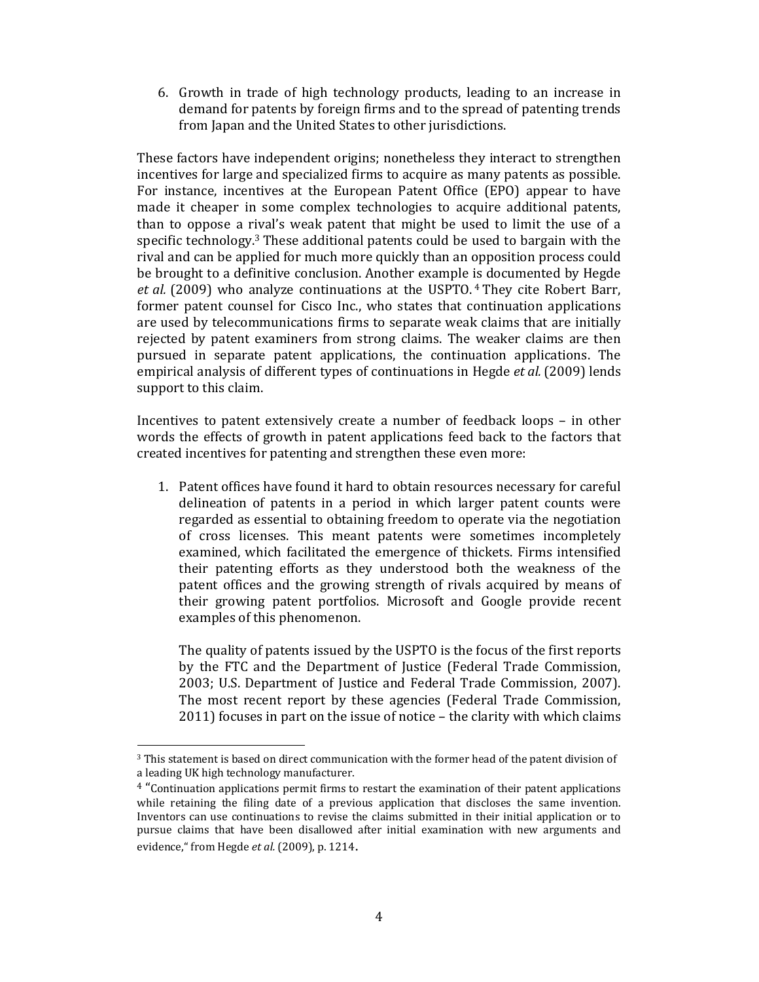6. Growth in trade of high technology products, leading to an increase in demand for patents by foreign firms and to the spread of patenting trends from Japan and the United States to other jurisdictions.

These factors have independent origins; nonetheless they interact to strengthen incentives for large and specialized firms to acquire as many patents as possible. For instance, incentives at the European Patent Office (EPO) appear to have made it cheaper in some complex technologies to acquire additional patents, than to oppose a rival's weak patent that might be used to limit the use of a specific technology. $3$  These additional patents could be used to bargain with the rival and can be applied for much more quickly than an opposition process could be brought to a definitive conclusion. Another example is documented by Hegde *et al.* (2009) who analyze continuations at the USPTO. 4 They cite Robert Barr, former patent counsel for Cisco Inc., who states that continuation applications are used by telecommunications firms to separate weak claims that are initially rejected by patent examiners from strong claims. The weaker claims are then pursued in separate patent applications, the continuation applications. The empirical analysis of different types of continuations in Hegde *et al.* (2009) lends support to this claim.

Incentives to patent extensively create a number of feedback loops – in other words the effects of growth in patent applications feed back to the factors that created incentives for patenting and strengthen these even more:

1. Patent offices have found it hard to obtain resources necessary for careful delineation of patents in a period in which larger patent counts were regarded as essential to obtaining freedom to operate via the negotiation of cross licenses. This meant patents were sometimes incompletely examined, which facilitated the emergence of thickets. Firms intensified their patenting efforts as they understood both the weakness of the patent offices and the growing strength of rivals acquired by means of their growing patent portfolios. Microsoft and Google provide recent examples of this phenomenon.

The quality of patents issued by the USPTO is the focus of the first reports by the FTC and the Department of Justice (Federal Trade Commission, 2003; U.S. Department of Justice and Federal Trade Commission, 2007). The most recent report by these agencies (Federal Trade Commission, 2011) focuses in part on the issue of notice – the clarity with which claims

<sup>3</sup> This statement is based on direct communication with the former head of the patent division of a leading UK high technology manufacturer.

<sup>4 &</sup>quot;Continuation applications permit firms to restart the examination of their patent applications while retaining the filing date of a previous application that discloses the same invention. Inventors can use continuations to revise the claims submitted in their initial application or to pursue claims that have been disallowed after initial examination with new arguments and evidence," from Hegde *et al.* (2009), p. 1214.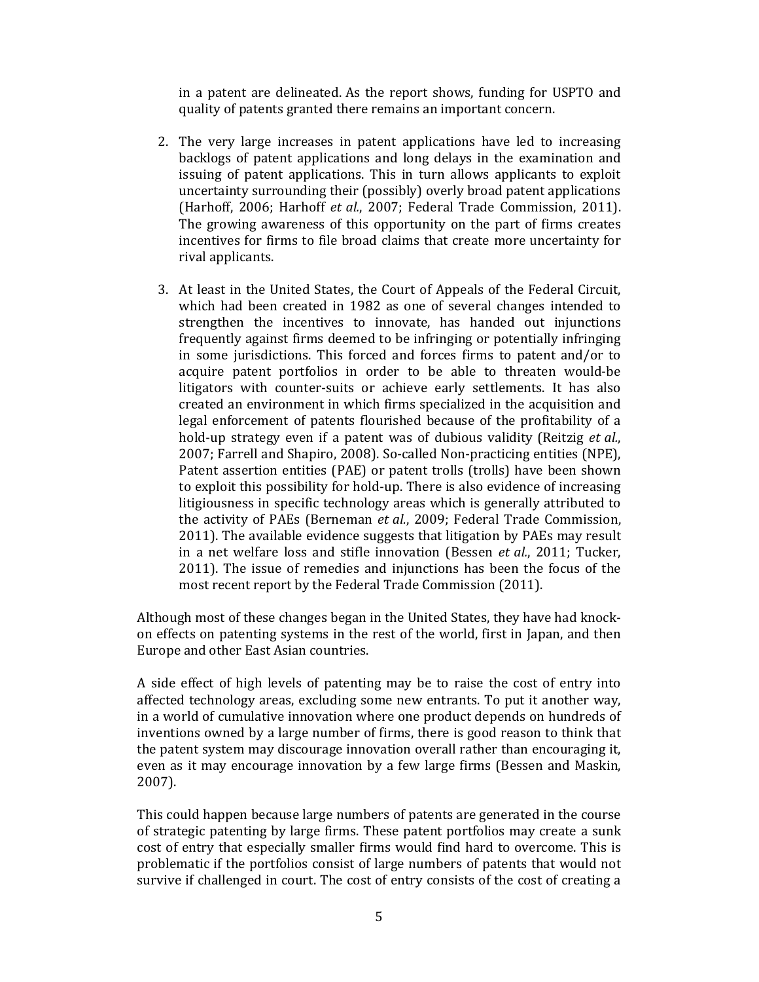in a patent are delineated. As the report shows, funding for USPTO and quality of patents granted there remains an important concern.

- 2. The very large increases in patent applications have led to increasing backlogs of patent applications and long delays in the examination and issuing of patent applications. This in turn allows applicants to exploit uncertainty surrounding their (possibly) overly broad patent applications (Harhoff, 2006; Harhoff *et al.*, 2007; Federal Trade Commission, 2011). The growing awareness of this opportunity on the part of firms creates incentives for firms to file broad claims that create more uncertainty for rival applicants.
- 3. At least in the United States, the Court of Appeals of the Federal Circuit, which had been created in 1982 as one of several changes intended to strengthen the incentives to innovate, has handed out injunctions frequently against firms deemed to be infringing or potentially infringing in some jurisdictions. This forced and forces firms to patent and/or to acquire patent portfolios in order to be able to threaten would‐be litigators with counter-suits or achieve early settlements. It has also created an environment in which firms specialized in the acquisition and legal enforcement of patents flourished because of the profitability of a hold‐up strategy even if a patent was of dubious validity (Reitzig *et al.*, 2007; Farrell and Shapiro, 2008). So‐called Non‐practicing entities (NPE), Patent assertion entities (PAE) or patent trolls (trolls) have been shown to exploit this possibility for hold‐up. There is also evidence of increasing litigiousness in specific technology areas which is generally attributed to the activity of PAEs (Berneman *et al.*, 2009; Federal Trade Commission, 2011). The available evidence suggests that litigation by PAEs may result in a net welfare loss and stifle innovation (Bessen *et al.*, 2011; Tucker, 2011). The issue of remedies and injunctions has been the focus of the most recent report by the Federal Trade Commission (2011).

Although most of these changes began in the United States, they have had knock‐ on effects on patenting systems in the rest of the world, first in Japan, and then Europe and other East Asian countries.

A side effect of high levels of patenting may be to raise the cost of entry into affected technology areas, excluding some new entrants. To put it another way, in a world of cumulative innovation where one product depends on hundreds of inventions owned by a large number of firms, there is good reason to think that the patent system may discourage innovation overall rather than encouraging it, even as it may encourage innovation by a few large firms (Bessen and Maskin, 2007).

This could happen because large numbers of patents are generated in the course of strategic patenting by large firms. These patent portfolios may create a sunk cost of entry that especially smaller firms would find hard to overcome. This is problematic if the portfolios consist of large numbers of patents that would not survive if challenged in court. The cost of entry consists of the cost of creating a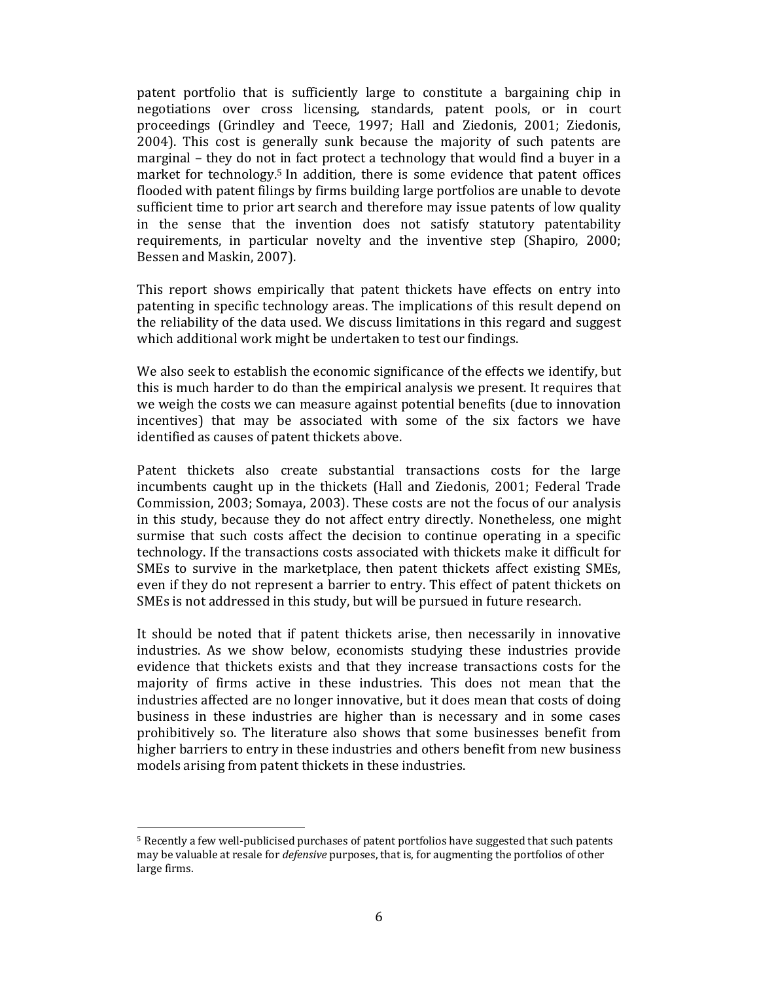patent portfolio that is sufficiently large to constitute a bargaining chip in negotiations over cross licensing, standards, patent pools, or in court proceedings (Grindley and Teece, 1997; Hall and Ziedonis, 2001; Ziedonis, 2004). This cost is generally sunk because the majority of such patents are marginal – they do not in fact protect a technology that would find a buyer in a market for technology.<sup>5</sup> In addition, there is some evidence that patent offices flooded with patent filings by firms building large portfolios are unable to devote sufficient time to prior art search and therefore may issue patents of low quality in the sense that the invention does not satisfy statutory patentability requirements, in particular novelty and the inventive step (Shapiro, 2000; Bessen and Maskin, 2007).

This report shows empirically that patent thickets have effects on entry into patenting in specific technology areas. The implications of this result depend on the reliability of the data used. We discuss limitations in this regard and suggest which additional work might be undertaken to test our findings.

We also seek to establish the economic significance of the effects we identify, but this is much harder to do than the empirical analysis we present. It requires that we weigh the costs we can measure against potential benefits (due to innovation incentives) that may be associated with some of the six factors we have identified as causes of patent thickets above.

Patent thickets also create substantial transactions costs for the large incumbents caught up in the thickets (Hall and Ziedonis, 2001; Federal Trade Commission, 2003; Somaya, 2003). These costs are not the focus of our analysis in this study, because they do not affect entry directly. Nonetheless, one might surmise that such costs affect the decision to continue operating in a specific technology. If the transactions costs associated with thickets make it difficult for SMEs to survive in the marketplace, then patent thickets affect existing SMEs, even if they do not represent a barrier to entry. This effect of patent thickets on SMEs is not addressed in this study, but will be pursued in future research.

It should be noted that if patent thickets arise, then necessarily in innovative industries. As we show below, economists studying these industries provide evidence that thickets exists and that they increase transactions costs for the majority of firms active in these industries. This does not mean that the industries affected are no longer innovative, but it does mean that costs of doing business in these industries are higher than is necessary and in some cases prohibitively so. The literature also shows that some businesses benefit from higher barriers to entry in these industries and others benefit from new business models arising from patent thickets in these industries.

<sup>&</sup>lt;sup>5</sup> Recently a few well-publicised purchases of patent portfolios have suggested that such patents may be valuable at resale for *defensive* purposes, that is, for augmenting the portfolios of other large firms.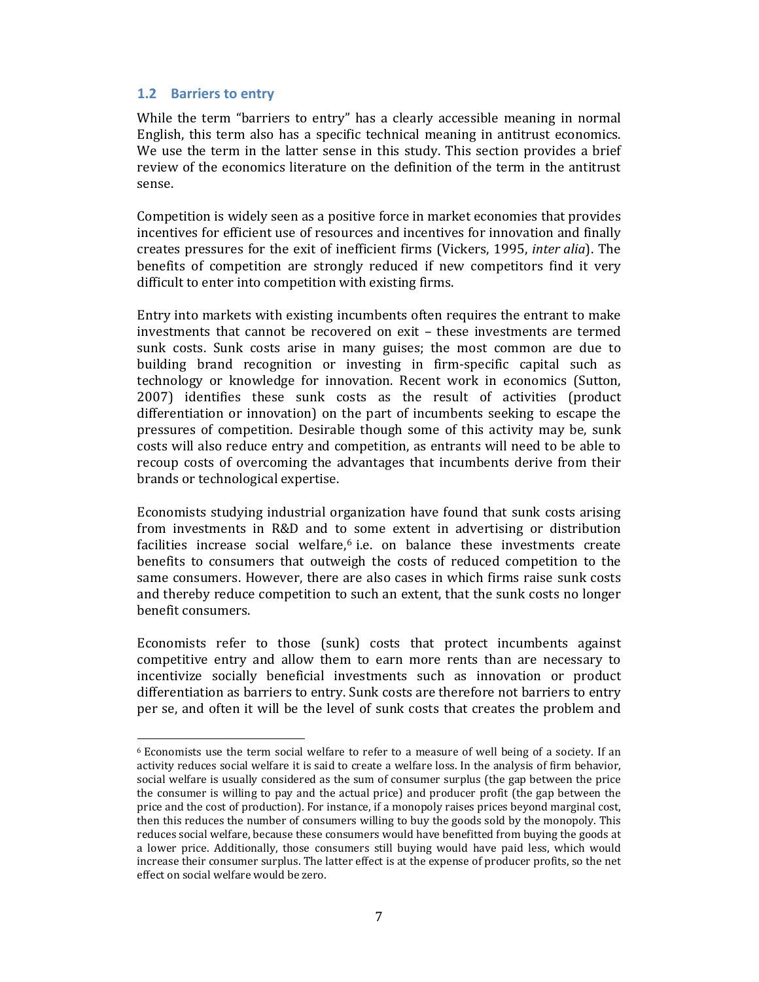## **1.2 Barriers to entry**

While the term "barriers to entry" has a clearly accessible meaning in normal English, this term also has a specific technical meaning in antitrust economics. We use the term in the latter sense in this study. This section provides a brief review of the economics literature on the definition of the term in the antitrust sense.

Competition is widely seen as a positive force in market economies that provides incentives for efficient use of resources and incentives for innovation and finally creates pressures for the exit of inefficient firms (Vickers, 1995, *inter alia*). The benefits of competition are strongly reduced if new competitors find it very difficult to enter into competition with existing firms.

Entry into markets with existing incumbents often requires the entrant to make investments that cannot be recovered on exit – these investments are termed sunk costs. Sunk costs arise in many guises; the most common are due to building brand recognition or investing in firm‐specific capital such as technology or knowledge for innovation. Recent work in economics (Sutton, 2007) identifies these sunk costs as the result of activities (product differentiation or innovation) on the part of incumbents seeking to escape the pressures of competition. Desirable though some of this activity may be, sunk costs will also reduce entry and competition, as entrants will need to be able to recoup costs of overcoming the advantages that incumbents derive from their brands or technological expertise.

Economists studying industrial organization have found that sunk costs arising from investments in R&D and to some extent in advertising or distribution facilities increase social welfare, $6$  i.e. on balance these investments create benefits to consumers that outweigh the costs of reduced competition to the same consumers. However, there are also cases in which firms raise sunk costs and thereby reduce competition to such an extent, that the sunk costs no longer benefit consumers.

Economists refer to those (sunk) costs that protect incumbents against competitive entry and allow them to earn more rents than are necessary to incentivize socially beneficial investments such as innovation or product differentiation as barriers to entry. Sunk costs are therefore not barriers to entry per se, and often it will be the level of sunk costs that creates the problem and

 $6$  Economists use the term social welfare to refer to a measure of well being of a society. If an activity reduces social welfare it is said to create a welfare loss. In the analysis of firm behavior, social welfare is usually considered as the sum of consumer surplus (the gap between the price the consumer is willing to pay and the actual price) and producer profit (the gap between the price and the cost of production). For instance, if a monopoly raises prices beyond marginal cost, then this reduces the number of consumers willing to buy the goods sold by the monopoly. This reduces social welfare, because these consumers would have benefitted from buying the goods at a lower price. Additionally, those consumers still buying would have paid less, which would increase their consumer surplus. The latter effect is at the expense of producer profits, so the net effect on social welfare would be zero.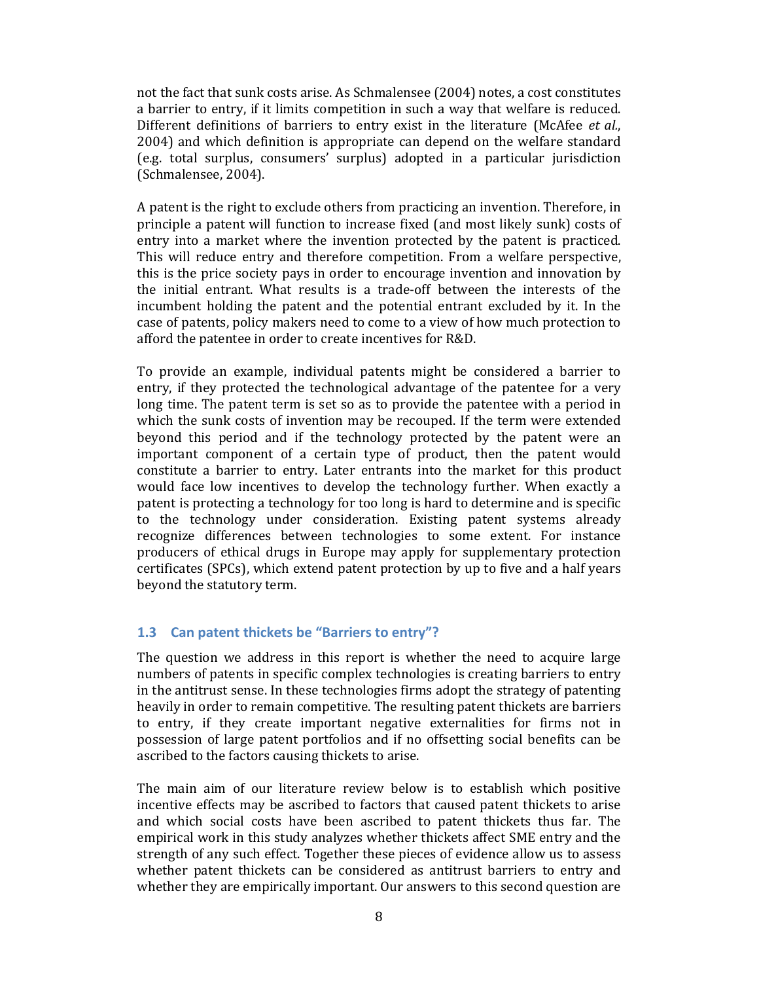not the fact that sunk costs arise. As Schmalensee (2004) notes, a cost constitutes a barrier to entry, if it limits competition in such a way that welfare is reduced. Different definitions of barriers to entry exist in the literature (McAfee *et al.*, 2004) and which definition is appropriate can depend on the welfare standard (e.g. total surplus, consumers' surplus) adopted in a particular jurisdiction (Schmalensee, 2004).

A patent is the right to exclude others from practicing an invention. Therefore, in principle a patent will function to increase fixed (and most likely sunk) costs of entry into a market where the invention protected by the patent is practiced. This will reduce entry and therefore competition. From a welfare perspective, this is the price society pays in order to encourage invention and innovation by the initial entrant. What results is a trade‐off between the interests of the incumbent holding the patent and the potential entrant excluded by it. In the case of patents, policy makers need to come to a view of how much protection to afford the patentee in order to create incentives for R&D.

To provide an example, individual patents might be considered a barrier to entry, if they protected the technological advantage of the patentee for a very long time. The patent term is set so as to provide the patentee with a period in which the sunk costs of invention may be recouped. If the term were extended beyond this period and if the technology protected by the patent were an important component of a certain type of product, then the patent would constitute a barrier to entry. Later entrants into the market for this product would face low incentives to develop the technology further. When exactly a patent is protecting a technology for too long is hard to determine and is specific to the technology under consideration. Existing patent systems already recognize differences between technologies to some extent. For instance producers of ethical drugs in Europe may apply for supplementary protection certificates (SPCs), which extend patent protection by up to five and a half years beyond the statutory term.

## **1.3 Can patent thickets be "Barriers to entry"?**

The question we address in this report is whether the need to acquire large numbers of patents in specific complex technologies is creating barriers to entry in the antitrust sense. In these technologies firms adopt the strategy of patenting heavily in order to remain competitive. The resulting patent thickets are barriers to entry, if they create important negative externalities for firms not in possession of large patent portfolios and if no offsetting social benefits can be ascribed to the factors causing thickets to arise.

The main aim of our literature review below is to establish which positive incentive effects may be ascribed to factors that caused patent thickets to arise and which social costs have been ascribed to patent thickets thus far. The empirical work in this study analyzes whether thickets affect SME entry and the strength of any such effect. Together these pieces of evidence allow us to assess whether patent thickets can be considered as antitrust barriers to entry and whether they are empirically important. Our answers to this second question are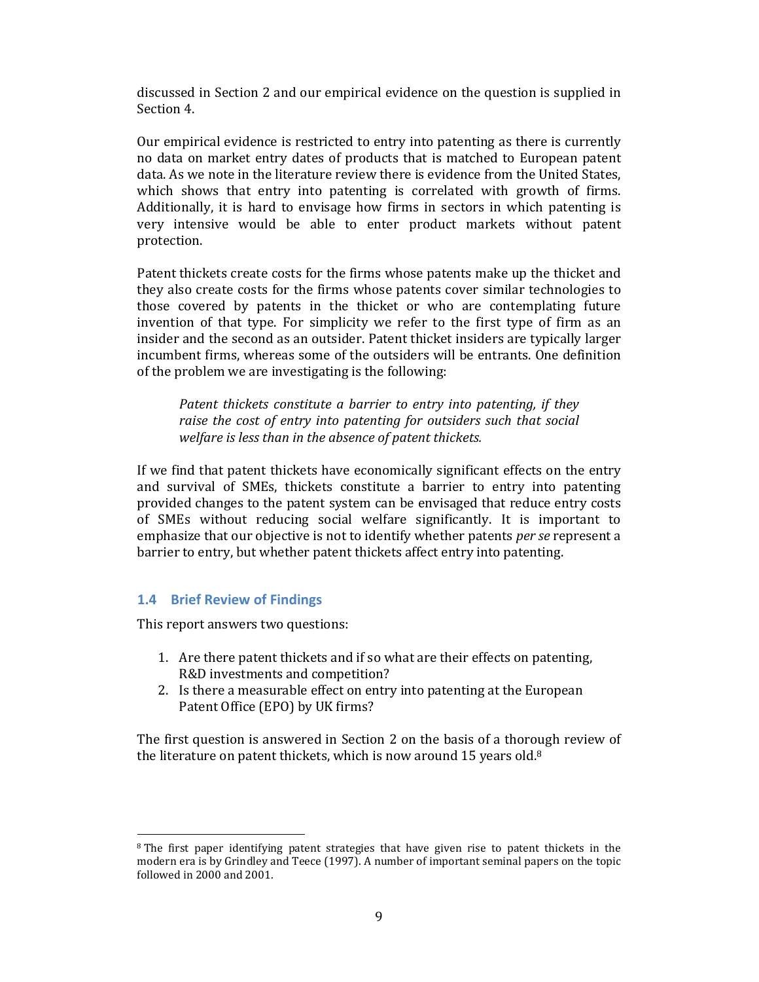discussed in Section 2 and our empirical evidence on the question is supplied in Section 4.

Our empirical evidence is restricted to entry into patenting as there is currently no data on market entry dates of products that is matched to European patent data. As we note in the literature review there is evidence from the United States, which shows that entry into patenting is correlated with growth of firms. Additionally, it is hard to envisage how firms in sectors in which patenting is very intensive would be able to enter product markets without patent protection.

Patent thickets create costs for the firms whose patents make up the thicket and they also create costs for the firms whose patents cover similar technologies to those covered by patents in the thicket or who are contemplating future invention of that type. For simplicity we refer to the first type of firm as an insider and the second as an outsider. Patent thicket insiders are typically larger incumbent firms, whereas some of the outsiders will be entrants. One definition of the problem we are investigating is the following:

*Patent thickets constitute a barrier to entry into patenting, if they raise the cost of entry into patenting for outsiders such that social welfare is less than in the absence of patent thickets.* 

If we find that patent thickets have economically significant effects on the entry and survival of SMEs, thickets constitute a barrier to entry into patenting provided changes to the patent system can be envisaged that reduce entry costs of SMEs without reducing social welfare significantly. It is important to emphasize that our objective is not to identify whether patents *per se* represent a barrier to entry, but whether patent thickets affect entry into patenting.

## **1.4 Brief Review of Findings**

This report answers two questions:

- 1. Are there patent thickets and if so what are their effects on patenting, R&D investments and competition?
- 2. Is there a measurable effect on entry into patenting at the European Patent Office (EPO) by UK firms?

The first question is answered in Section 2 on the basis of a thorough review of the literature on patent thickets, which is now around 15 years old.8

<sup>&</sup>lt;sup>8</sup> The first paper identifying patent strategies that have given rise to patent thickets in the modern era is by Grindley and Teece (1997). A number of important seminal papers on the topic followed in 2000 and 2001.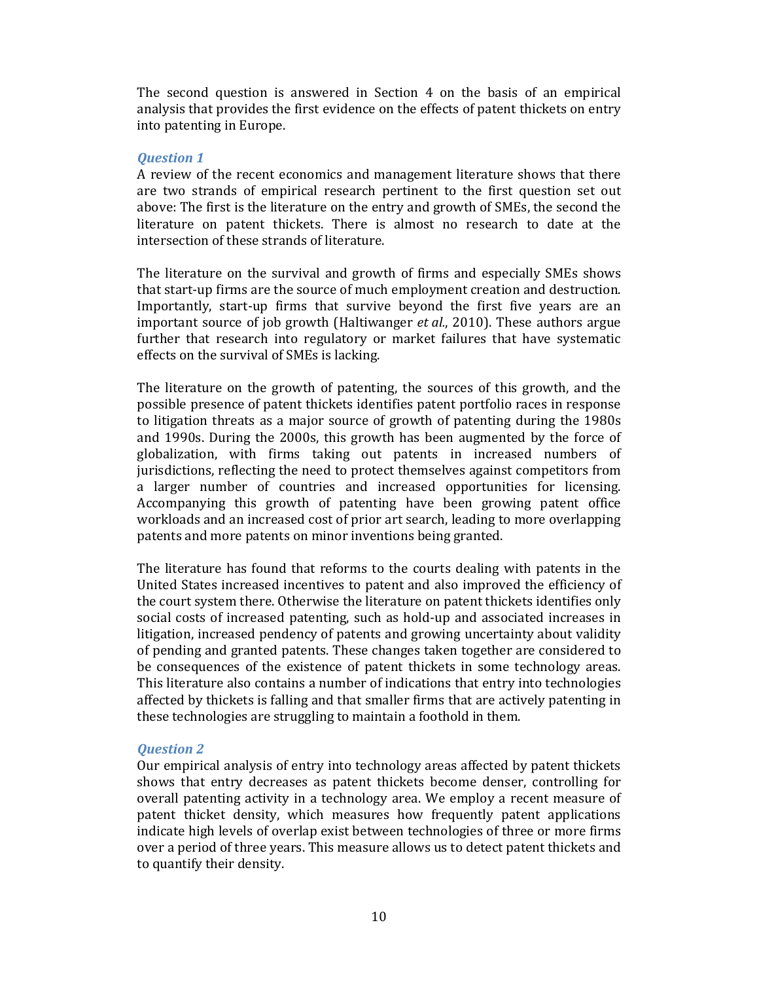The second question is answered in Section 4 on the basis of an empirical analysis that provides the first evidence on the effects of patent thickets on entry into patenting in Europe.

#### *Question 1*

A review of the recent economics and management literature shows that there are two strands of empirical research pertinent to the first question set out above: The first is the literature on the entry and growth of SMEs, the second the literature on patent thickets. There is almost no research to date at the intersection of these strands of literature.

The literature on the survival and growth of firms and especially SMEs shows that start‐up firms are the source of much employment creation and destruction. Importantly, start-up firms that survive beyond the first five years are an important source of job growth (Haltiwanger *et al.*, 2010). These authors argue further that research into regulatory or market failures that have systematic effects on the survival of SMEs is lacking.

The literature on the growth of patenting, the sources of this growth, and the possible presence of patent thickets identifies patent portfolio races in response to litigation threats as a major source of growth of patenting during the 1980s and 1990s. During the 2000s, this growth has been augmented by the force of globalization, with firms taking out patents in increased numbers of jurisdictions, reflecting the need to protect themselves against competitors from a larger number of countries and increased opportunities for licensing. Accompanying this growth of patenting have been growing patent office workloads and an increased cost of prior art search, leading to more overlapping patents and more patents on minor inventions being granted.

The literature has found that reforms to the courts dealing with patents in the United States increased incentives to patent and also improved the efficiency of the court system there. Otherwise the literature on patent thickets identifies only social costs of increased patenting, such as hold‐up and associated increases in litigation, increased pendency of patents and growing uncertainty about validity of pending and granted patents. These changes taken together are considered to be consequences of the existence of patent thickets in some technology areas. This literature also contains a number of indications that entry into technologies affected by thickets is falling and that smaller firms that are actively patenting in these technologies are struggling to maintain a foothold in them.

## *Question 2*

Our empirical analysis of entry into technology areas affected by patent thickets shows that entry decreases as patent thickets become denser, controlling for overall patenting activity in a technology area. We employ a recent measure of patent thicket density, which measures how frequently patent applications indicate high levels of overlap exist between technologies of three or more firms over a period of three years. This measure allows us to detect patent thickets and to quantify their density.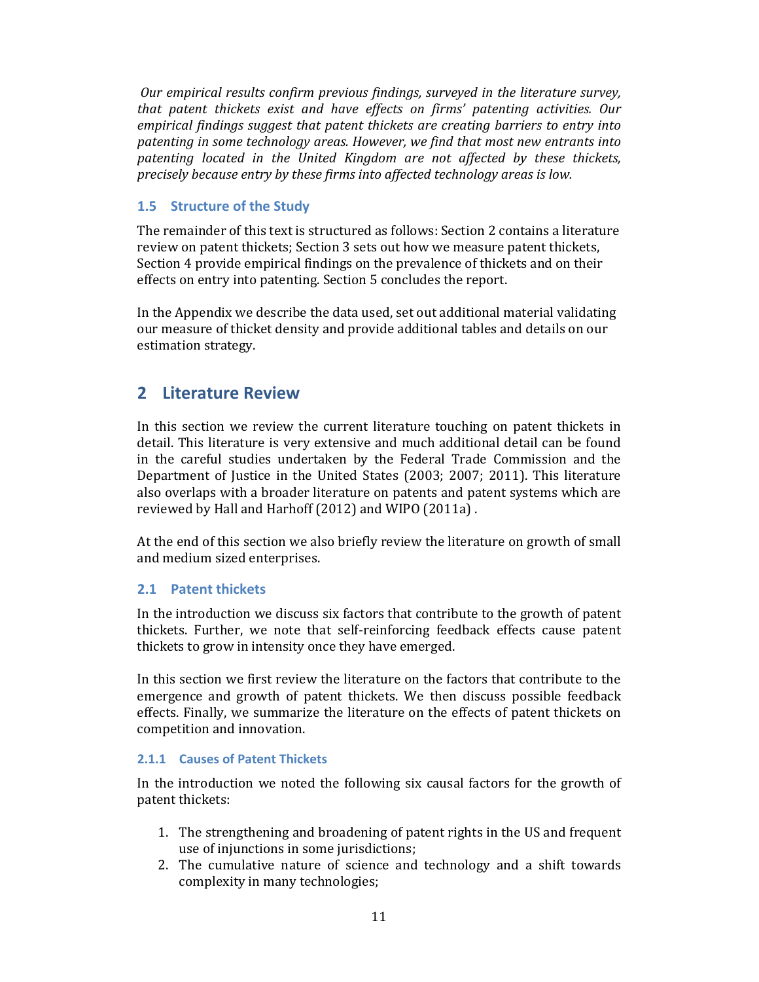*Our empirical results confirm previous findings, surveyed in the literature survey, that patent thickets exist and have effects on firms' patenting activities. Our empirical findings suggest that patent thickets are creating barriers to entry into patenting in some technology areas. However, we find that most new entrants into patenting located in the United Kingdom are not affected by these thickets, precisely because entry by these firms into affected technology areas is low.*

## **1.5 Structure of the Study**

The remainder of this text is structured as follows: Section 2 contains a literature review on patent thickets; Section 3 sets out how we measure patent thickets, Section 4 provide empirical findings on the prevalence of thickets and on their effects on entry into patenting. Section 5 concludes the report.

In the Appendix we describe the data used, set out additional material validating our measure of thicket density and provide additional tables and details on our estimation strategy.

## **2 Literature Review**

In this section we review the current literature touching on patent thickets in detail. This literature is very extensive and much additional detail can be found in the careful studies undertaken by the Federal Trade Commission and the Department of Justice in the United States (2003; 2007; 2011). This literature also overlaps with a broader literature on patents and patent systems which are reviewed by Hall and Harhoff (2012) and WIPO (2011a) .

At the end of this section we also briefly review the literature on growth of small and medium sized enterprises.

## **2.1 Patent thickets**

In the introduction we discuss six factors that contribute to the growth of patent thickets. Further, we note that self‐reinforcing feedback effects cause patent thickets to grow in intensity once they have emerged.

In this section we first review the literature on the factors that contribute to the emergence and growth of patent thickets. We then discuss possible feedback effects. Finally, we summarize the literature on the effects of patent thickets on competition and innovation.

## **2.1.1 Causes of Patent Thickets**

In the introduction we noted the following six causal factors for the growth of patent thickets:

- 1. The strengthening and broadening of patent rights in the US and frequent use of injunctions in some jurisdictions;
- 2. The cumulative nature of science and technology and a shift towards complexity in many technologies;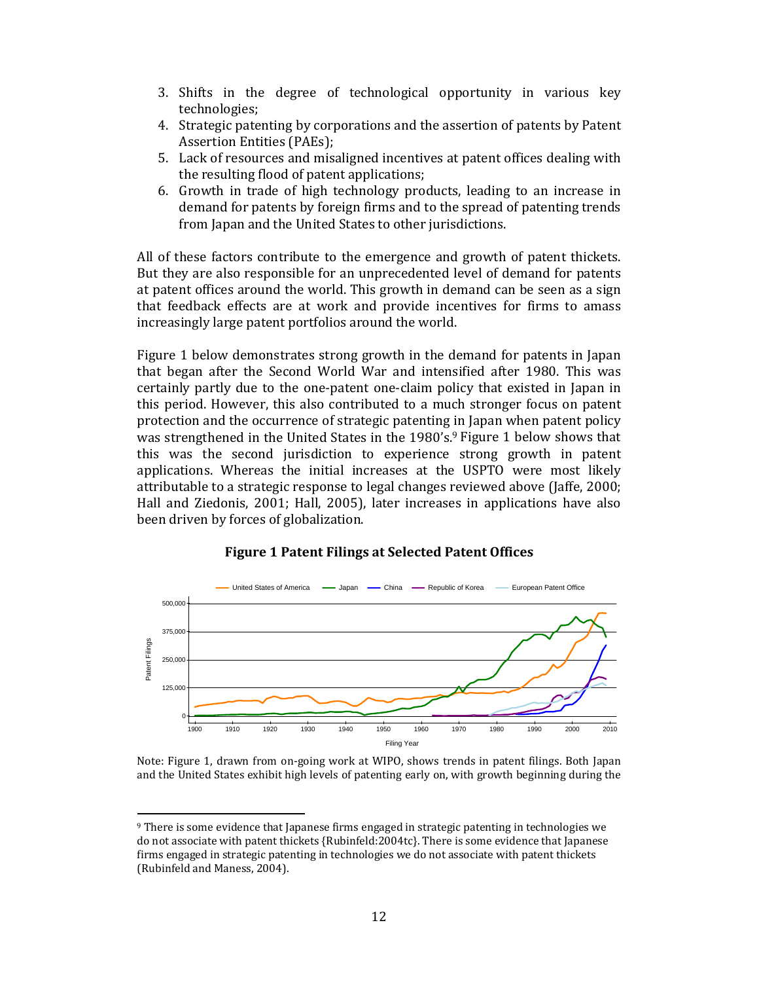- 3. Shifts in the degree of technological opportunity in various key technologies;
- 4. Strategic patenting by corporations and the assertion of patents by Patent Assertion Entities (PAEs);
- 5. Lack of resources and misaligned incentives at patent offices dealing with the resulting flood of patent applications;
- 6. Growth in trade of high technology products, leading to an increase in demand for patents by foreign firms and to the spread of patenting trends from Japan and the United States to other jurisdictions.

All of these factors contribute to the emergence and growth of patent thickets. But they are also responsible for an unprecedented level of demand for patents at patent offices around the world. This growth in demand can be seen as a sign that feedback effects are at work and provide incentives for firms to amass increasingly large patent portfolios around the world.

Figure 1 below demonstrates strong growth in the demand for patents in Japan that began after the Second World War and intensified after 1980. This was certainly partly due to the one‐patent one‐claim policy that existed in Japan in this period. However, this also contributed to a much stronger focus on patent protection and the occurrence of strategic patenting in Japan when patent policy was strengthened in the United States in the 1980's.9 Figure 1 below shows that this was the second jurisdiction to experience strong growth in patent applications. Whereas the initial increases at the USPTO were most likely attributable to a strategic response to legal changes reviewed above (Jaffe, 2000; Hall and Ziedonis, 2001; Hall, 2005), later increases in applications have also been driven by forces of globalization.



## **Figure 1 Patent Filings at Selected Patent Offices**

Note: Figure 1, drawn from on-going work at WIPO, shows trends in patent filings. Both Japan and the United States exhibit high levels of patenting early on, with growth beginning during the

<sup>9</sup> There is some evidence that Japanese firms engaged in strategic patenting in technologies we do not associate with patent thickets {Rubinfeld:2004tc}. There is some evidence that Japanese firms engaged in strategic patenting in technologies we do not associate with patent thickets (Rubinfeld and Maness, 2004).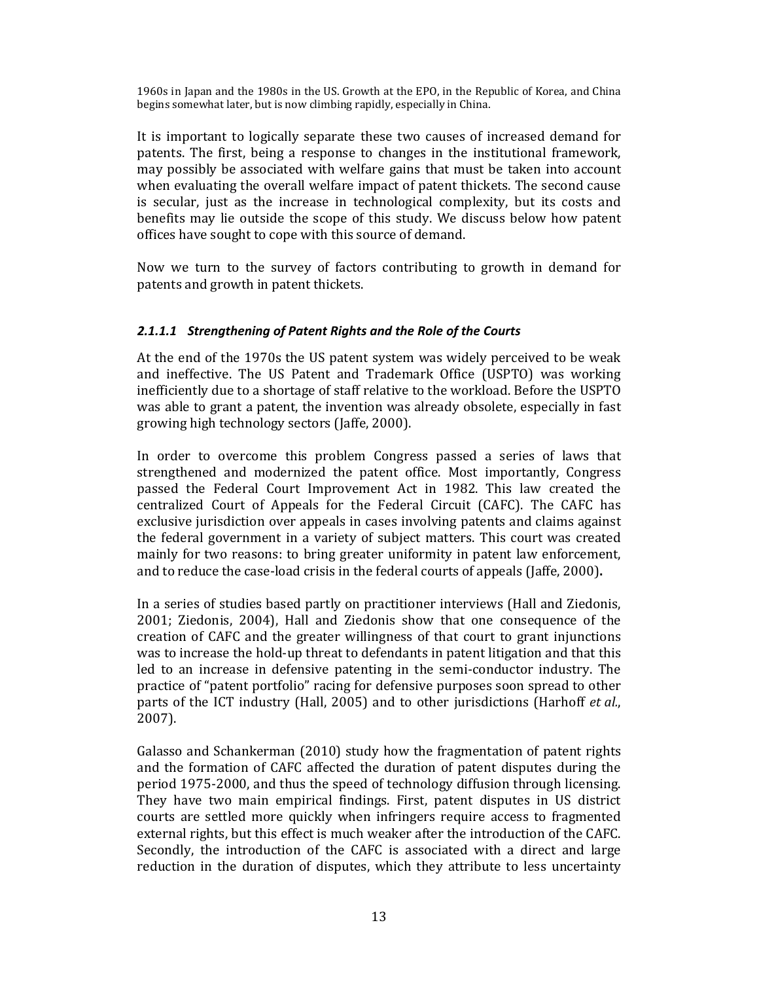1960s in Japan and the 1980s in the US. Growth at the EPO, in the Republic of Korea, and China begins somewhat later, but is now climbing rapidly, especially in China.

It is important to logically separate these two causes of increased demand for patents. The first, being a response to changes in the institutional framework, may possibly be associated with welfare gains that must be taken into account when evaluating the overall welfare impact of patent thickets. The second cause is secular, just as the increase in technological complexity, but its costs and benefits may lie outside the scope of this study. We discuss below how patent offices have sought to cope with this source of demand.

Now we turn to the survey of factors contributing to growth in demand for patents and growth in patent thickets.

## *2.1.1.1 Strengthening of Patent Rights and the Role of the Courts*

At the end of the 1970s the US patent system was widely perceived to be weak and ineffective. The US Patent and Trademark Office (USPTO) was working inefficiently due to a shortage of staff relative to the workload. Before the USPTO was able to grant a patent, the invention was already obsolete, especially in fast growing high technology sectors (Jaffe, 2000).

In order to overcome this problem Congress passed a series of laws that strengthened and modernized the patent office. Most importantly, Congress passed the Federal Court Improvement Act in 1982. This law created the centralized Court of Appeals for the Federal Circuit (CAFC). The CAFC has exclusive jurisdiction over appeals in cases involving patents and claims against the federal government in a variety of subject matters. This court was created mainly for two reasons: to bring greater uniformity in patent law enforcement, and to reduce the case‐load crisis in the federal courts of appeals (Jaffe, 2000)**.**

In a series of studies based partly on practitioner interviews (Hall and Ziedonis, 2001; Ziedonis, 2004), Hall and Ziedonis show that one consequence of the creation of CAFC and the greater willingness of that court to grant injunctions was to increase the hold‐up threat to defendants in patent litigation and that this led to an increase in defensive patenting in the semi-conductor industry. The practice of "patent portfolio" racing for defensive purposes soon spread to other parts of the ICT industry (Hall, 2005) and to other jurisdictions (Harhoff *et al.*, 2007).

Galasso and Schankerman (2010) study how the fragmentation of patent rights and the formation of CAFC affected the duration of patent disputes during the period 1975‐2000, and thus the speed of technology diffusion through licensing. They have two main empirical findings. First, patent disputes in US district courts are settled more quickly when infringers require access to fragmented external rights, but this effect is much weaker after the introduction of the CAFC. Secondly, the introduction of the CAFC is associated with a direct and large reduction in the duration of disputes, which they attribute to less uncertainty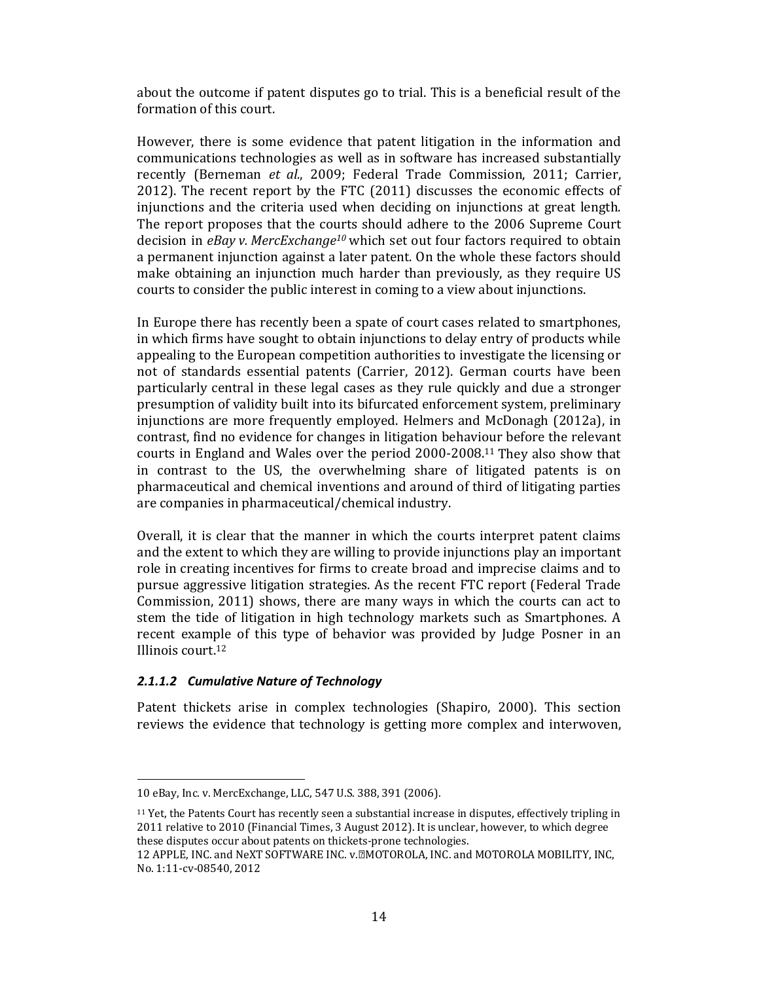about the outcome if patent disputes go to trial. This is a beneficial result of the formation of this court.

However, there is some evidence that patent litigation in the information and communications technologies as well as in software has increased substantially recently (Berneman *et al.*, 2009; Federal Trade Commission, 2011; Carrier, 2012). The recent report by the FTC (2011) discusses the economic effects of injunctions and the criteria used when deciding on injunctions at great length. The report proposes that the courts should adhere to the 2006 Supreme Court decision in *eBay v. MercExchange10* which set out four factors required to obtain a permanent injunction against a later patent. On the whole these factors should make obtaining an injunction much harder than previously, as they require US courts to consider the public interest in coming to a view about injunctions.

In Europe there has recently been a spate of court cases related to smartphones, in which firms have sought to obtain injunctions to delay entry of products while appealing to the European competition authorities to investigate the licensing or not of standards essential patents (Carrier, 2012). German courts have been particularly central in these legal cases as they rule quickly and due a stronger presumption of validity built into its bifurcated enforcement system, preliminary injunctions are more frequently employed. Helmers and McDonagh (2012a), in contrast, find no evidence for changes in litigation behaviour before the relevant courts in England and Wales over the period 2000‐2008.11 They also show that in contrast to the US, the overwhelming share of litigated patents is on pharmaceutical and chemical inventions and around of third of litigating parties are companies in pharmaceutical/chemical industry.

Overall, it is clear that the manner in which the courts interpret patent claims and the extent to which they are willing to provide injunctions play an important role in creating incentives for firms to create broad and imprecise claims and to pursue aggressive litigation strategies. As the recent FTC report (Federal Trade Commission, 2011) shows, there are many ways in which the courts can act to stem the tide of litigation in high technology markets such as Smartphones. A recent example of this type of behavior was provided by Judge Posner in an Illinois court.12

#### *2.1.1.2 Cumulative Nature of Technology*

Patent thickets arise in complex technologies (Shapiro, 2000). This section reviews the evidence that technology is getting more complex and interwoven,

<sup>10</sup> eBay, Inc. v. MercExchange, LLC, 547 U.S. 388, 391 (2006).

<sup>11</sup> Yet, the Patents Court has recently seen a substantial increase in disputes, effectively tripling in 2011 relative to 2010 (Financial Times, 3 August 2012). It is unclear, however, to which degree these disputes occur about patents on thickets‐prone technologies.

<sup>12</sup> APPLE, INC. and NeXT SOFTWARE INC. v. MOTOROLA, INC. and MOTOROLA MOBILITY, INC, No. 1:11‐cv‐08540, 2012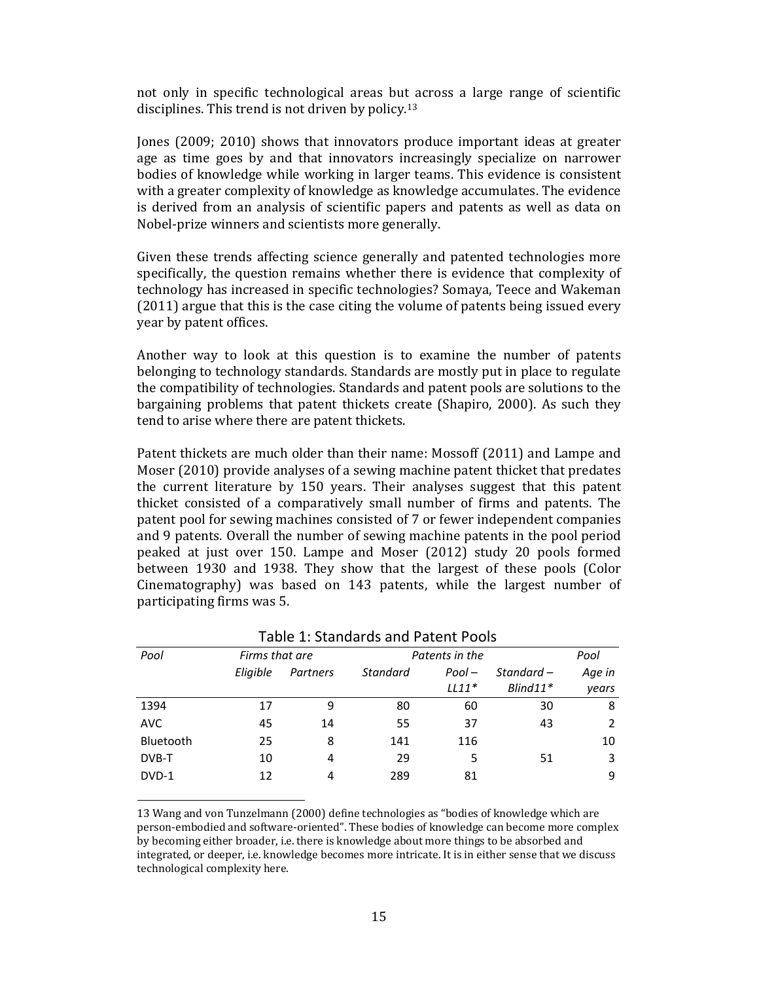not only in specific technological areas but across a large range of scientific disciplines. This trend is not driven by policy.<sup>13</sup>

Jones (2009; 2010) shows that innovators produce important ideas at greater age as time goes by and that innovators increasingly specialize on narrower bodies of knowledge while working in larger teams. This evidence is consistent with a greater complexity of knowledge as knowledge accumulates. The evidence is derived from an analysis of scientific papers and patents as well as data on Nobel‐prize winners and scientists more generally.

Given these trends affecting science generally and patented technologies more specifically, the question remains whether there is evidence that complexity of technology has increased in specific technologies? Somaya, Teece and Wakeman (2011) argue that this is the case citing the volume of patents being issued every year by patent offices.

Another way to look at this question is to examine the number of patents belonging to technology standards. Standards are mostly put in place to regulate the compatibility of technologies. Standards and patent pools are solutions to the bargaining problems that patent thickets create (Shapiro, 2000). As such they tend to arise where there are patent thickets.

Patent thickets are much older than their name: Mossoff (2011) and Lampe and Moser (2010) provide analyses of a sewing machine patent thicket that predates the current literature by 150 years. Their analyses suggest that this patent thicket consisted of a comparatively small number of firms and patents. The patent pool for sewing machines consisted of 7 or fewer independent companies and 9 patents. Overall the number of sewing machine patents in the pool period peaked at just over 150. Lampe and Moser (2012) study 20 pools formed between 1930 and 1938. They show that the largest of these pools (Color Cinematography) was based on 143 patents, while the largest number of participating firms was 5.

| Pool       | Firms that are |          | Patents in the  | Pool    |             |        |  |
|------------|----------------|----------|-----------------|---------|-------------|--------|--|
|            | Eligible       | Partners | <b>Standard</b> | $Pool-$ | $Standard-$ | Age in |  |
|            |                |          |                 | $LL11*$ | Blind11*    | years  |  |
| 1394       | 17             | 9        | 80              | 60      | 30          | 8      |  |
| <b>AVC</b> | 45             | 14       | 55              | 37      | 43          | 2      |  |
| Bluetooth  | 25             | 8        | 141             | 116     |             | 10     |  |
| DVB-T      | 10             | 4        | 29              | 5       | 51          | 3      |  |
| DVD-1      | 12             | 4        | 289             | 81      |             | ٩      |  |

## Table 1: Standards and Patent Pools

13 Wang and von Tunzelmann (2000) define technologies as "bodies of knowledge which are person‐embodied and software‐oriented". These bodies of knowledge can become more complex by becoming either broader, i.e. there is knowledge about more things to be absorbed and integrated, or deeper, i.e. knowledge becomes more intricate. It is in either sense that we discuss technological complexity here.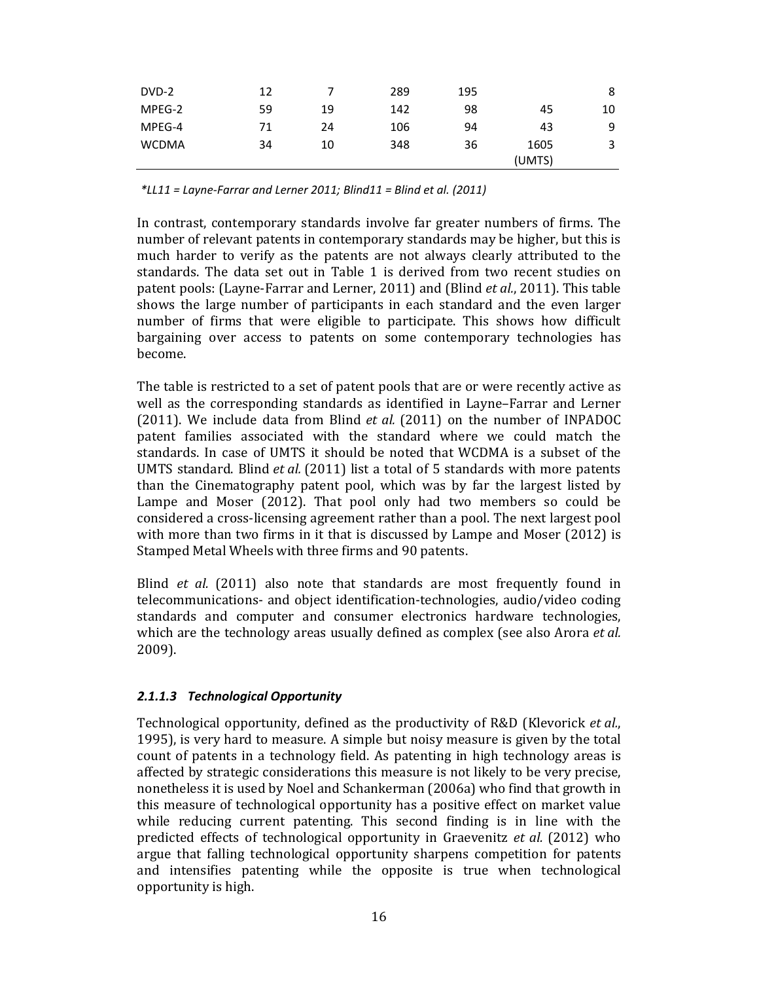| DVD-2        | 12 |    | 289 | 195 |        | 8  |
|--------------|----|----|-----|-----|--------|----|
| MPEG-2       | 59 | 19 | 142 | 98  | 45     | 10 |
| MPEG-4       | 71 | 24 | 106 | 94  | 43     | 9  |
| <b>WCDMA</b> | 34 | 10 | 348 | 36  | 1605   |    |
|              |    |    |     |     | (UMTS) |    |

*\*LL11 = Layne‐Farrar and Lerner 2011; Blind11 = Blind et al. (2011)*

In contrast, contemporary standards involve far greater numbers of firms. The number of relevant patents in contemporary standards may be higher, but this is much harder to verify as the patents are not always clearly attributed to the standards. The data set out in Table 1 is derived from two recent studies on patent pools: (Layne‐Farrar and Lerner, 2011) and (Blind *et al.*, 2011). This table shows the large number of participants in each standard and the even larger number of firms that were eligible to participate. This shows how difficult bargaining over access to patents on some contemporary technologies has become.

The table is restricted to a set of patent pools that are or were recently active as well as the corresponding standards as identified in Layne–Farrar and Lerner (2011). We include data from Blind *et al.* (2011) on the number of INPADOC patent families associated with the standard where we could match the standards. In case of UMTS it should be noted that WCDMA is a subset of the UMTS standard. Blind *et al.* (2011) list a total of 5 standards with more patents than the Cinematography patent pool, which was by far the largest listed by Lampe and Moser (2012). That pool only had two members so could be considered a cross‐licensing agreement rather than a pool. The next largest pool with more than two firms in it that is discussed by Lampe and Moser (2012) is Stamped Metal Wheels with three firms and 90 patents.

Blind *et al.* (2011) also note that standards are most frequently found in telecommunications‐ and object identification‐technologies, audio/video coding standards and computer and consumer electronics hardware technologies, which are the technology areas usually defined as complex (see also Arora *et al.* 2009).

## *2.1.1.3 Technological Opportunity*

Technological opportunity, defined as the productivity of R&D (Klevorick *et al.*, 1995), is very hard to measure. A simple but noisy measure is given by the total count of patents in a technology field. As patenting in high technology areas is affected by strategic considerations this measure is not likely to be very precise, nonetheless it is used by Noel and Schankerman (2006a) who find that growth in this measure of technological opportunity has a positive effect on market value while reducing current patenting. This second finding is in line with the predicted effects of technological opportunity in Graevenitz *et al.* (2012) who argue that falling technological opportunity sharpens competition for patents and intensifies patenting while the opposite is true when technological opportunity is high.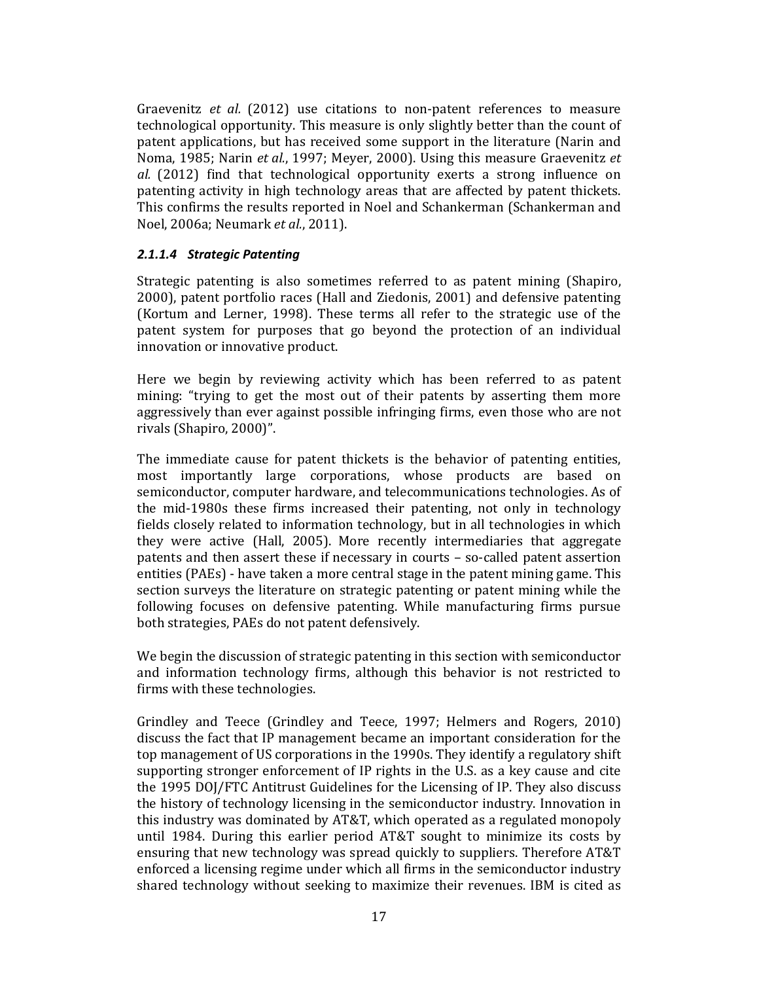Graevenitz *et al.* (2012) use citations to non‐patent references to measure technological opportunity. This measure is only slightly better than the count of patent applications, but has received some support in the literature (Narin and Noma, 1985; Narin *et al.*, 1997; Meyer, 2000). Using this measure Graevenitz *et al.* (2012) find that technological opportunity exerts a strong influence on patenting activity in high technology areas that are affected by patent thickets. This confirms the results reported in Noel and Schankerman (Schankerman and Noel, 2006a; Neumark *et al.*, 2011).

## *2.1.1.4 Strategic Patenting*

Strategic patenting is also sometimes referred to as patent mining (Shapiro, 2000), patent portfolio races (Hall and Ziedonis, 2001) and defensive patenting (Kortum and Lerner, 1998). These terms all refer to the strategic use of the patent system for purposes that go beyond the protection of an individual innovation or innovative product.

Here we begin by reviewing activity which has been referred to as patent mining: "trying to get the most out of their patents by asserting them more aggressively than ever against possible infringing firms, even those who are not rivals (Shapiro, 2000)".

The immediate cause for patent thickets is the behavior of patenting entities, most importantly large corporations, whose products are based on semiconductor, computer hardware, and telecommunications technologies. As of the mid‐1980s these firms increased their patenting, not only in technology fields closely related to information technology, but in all technologies in which they were active (Hall, 2005). More recently intermediaries that aggregate patents and then assert these if necessary in courts – so‐called patent assertion entities (PAEs) ‐ have taken a more central stage in the patent mining game. This section surveys the literature on strategic patenting or patent mining while the following focuses on defensive patenting. While manufacturing firms pursue both strategies, PAEs do not patent defensively.

We begin the discussion of strategic patenting in this section with semiconductor and information technology firms, although this behavior is not restricted to firms with these technologies.

Grindley and Teece (Grindley and Teece, 1997; Helmers and Rogers, 2010) discuss the fact that IP management became an important consideration for the top management of US corporations in the 1990s. They identify a regulatory shift supporting stronger enforcement of IP rights in the U.S. as a key cause and cite the 1995 DOJ/FTC Antitrust Guidelines for the Licensing of IP. They also discuss the history of technology licensing in the semiconductor industry. Innovation in this industry was dominated by AT&T, which operated as a regulated monopoly until 1984. During this earlier period AT&T sought to minimize its costs by ensuring that new technology was spread quickly to suppliers. Therefore AT&T enforced a licensing regime under which all firms in the semiconductor industry shared technology without seeking to maximize their revenues. IBM is cited as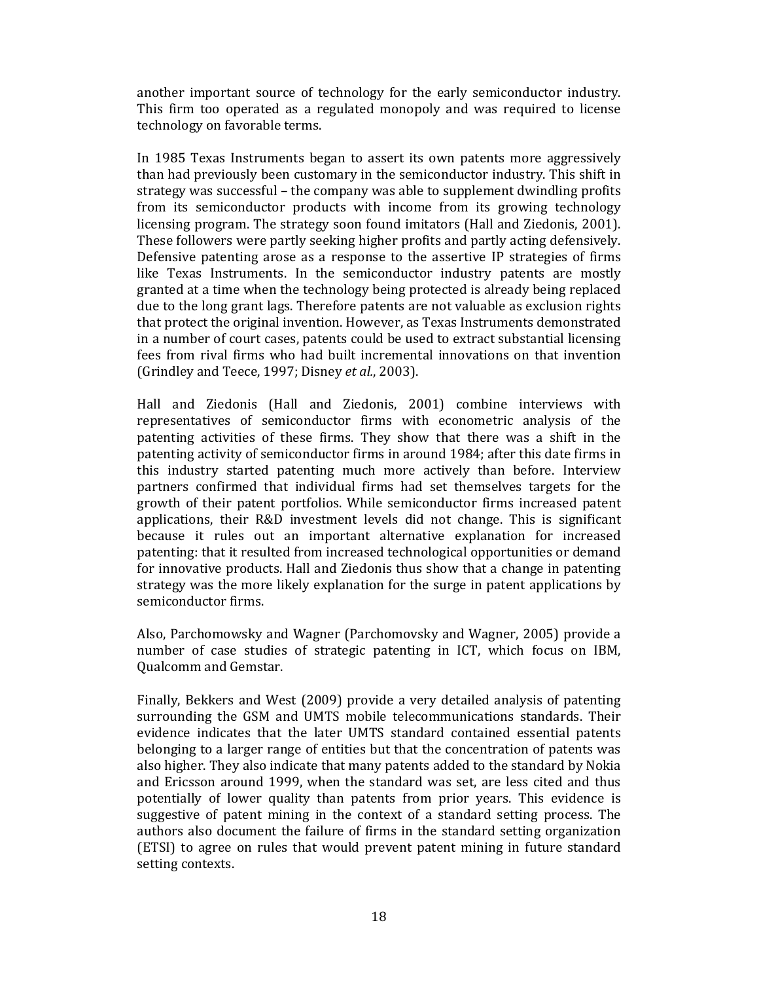another important source of technology for the early semiconductor industry. This firm too operated as a regulated monopoly and was required to license technology on favorable terms.

In 1985 Texas Instruments began to assert its own patents more aggressively than had previously been customary in the semiconductor industry. This shift in strategy was successful – the company was able to supplement dwindling profits from its semiconductor products with income from its growing technology licensing program. The strategy soon found imitators (Hall and Ziedonis, 2001). These followers were partly seeking higher profits and partly acting defensively. Defensive patenting arose as a response to the assertive IP strategies of firms like Texas Instruments. In the semiconductor industry patents are mostly granted at a time when the technology being protected is already being replaced due to the long grant lags. Therefore patents are not valuable as exclusion rights that protect the original invention. However, as Texas Instruments demonstrated in a number of court cases, patents could be used to extract substantial licensing fees from rival firms who had built incremental innovations on that invention (Grindley and Teece, 1997; Disney *et al.*, 2003).

Hall and Ziedonis (Hall and Ziedonis, 2001) combine interviews with representatives of semiconductor firms with econometric analysis of the patenting activities of these firms. They show that there was a shift in the patenting activity of semiconductor firms in around 1984; after this date firms in this industry started patenting much more actively than before. Interview partners confirmed that individual firms had set themselves targets for the growth of their patent portfolios. While semiconductor firms increased patent applications, their R&D investment levels did not change. This is significant because it rules out an important alternative explanation for increased patenting: that it resulted from increased technological opportunities or demand for innovative products. Hall and Ziedonis thus show that a change in patenting strategy was the more likely explanation for the surge in patent applications by semiconductor firms.

Also, Parchomowsky and Wagner (Parchomovsky and Wagner, 2005) provide a number of case studies of strategic patenting in ICT, which focus on IBM, Qualcomm and Gemstar.

Finally, Bekkers and West (2009) provide a very detailed analysis of patenting surrounding the GSM and UMTS mobile telecommunications standards. Their evidence indicates that the later UMTS standard contained essential patents belonging to a larger range of entities but that the concentration of patents was also higher. They also indicate that many patents added to the standard by Nokia and Ericsson around 1999, when the standard was set, are less cited and thus potentially of lower quality than patents from prior years. This evidence is suggestive of patent mining in the context of a standard setting process. The authors also document the failure of firms in the standard setting organization (ETSI) to agree on rules that would prevent patent mining in future standard setting contexts.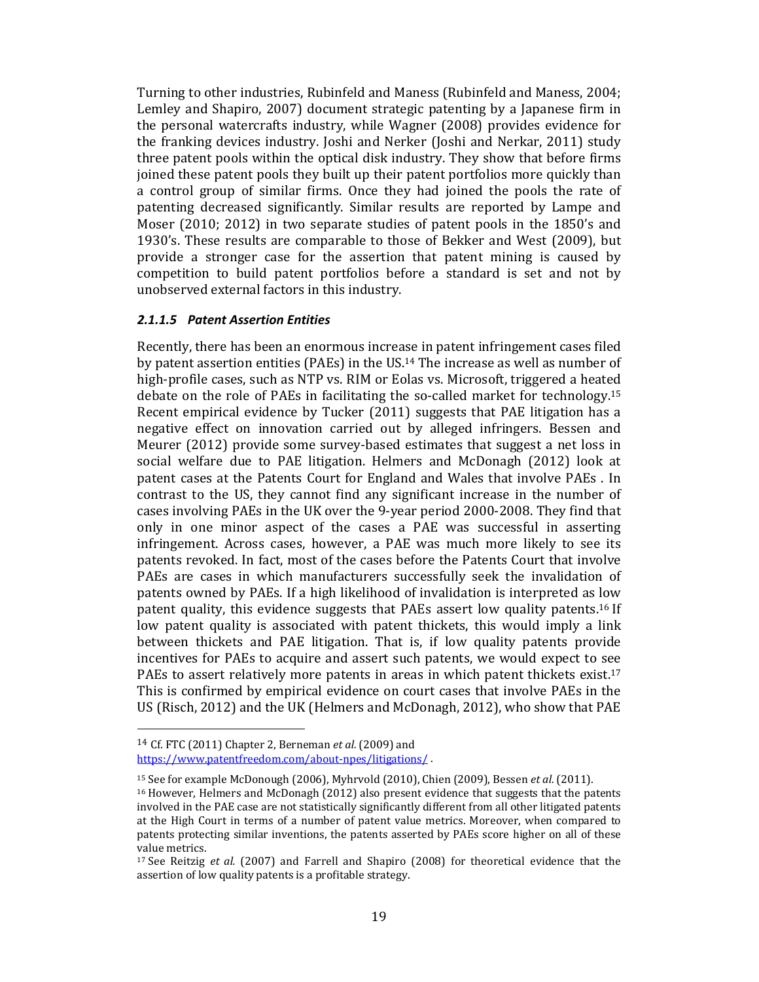Turning to other industries, Rubinfeld and Maness (Rubinfeld and Maness, 2004; Lemley and Shapiro, 2007) document strategic patenting by a Japanese firm in the personal watercrafts industry, while Wagner (2008) provides evidence for the franking devices industry. Joshi and Nerker (Joshi and Nerkar, 2011) study three patent pools within the optical disk industry. They show that before firms joined these patent pools they built up their patent portfolios more quickly than a control group of similar firms. Once they had joined the pools the rate of patenting decreased significantly. Similar results are reported by Lampe and Moser (2010; 2012) in two separate studies of patent pools in the 1850's and 1930's. These results are comparable to those of Bekker and West (2009), but provide a stronger case for the assertion that patent mining is caused by competition to build patent portfolios before a standard is set and not by unobserved external factors in this industry.

#### *2.1.1.5 Patent Assertion Entities*

Recently, there has been an enormous increase in patent infringement cases filed by patent assertion entities (PAEs) in the US.14 The increase as well as number of high-profile cases, such as NTP vs. RIM or Eolas vs. Microsoft, triggered a heated debate on the role of PAEs in facilitating the so-called market for technology.<sup>15</sup> Recent empirical evidence by Tucker (2011) suggests that PAE litigation has a negative effect on innovation carried out by alleged infringers. Bessen and Meurer (2012) provide some survey-based estimates that suggest a net loss in social welfare due to PAE litigation. Helmers and McDonagh (2012) look at patent cases at the Patents Court for England and Wales that involve PAEs . In contrast to the US, they cannot find any significant increase in the number of cases involving PAEs in the UK over the 9‐year period 2000‐2008. They find that only in one minor aspect of the cases a PAE was successful in asserting infringement. Across cases, however, a PAE was much more likely to see its patents revoked. In fact, most of the cases before the Patents Court that involve PAEs are cases in which manufacturers successfully seek the invalidation of patents owned by PAEs. If a high likelihood of invalidation is interpreted as low patent quality, this evidence suggests that PAEs assert low quality patents.16 If low patent quality is associated with patent thickets, this would imply a link between thickets and PAE litigation. That is, if low quality patents provide incentives for PAEs to acquire and assert such patents, we would expect to see PAEs to assert relatively more patents in areas in which patent thickets exist.<sup>17</sup> This is confirmed by empirical evidence on court cases that involve PAEs in the US (Risch, 2012) and the UK (Helmers and McDonagh, 2012), who show that PAE

<sup>14</sup> Cf. FTC (2011) Chapter 2, Berneman *et al.* (2009) and https://www.patentfreedom.com/about‐npes/litigations/ .

<sup>15</sup> See for example McDonough (2006), Myhrvold (2010), Chien (2009), Bessen *et al.* (2011).

<sup>16</sup> However, Helmers and McDonagh (2012) also present evidence that suggests that the patents involved in the PAE case are not statistically significantly different from all other litigated patents at the High Court in terms of a number of patent value metrics. Moreover, when compared to patents protecting similar inventions, the patents asserted by PAEs score higher on all of these value metrics.

<sup>17</sup> See Reitzig *et al.* (2007) and Farrell and Shapiro (2008) for theoretical evidence that the assertion of low quality patents is a profitable strategy.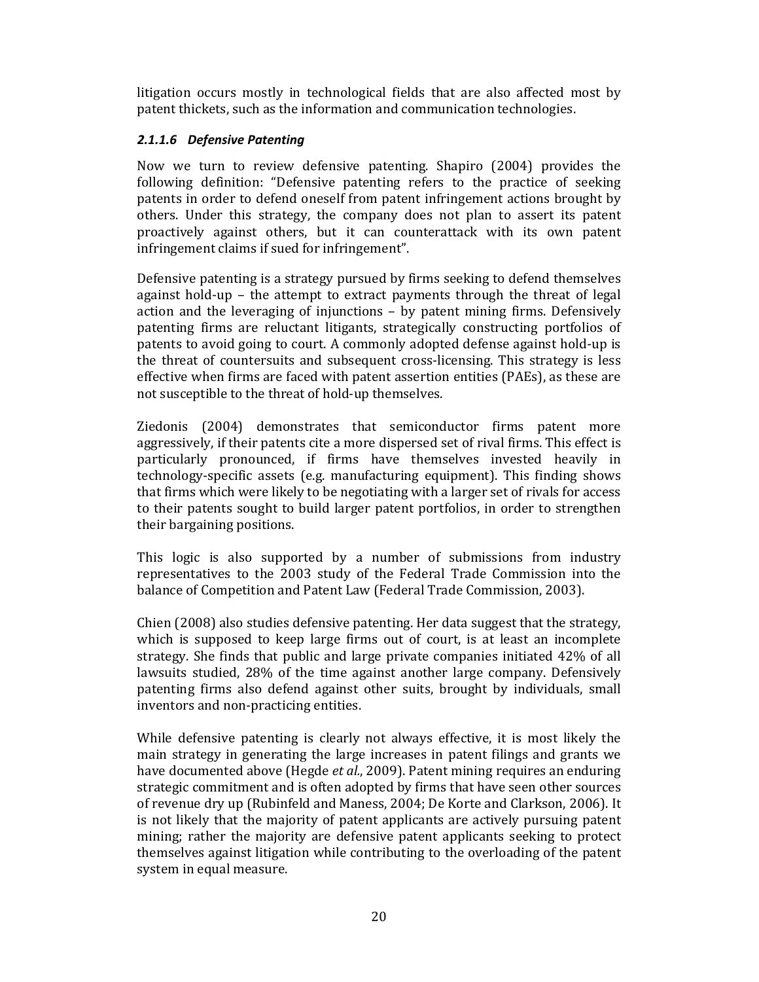litigation occurs mostly in technological fields that are also affected most by patent thickets, such as the information and communication technologies.

## *2.1.1.6 Defensive Patenting*

Now we turn to review defensive patenting. Shapiro (2004) provides the following definition: "Defensive patenting refers to the practice of seeking patents in order to defend oneself from patent infringement actions brought by others. Under this strategy, the company does not plan to assert its patent proactively against others, but it can counterattack with its own patent infringement claims if sued for infringement".

Defensive patenting is a strategy pursued by firms seeking to defend themselves against hold-up  $-$  the attempt to extract payments through the threat of legal action and the leveraging of injunctions – by patent mining firms. Defensively patenting firms are reluctant litigants, strategically constructing portfolios of patents to avoid going to court. A commonly adopted defense against hold‐up is the threat of countersuits and subsequent cross-licensing. This strategy is less effective when firms are faced with patent assertion entities (PAEs), as these are not susceptible to the threat of hold‐up themselves.

Ziedonis (2004) demonstrates that semiconductor firms patent more aggressively, if their patents cite a more dispersed set of rival firms. This effect is particularly pronounced, if firms have themselves invested heavily in technology‐specific assets (e.g. manufacturing equipment). This finding shows that firms which were likely to be negotiating with a larger set of rivals for access to their patents sought to build larger patent portfolios, in order to strengthen their bargaining positions.

This logic is also supported by a number of submissions from industry representatives to the 2003 study of the Federal Trade Commission into the balance of Competition and Patent Law (Federal Trade Commission, 2003).

Chien (2008) also studies defensive patenting. Her data suggest that the strategy, which is supposed to keep large firms out of court, is at least an incomplete strategy. She finds that public and large private companies initiated 42% of all lawsuits studied, 28% of the time against another large company. Defensively patenting firms also defend against other suits, brought by individuals, small inventors and non‐practicing entities.

While defensive patenting is clearly not always effective, it is most likely the main strategy in generating the large increases in patent filings and grants we have documented above (Hegde *et al.*, 2009). Patent mining requires an enduring strategic commitment and is often adopted by firms that have seen other sources of revenue dry up (Rubinfeld and Maness, 2004; De Korte and Clarkson, 2006). It is not likely that the majority of patent applicants are actively pursuing patent mining; rather the majority are defensive patent applicants seeking to protect themselves against litigation while contributing to the overloading of the patent system in equal measure.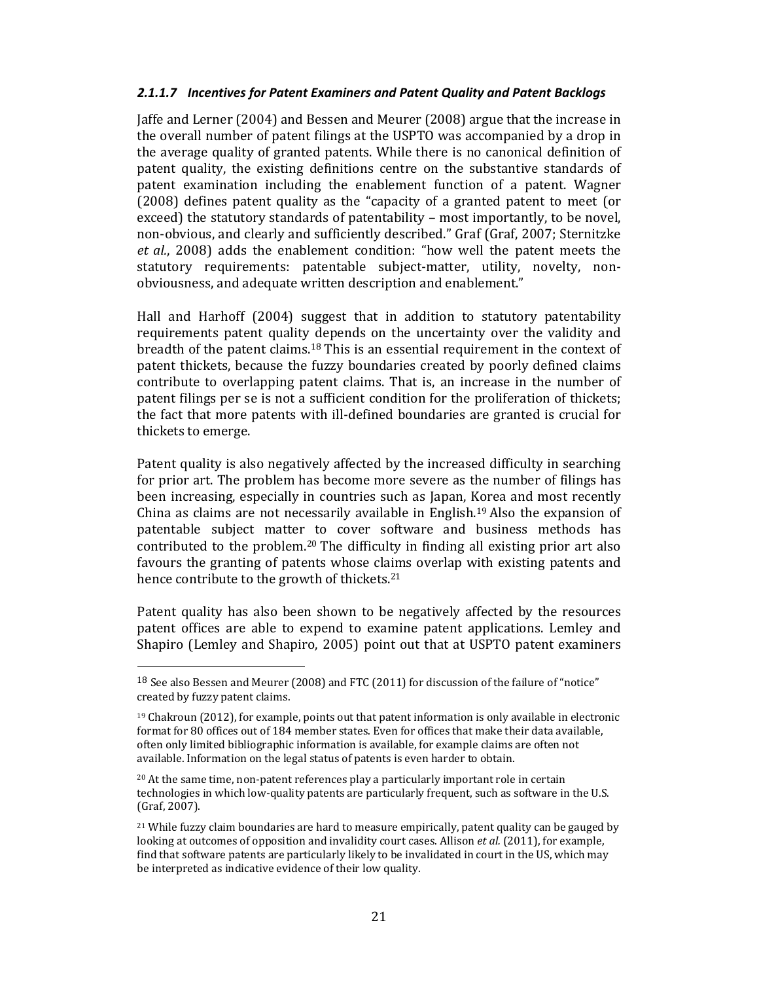## *2.1.1.7 Incentives for Patent Examiners and Patent Quality and Patent Backlogs*

Jaffe and Lerner (2004) and Bessen and Meurer (2008) argue that the increase in the overall number of patent filings at the USPTO was accompanied by a drop in the average quality of granted patents. While there is no canonical definition of patent quality, the existing definitions centre on the substantive standards of patent examination including the enablement function of a patent. Wagner (2008) defines patent quality as the "capacity of a granted patent to meet (or exceed) the statutory standards of patentability – most importantly, to be novel, non‐obvious, and clearly and sufficiently described." Graf (Graf, 2007; Sternitzke *et al.*, 2008) adds the enablement condition: "how well the patent meets the statutory requirements: patentable subject-matter, utility, novelty, nonobviousness, and adequate written description and enablement."

Hall and Harhoff (2004) suggest that in addition to statutory patentability requirements patent quality depends on the uncertainty over the validity and breadth of the patent claims.18 This is an essential requirement in the context of patent thickets, because the fuzzy boundaries created by poorly defined claims contribute to overlapping patent claims. That is, an increase in the number of patent filings per se is not a sufficient condition for the proliferation of thickets; the fact that more patents with ill‐defined boundaries are granted is crucial for thickets to emerge.

Patent quality is also negatively affected by the increased difficulty in searching for prior art. The problem has become more severe as the number of filings has been increasing, especially in countries such as Japan, Korea and most recently China as claims are not necessarily available in English.<sup>19</sup> Also the expansion of patentable subject matter to cover software and business methods has contributed to the problem.20 The difficulty in finding all existing prior art also favours the granting of patents whose claims overlap with existing patents and hence contribute to the growth of thickets.<sup>21</sup>

Patent quality has also been shown to be negatively affected by the resources patent offices are able to expend to examine patent applications. Lemley and Shapiro (Lemley and Shapiro, 2005) point out that at USPTO patent examiners

<sup>&</sup>lt;sup>18</sup> See also Bessen and Meurer (2008) and FTC (2011) for discussion of the failure of "notice" created by fuzzy patent claims.

<sup>19</sup> Chakroun (2012), for example, points out that patent information is only available in electronic format for 80 offices out of 184 member states. Even for offices that make their data available, often only limited bibliographic information is available, for example claims are often not available. Information on the legal status of patents is even harder to obtain.

 $20$  At the same time, non-patent references play a particularly important role in certain technologies in which low‐quality patents are particularly frequent, such as software in the U.S. (Graf, 2007).

<sup>&</sup>lt;sup>21</sup> While fuzzy claim boundaries are hard to measure empirically, patent quality can be gauged by looking at outcomes of opposition and invalidity court cases. Allison *et al.* (2011), for example, find that software patents are particularly likely to be invalidated in court in the US, which may be interpreted as indicative evidence of their low quality.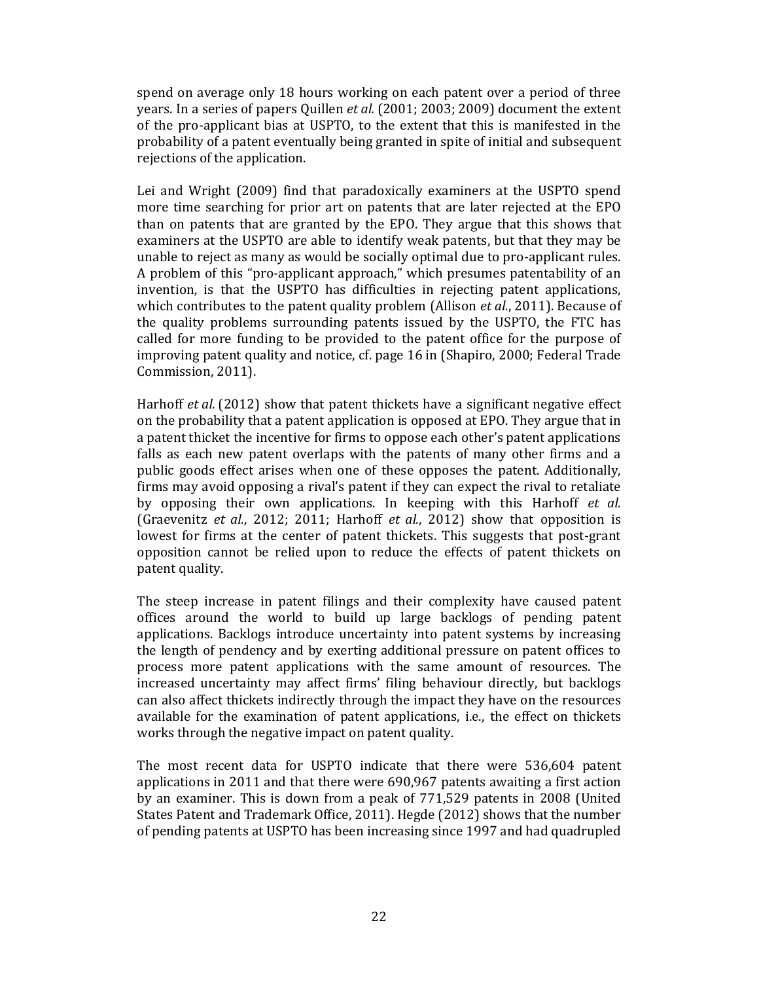spend on average only 18 hours working on each patent over a period of three years. In a series of papers Quillen *et al.* (2001; 2003; 2009) document the extent of the pro‐applicant bias at USPTO, to the extent that this is manifested in the probability of a patent eventually being granted in spite of initial and subsequent rejections of the application.

Lei and Wright (2009) find that paradoxically examiners at the USPTO spend more time searching for prior art on patents that are later rejected at the EPO than on patents that are granted by the EPO. They argue that this shows that examiners at the USPTO are able to identify weak patents, but that they may be unable to reject as many as would be socially optimal due to pro‐applicant rules. A problem of this "pro‐applicant approach," which presumes patentability of an invention, is that the USPTO has difficulties in rejecting patent applications, which contributes to the patent quality problem (Allison *et al.*, 2011). Because of the quality problems surrounding patents issued by the USPTO, the FTC has called for more funding to be provided to the patent office for the purpose of improving patent quality and notice, cf. page 16 in (Shapiro, 2000; Federal Trade Commission, 2011).

Harhoff *et al.* (2012) show that patent thickets have a significant negative effect on the probability that a patent application is opposed at EPO. They argue that in a patent thicket the incentive for firms to oppose each other's patent applications falls as each new patent overlaps with the patents of many other firms and a public goods effect arises when one of these opposes the patent. Additionally, firms may avoid opposing a rival's patent if they can expect the rival to retaliate by opposing their own applications. In keeping with this Harhoff *et al.* (Graevenitz *et al.*, 2012; 2011; Harhoff *et al.*, 2012) show that opposition is lowest for firms at the center of patent thickets. This suggests that post-grant opposition cannot be relied upon to reduce the effects of patent thickets on patent quality.

The steep increase in patent filings and their complexity have caused patent offices around the world to build up large backlogs of pending patent applications. Backlogs introduce uncertainty into patent systems by increasing the length of pendency and by exerting additional pressure on patent offices to process more patent applications with the same amount of resources. The increased uncertainty may affect firms' filing behaviour directly, but backlogs can also affect thickets indirectly through the impact they have on the resources available for the examination of patent applications, i.e., the effect on thickets works through the negative impact on patent quality.

The most recent data for USPTO indicate that there were 536,604 patent applications in 2011 and that there were 690,967 patents awaiting a first action by an examiner. This is down from a peak of 771,529 patents in 2008 (United States Patent and Trademark Office, 2011). Hegde (2012) shows that the number of pending patents at USPTO has been increasing since 1997 and had quadrupled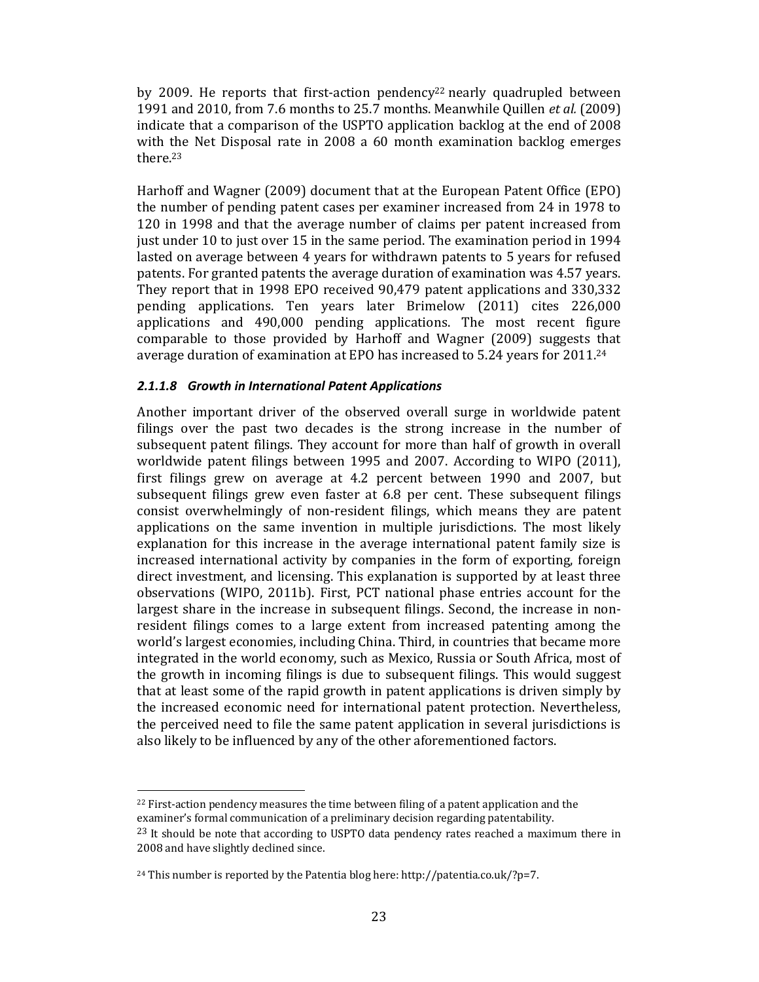by 2009. He reports that first-action pendency<sup>22</sup> nearly quadrupled between 1991 and 2010, from 7.6 months to 25.7 months. Meanwhile Quillen *et al.* (2009) indicate that a comparison of the USPTO application backlog at the end of 2008 with the Net Disposal rate in 2008 a 60 month examination backlog emerges there.23

Harhoff and Wagner (2009) document that at the European Patent Office (EPO) the number of pending patent cases per examiner increased from 24 in 1978 to 120 in 1998 and that the average number of claims per patent increased from just under 10 to just over 15 in the same period. The examination period in 1994 lasted on average between 4 years for withdrawn patents to 5 years for refused patents. For granted patents the average duration of examination was 4.57 years. They report that in 1998 EPO received 90,479 patent applications and 330,332 pending applications. Ten years later Brimelow (2011) cites 226,000 applications and 490,000 pending applications. The most recent figure comparable to those provided by Harhoff and Wagner (2009) suggests that average duration of examination at EPO has increased to 5.24 years for 2011.24

## *2.1.1.8 Growth in International Patent Applications*

Another important driver of the observed overall surge in worldwide patent filings over the past two decades is the strong increase in the number of subsequent patent filings. They account for more than half of growth in overall worldwide patent filings between 1995 and 2007. According to WIPO (2011), first filings grew on average at 4.2 percent between 1990 and 2007, but subsequent filings grew even faster at 6.8 per cent. These subsequent filings consist overwhelmingly of non‐resident filings, which means they are patent applications on the same invention in multiple jurisdictions. The most likely explanation for this increase in the average international patent family size is increased international activity by companies in the form of exporting, foreign direct investment, and licensing. This explanation is supported by at least three observations (WIPO, 2011b). First, PCT national phase entries account for the largest share in the increase in subsequent filings. Second, the increase in nonresident filings comes to a large extent from increased patenting among the world's largest economies, including China. Third, in countries that became more integrated in the world economy, such as Mexico, Russia or South Africa, most of the growth in incoming filings is due to subsequent filings. This would suggest that at least some of the rapid growth in patent applications is driven simply by the increased economic need for international patent protection. Nevertheless, the perceived need to file the same patent application in several jurisdictions is also likely to be influenced by any of the other aforementioned factors.

 $22$  First-action pendency measures the time between filing of a patent application and the

examiner's formal communication of a preliminary decision regarding patentability.

<sup>&</sup>lt;sup>23</sup> It should be note that according to USPTO data pendency rates reached a maximum there in 2008 and have slightly declined since.

<sup>&</sup>lt;sup>24</sup> This number is reported by the Patentia blog here: http://patentia.co.uk/?p=7.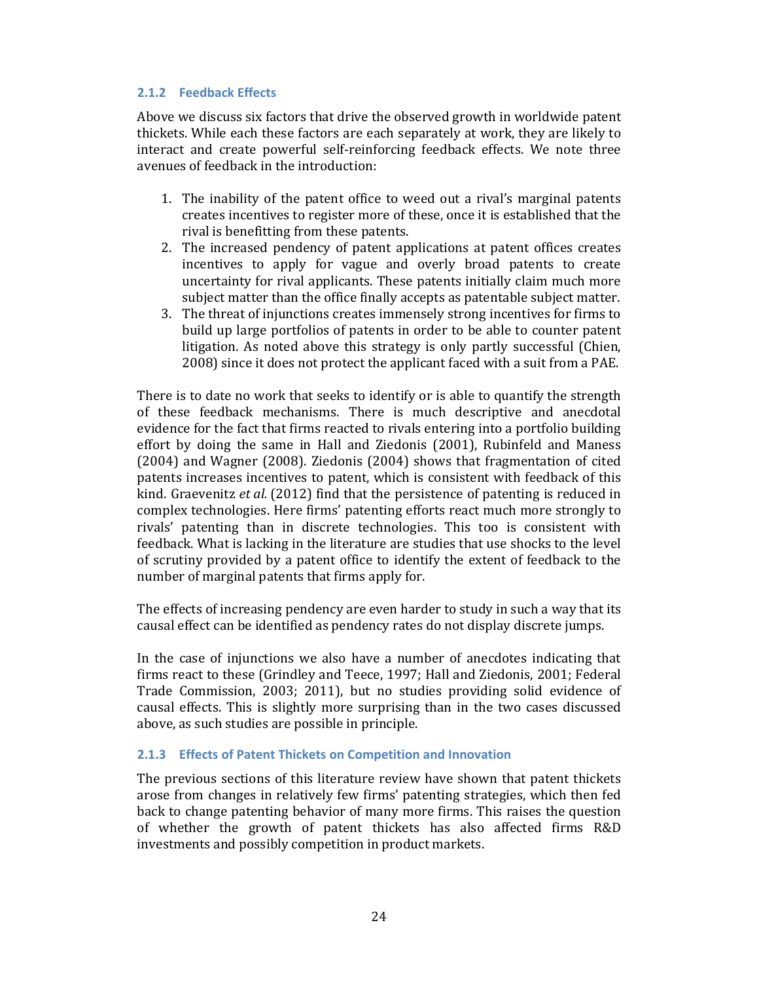## **2.1.2 Feedback Effects**

Above we discuss six factors that drive the observed growth in worldwide patent thickets. While each these factors are each separately at work, they are likely to interact and create powerful self-reinforcing feedback effects. We note three avenues of feedback in the introduction:

- 1. The inability of the patent office to weed out a rival's marginal patents creates incentives to register more of these, once it is established that the rival is benefitting from these patents.
- 2. The increased pendency of patent applications at patent offices creates incentives to apply for vague and overly broad patents to create uncertainty for rival applicants. These patents initially claim much more subject matter than the office finally accepts as patentable subject matter.
- 3. The threat of injunctions creates immensely strong incentives for firms to build up large portfolios of patents in order to be able to counter patent litigation. As noted above this strategy is only partly successful (Chien, 2008) since it does not protect the applicant faced with a suit from a PAE.

There is to date no work that seeks to identify or is able to quantify the strength of these feedback mechanisms. There is much descriptive and anecdotal evidence for the fact that firms reacted to rivals entering into a portfolio building effort by doing the same in Hall and Ziedonis (2001), Rubinfeld and Maness (2004) and Wagner (2008). Ziedonis (2004) shows that fragmentation of cited patents increases incentives to patent, which is consistent with feedback of this kind. Graevenitz *et al.* (2012) find that the persistence of patenting is reduced in complex technologies. Here firms' patenting efforts react much more strongly to rivals' patenting than in discrete technologies. This too is consistent with feedback. What is lacking in the literature are studies that use shocks to the level of scrutiny provided by a patent office to identify the extent of feedback to the number of marginal patents that firms apply for.

The effects of increasing pendency are even harder to study in such a way that its causal effect can be identified as pendency rates do not display discrete jumps.

In the case of injunctions we also have a number of anecdotes indicating that firms react to these (Grindley and Teece, 1997; Hall and Ziedonis, 2001; Federal Trade Commission, 2003; 2011), but no studies providing solid evidence of causal effects. This is slightly more surprising than in the two cases discussed above, as such studies are possible in principle.

## **2.1.3 Effects of Patent Thickets on Competition and Innovation**

The previous sections of this literature review have shown that patent thickets arose from changes in relatively few firms' patenting strategies, which then fed back to change patenting behavior of many more firms. This raises the question of whether the growth of patent thickets has also affected firms R&D investments and possibly competition in product markets.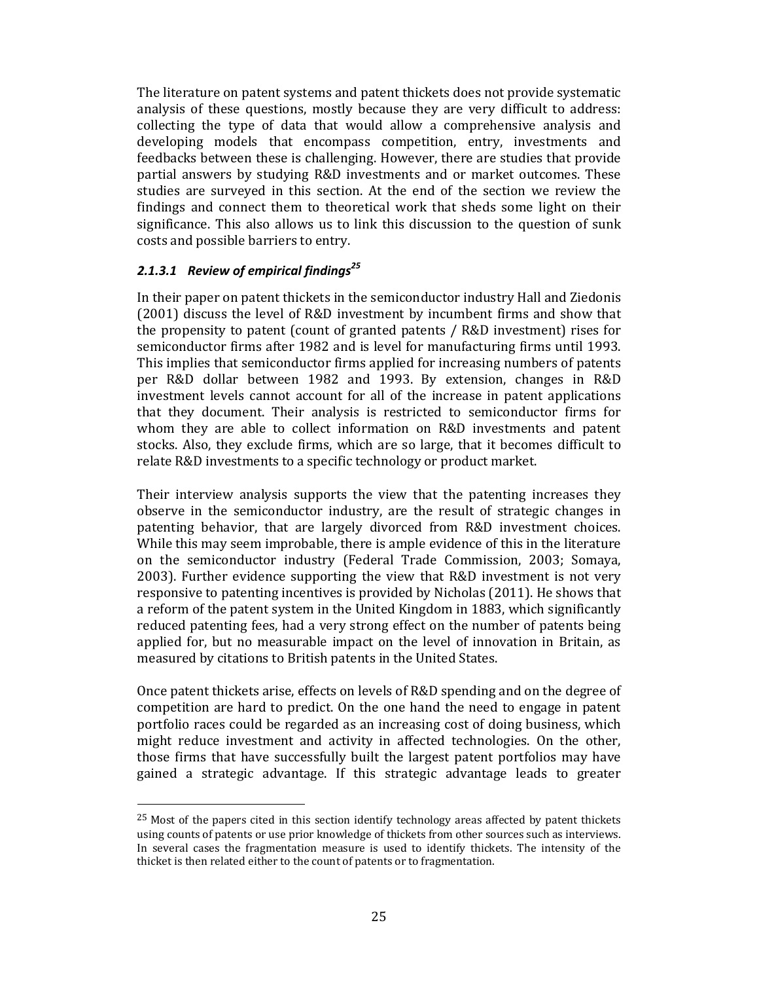The literature on patent systems and patent thickets does not provide systematic analysis of these questions, mostly because they are very difficult to address: collecting the type of data that would allow a comprehensive analysis and developing models that encompass competition, entry, investments and feedbacks between these is challenging. However, there are studies that provide partial answers by studying R&D investments and or market outcomes. These studies are surveyed in this section. At the end of the section we review the findings and connect them to theoretical work that sheds some light on their significance. This also allows us to link this discussion to the question of sunk costs and possible barriers to entry.

## *2.1.3.1 Review of empirical findings<sup>25</sup>*

In their paper on patent thickets in the semiconductor industry Hall and Ziedonis (2001) discuss the level of R&D investment by incumbent firms and show that the propensity to patent (count of granted patents / R&D investment) rises for semiconductor firms after 1982 and is level for manufacturing firms until 1993. This implies that semiconductor firms applied for increasing numbers of patents per R&D dollar between 1982 and 1993. By extension, changes in R&D investment levels cannot account for all of the increase in patent applications that they document. Their analysis is restricted to semiconductor firms for whom they are able to collect information on R&D investments and patent stocks. Also, they exclude firms, which are so large, that it becomes difficult to relate R&D investments to a specific technology or product market.

Their interview analysis supports the view that the patenting increases they observe in the semiconductor industry, are the result of strategic changes in patenting behavior, that are largely divorced from R&D investment choices. While this may seem improbable, there is ample evidence of this in the literature on the semiconductor industry (Federal Trade Commission, 2003; Somaya, 2003). Further evidence supporting the view that R&D investment is not very responsive to patenting incentives is provided by Nicholas (2011). He shows that a reform of the patent system in the United Kingdom in 1883, which significantly reduced patenting fees, had a very strong effect on the number of patents being applied for, but no measurable impact on the level of innovation in Britain, as measured by citations to British patents in the United States.

Once patent thickets arise, effects on levels of R&D spending and on the degree of competition are hard to predict. On the one hand the need to engage in patent portfolio races could be regarded as an increasing cost of doing business, which might reduce investment and activity in affected technologies. On the other, those firms that have successfully built the largest patent portfolios may have gained a strategic advantage. If this strategic advantage leads to greater

 $^{25}$  Most of the papers cited in this section identify technology areas affected by patent thickets using counts of patents or use prior knowledge of thickets from other sources such as interviews. In several cases the fragmentation measure is used to identify thickets. The intensity of the thicket is then related either to the count of patents or to fragmentation.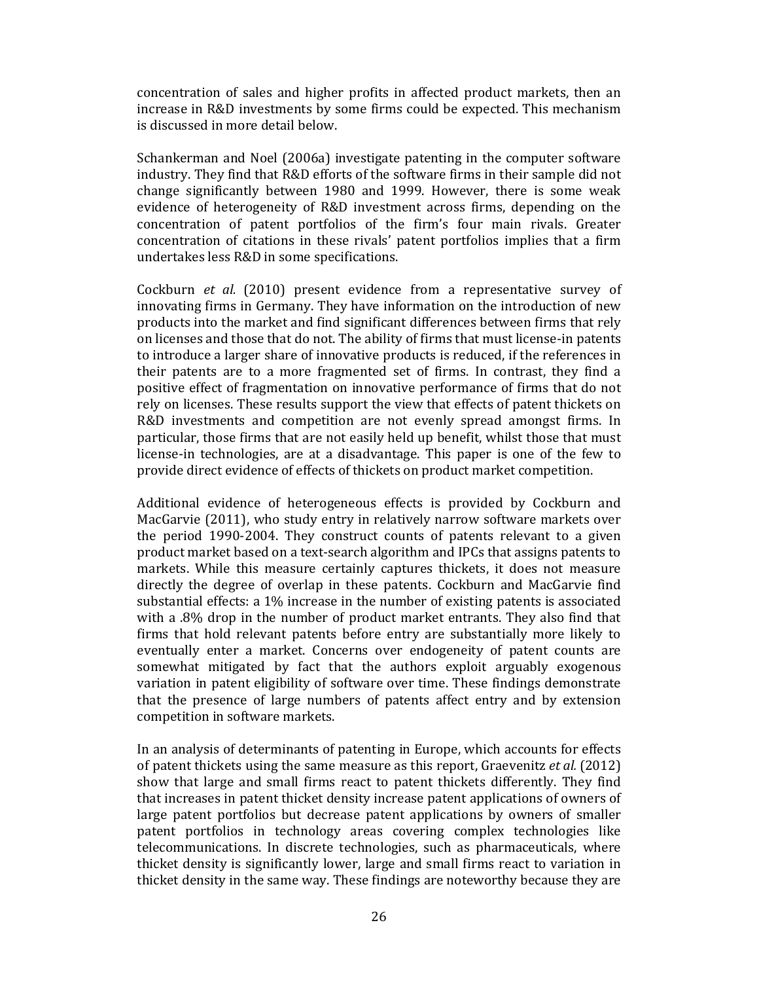concentration of sales and higher profits in affected product markets, then an increase in R&D investments by some firms could be expected. This mechanism is discussed in more detail below.

Schankerman and Noel (2006a) investigate patenting in the computer software industry. They find that R&D efforts of the software firms in their sample did not change significantly between 1980 and 1999. However, there is some weak evidence of heterogeneity of R&D investment across firms, depending on the concentration of patent portfolios of the firm's four main rivals. Greater concentration of citations in these rivals' patent portfolios implies that a firm undertakes less R&D in some specifications.

Cockburn *et al.* (2010) present evidence from a representative survey of innovating firms in Germany. They have information on the introduction of new products into the market and find significant differences between firms that rely on licenses and those that do not. The ability of firms that must license‐in patents to introduce a larger share of innovative products is reduced, if the references in their patents are to a more fragmented set of firms. In contrast, they find a positive effect of fragmentation on innovative performance of firms that do not rely on licenses. These results support the view that effects of patent thickets on R&D investments and competition are not evenly spread amongst firms. In particular, those firms that are not easily held up benefit, whilst those that must license‐in technologies, are at a disadvantage. This paper is one of the few to provide direct evidence of effects of thickets on product market competition.

Additional evidence of heterogeneous effects is provided by Cockburn and MacGarvie (2011), who study entry in relatively narrow software markets over the period 1990‐2004. They construct counts of patents relevant to a given product market based on a text‐search algorithm and IPCs that assigns patents to markets. While this measure certainly captures thickets, it does not measure directly the degree of overlap in these patents. Cockburn and MacGarvie find substantial effects: a 1% increase in the number of existing patents is associated with a .8% drop in the number of product market entrants. They also find that firms that hold relevant patents before entry are substantially more likely to eventually enter a market. Concerns over endogeneity of patent counts are somewhat mitigated by fact that the authors exploit arguably exogenous variation in patent eligibility of software over time. These findings demonstrate that the presence of large numbers of patents affect entry and by extension competition in software markets.

In an analysis of determinants of patenting in Europe, which accounts for effects of patent thickets using the same measure as this report, Graevenitz *et al.* (2012) show that large and small firms react to patent thickets differently. They find that increases in patent thicket density increase patent applications of owners of large patent portfolios but decrease patent applications by owners of smaller patent portfolios in technology areas covering complex technologies like telecommunications. In discrete technologies, such as pharmaceuticals, where thicket density is significantly lower, large and small firms react to variation in thicket density in the same way. These findings are noteworthy because they are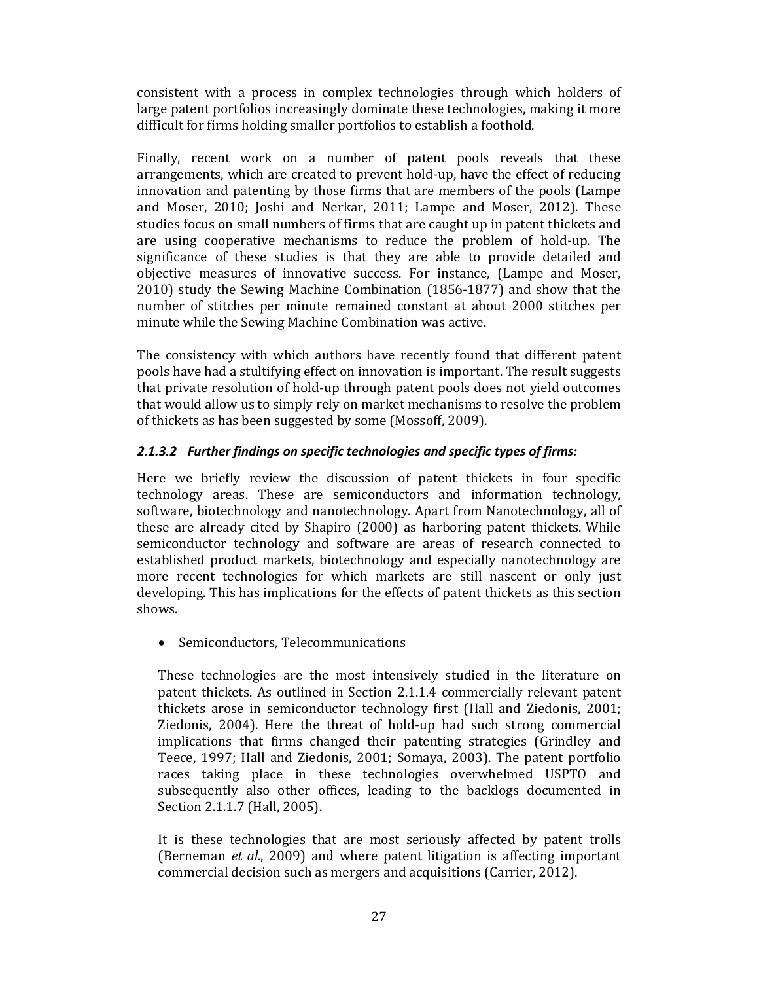consistent with a process in complex technologies through which holders of large patent portfolios increasingly dominate these technologies, making it more difficult for firms holding smaller portfolios to establish a foothold.

Finally, recent work on a number of patent pools reveals that these arrangements, which are created to prevent hold‐up, have the effect of reducing innovation and patenting by those firms that are members of the pools (Lampe and Moser, 2010; Joshi and Nerkar, 2011; Lampe and Moser, 2012). These studies focus on small numbers of firms that are caught up in patent thickets and are using cooperative mechanisms to reduce the problem of hold‐up. The significance of these studies is that they are able to provide detailed and objective measures of innovative success. For instance, (Lampe and Moser, 2010) study the Sewing Machine Combination (1856‐1877) and show that the number of stitches per minute remained constant at about 2000 stitches per minute while the Sewing Machine Combination was active.

The consistency with which authors have recently found that different patent pools have had a stultifying effect on innovation is important. The result suggests that private resolution of hold‐up through patent pools does not yield outcomes that would allow us to simply rely on market mechanisms to resolve the problem of thickets as has been suggested by some (Mossoff, 2009).

## *2.1.3.2 Further findings on specific technologies and specific types of firms:*

Here we briefly review the discussion of patent thickets in four specific technology areas. These are semiconductors and information technology, software, biotechnology and nanotechnology. Apart from Nanotechnology, all of these are already cited by Shapiro (2000) as harboring patent thickets. While semiconductor technology and software are areas of research connected to established product markets, biotechnology and especially nanotechnology are more recent technologies for which markets are still nascent or only just developing. This has implications for the effects of patent thickets as this section shows.

• Semiconductors, Telecommunications

These technologies are the most intensively studied in the literature on patent thickets. As outlined in Section 2.1.1.4 commercially relevant patent thickets arose in semiconductor technology first (Hall and Ziedonis, 2001; Ziedonis, 2004). Here the threat of hold‐up had such strong commercial implications that firms changed their patenting strategies (Grindley and Teece, 1997; Hall and Ziedonis, 2001; Somaya, 2003). The patent portfolio races taking place in these technologies overwhelmed USPTO and subsequently also other offices, leading to the backlogs documented in Section 2.1.1.7 (Hall, 2005).

It is these technologies that are most seriously affected by patent trolls (Berneman *et al.*, 2009) and where patent litigation is affecting important commercial decision such as mergers and acquisitions (Carrier, 2012).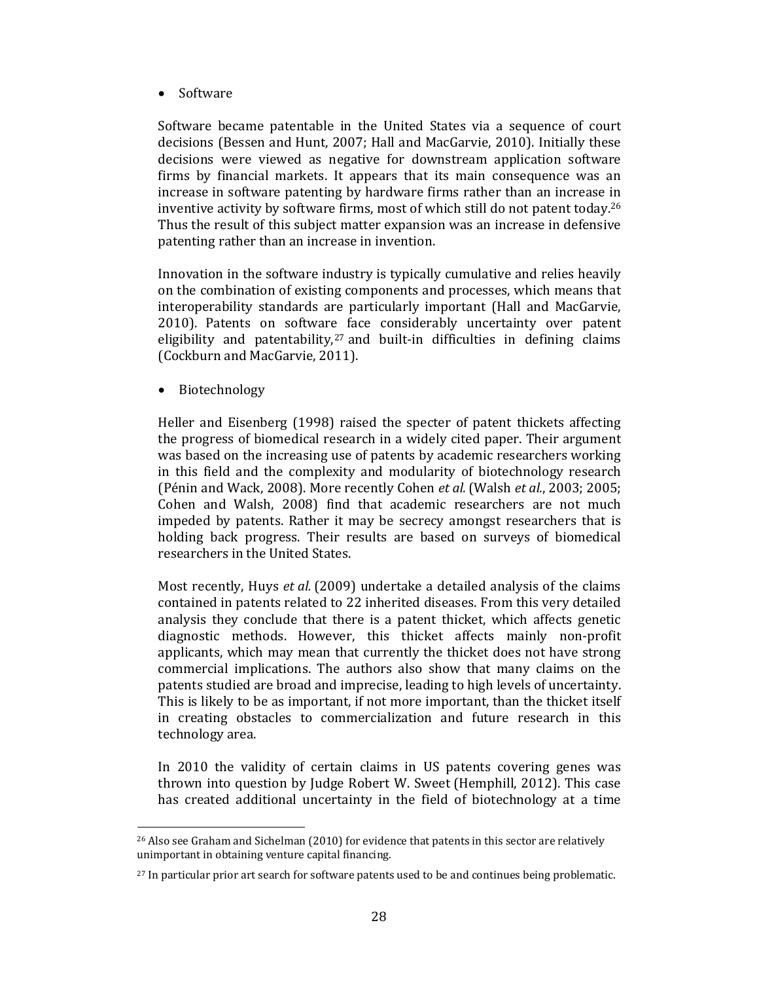• Software

Software became patentable in the United States via a sequence of court decisions (Bessen and Hunt, 2007; Hall and MacGarvie, 2010). Initially these decisions were viewed as negative for downstream application software firms by financial markets. It appears that its main consequence was an increase in software patenting by hardware firms rather than an increase in inventive activity by software firms, most of which still do not patent today.26 Thus the result of this subject matter expansion was an increase in defensive patenting rather than an increase in invention.

Innovation in the software industry is typically cumulative and relies heavily on the combination of existing components and processes, which means that interoperability standards are particularly important (Hall and MacGarvie, 2010). Patents on software face considerably uncertainty over patent eligibility and patentability, $27$  and built-in difficulties in defining claims (Cockburn and MacGarvie, 2011).

• Biotechnology

Heller and Eisenberg (1998) raised the specter of patent thickets affecting the progress of biomedical research in a widely cited paper. Their argument was based on the increasing use of patents by academic researchers working in this field and the complexity and modularity of biotechnology research (Pénin and Wack, 2008). More recently Cohen *et al.* (Walsh *et al.*, 2003; 2005; Cohen and Walsh, 2008) find that academic researchers are not much impeded by patents. Rather it may be secrecy amongst researchers that is holding back progress. Their results are based on surveys of biomedical researchers in the United States.

Most recently, Huys *et al.* (2009) undertake a detailed analysis of the claims contained in patents related to 22 inherited diseases. From this very detailed analysis they conclude that there is a patent thicket, which affects genetic diagnostic methods. However, this thicket affects mainly non‐profit applicants, which may mean that currently the thicket does not have strong commercial implications. The authors also show that many claims on the patents studied are broad and imprecise, leading to high levels of uncertainty. This is likely to be as important, if not more important, than the thicket itself in creating obstacles to commercialization and future research in this technology area.

In 2010 the validity of certain claims in US patents covering genes was thrown into question by Judge Robert W. Sweet (Hemphill, 2012). This case has created additional uncertainty in the field of biotechnology at a time

<sup>&</sup>lt;sup>26</sup> Also see Graham and Sichelman (2010) for evidence that patents in this sector are relatively unimportant in obtaining venture capital financing.

 $27$  In particular prior art search for software patents used to be and continues being problematic.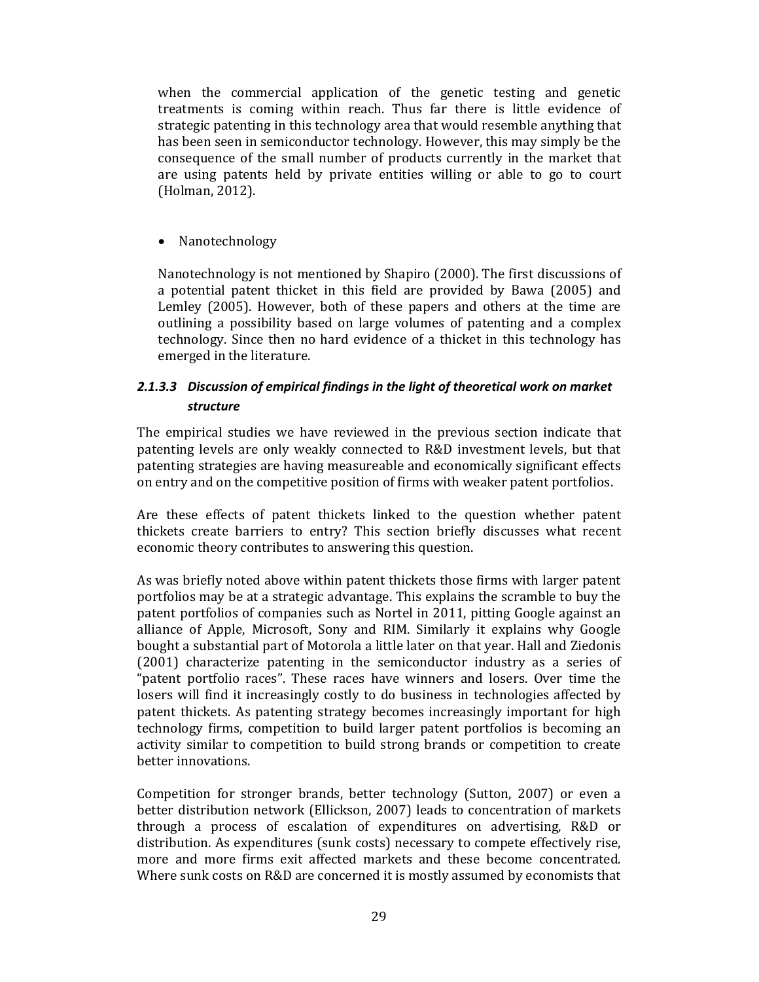when the commercial application of the genetic testing and genetic treatments is coming within reach. Thus far there is little evidence of strategic patenting in this technology area that would resemble anything that has been seen in semiconductor technology. However, this may simply be the consequence of the small number of products currently in the market that are using patents held by private entities willing or able to go to court (Holman, 2012).

## • Nanotechnology

Nanotechnology is not mentioned by Shapiro (2000). The first discussions of a potential patent thicket in this field are provided by Bawa (2005) and Lemley (2005). However, both of these papers and others at the time are outlining a possibility based on large volumes of patenting and a complex technology. Since then no hard evidence of a thicket in this technology has emerged in the literature.

## *2.1.3.3 Discussion of empirical findings in the light of theoretical work on market structure*

The empirical studies we have reviewed in the previous section indicate that patenting levels are only weakly connected to R&D investment levels, but that patenting strategies are having measureable and economically significant effects on entry and on the competitive position of firms with weaker patent portfolios.

Are these effects of patent thickets linked to the question whether patent thickets create barriers to entry? This section briefly discusses what recent economic theory contributes to answering this question.

As was briefly noted above within patent thickets those firms with larger patent portfolios may be at a strategic advantage. This explains the scramble to buy the patent portfolios of companies such as Nortel in 2011, pitting Google against an alliance of Apple, Microsoft, Sony and RIM. Similarly it explains why Google bought a substantial part of Motorola a little later on that year. Hall and Ziedonis (2001) characterize patenting in the semiconductor industry as a series of "patent portfolio races". These races have winners and losers. Over time the losers will find it increasingly costly to do business in technologies affected by patent thickets. As patenting strategy becomes increasingly important for high technology firms, competition to build larger patent portfolios is becoming an activity similar to competition to build strong brands or competition to create better innovations.

Competition for stronger brands, better technology (Sutton, 2007) or even a better distribution network (Ellickson, 2007) leads to concentration of markets through a process of escalation of expenditures on advertising, R&D or distribution. As expenditures (sunk costs) necessary to compete effectively rise, more and more firms exit affected markets and these become concentrated. Where sunk costs on R&D are concerned it is mostly assumed by economists that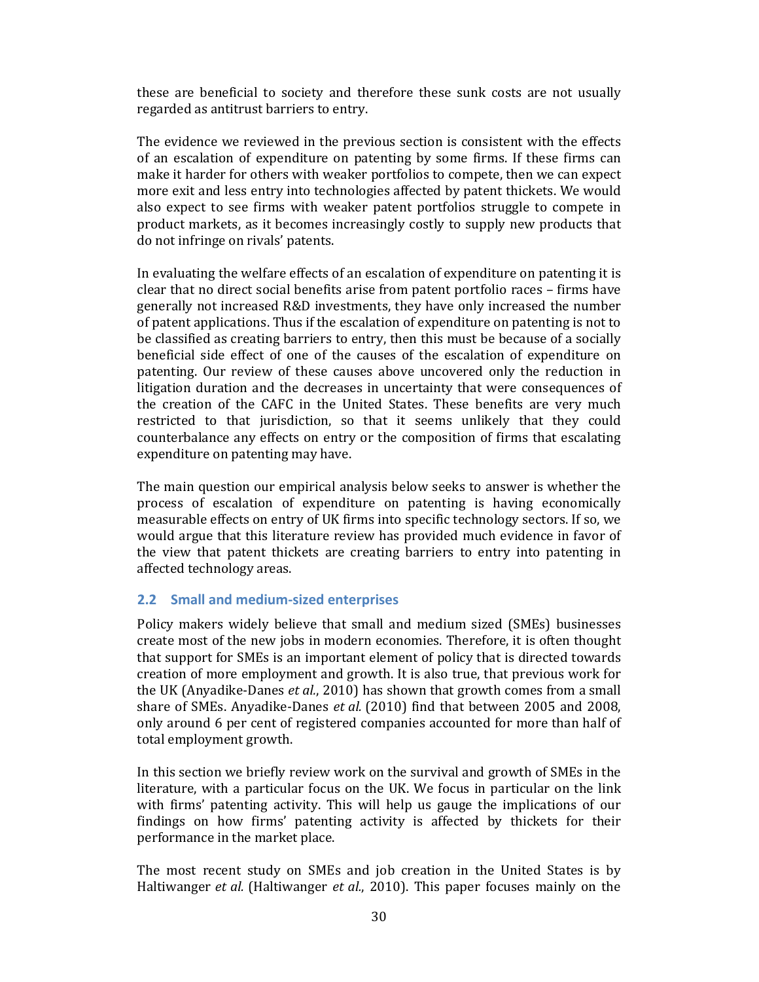these are beneficial to society and therefore these sunk costs are not usually regarded as antitrust barriers to entry.

The evidence we reviewed in the previous section is consistent with the effects of an escalation of expenditure on patenting by some firms. If these firms can make it harder for others with weaker portfolios to compete, then we can expect more exit and less entry into technologies affected by patent thickets. We would also expect to see firms with weaker patent portfolios struggle to compete in product markets, as it becomes increasingly costly to supply new products that do not infringe on rivals' patents.

In evaluating the welfare effects of an escalation of expenditure on patenting it is clear that no direct social benefits arise from patent portfolio races – firms have generally not increased R&D investments, they have only increased the number of patent applications. Thus if the escalation of expenditure on patenting is not to be classified as creating barriers to entry, then this must be because of a socially beneficial side effect of one of the causes of the escalation of expenditure on patenting. Our review of these causes above uncovered only the reduction in litigation duration and the decreases in uncertainty that were consequences of the creation of the CAFC in the United States. These benefits are very much restricted to that jurisdiction, so that it seems unlikely that they could counterbalance any effects on entry or the composition of firms that escalating expenditure on patenting may have.

The main question our empirical analysis below seeks to answer is whether the process of escalation of expenditure on patenting is having economically measurable effects on entry of UK firms into specific technology sectors. If so, we would argue that this literature review has provided much evidence in favor of the view that patent thickets are creating barriers to entry into patenting in affected technology areas.

## **2.2 Small and medium‐sized enterprises**

Policy makers widely believe that small and medium sized (SMEs) businesses create most of the new jobs in modern economies. Therefore, it is often thought that support for SMEs is an important element of policy that is directed towards creation of more employment and growth. It is also true, that previous work for the UK (Anyadike‐Danes *et al.*, 2010) has shown that growth comes from a small share of SMEs. Anyadike‐Danes *et al.* (2010) find that between 2005 and 2008, only around 6 per cent of registered companies accounted for more than half of total employment growth.

In this section we briefly review work on the survival and growth of SMEs in the literature, with a particular focus on the UK. We focus in particular on the link with firms' patenting activity. This will help us gauge the implications of our findings on how firms' patenting activity is affected by thickets for their performance in the market place.

The most recent study on SMEs and job creation in the United States is by Haltiwanger *et al.* (Haltiwanger *et al.*, 2010). This paper focuses mainly on the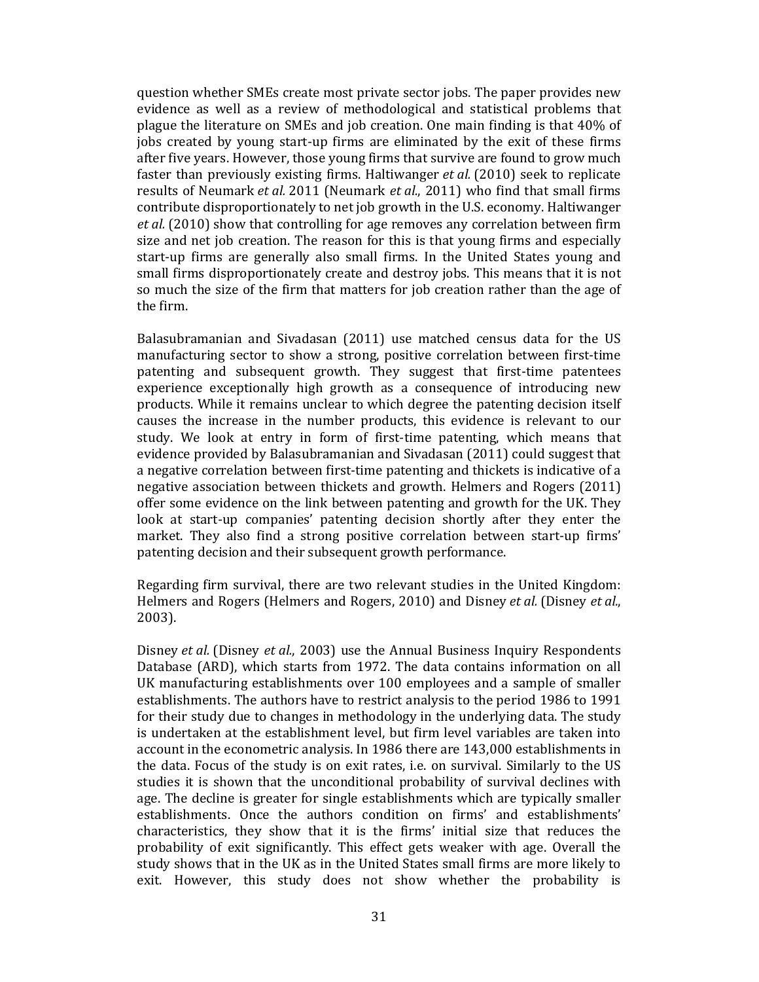question whether SMEs create most private sector jobs. The paper provides new evidence as well as a review of methodological and statistical problems that plague the literature on SMEs and job creation. One main finding is that 40% of jobs created by young start‐up firms are eliminated by the exit of these firms after five years. However, those young firms that survive are found to grow much faster than previously existing firms. Haltiwanger *et al.* (2010) seek to replicate results of Neumark *et al.* 2011 (Neumark *et al.*, 2011) who find that small firms contribute disproportionately to net job growth in the U.S. economy. Haltiwanger *et al.* (2010) show that controlling for age removes any correlation between firm size and net job creation. The reason for this is that young firms and especially start-up firms are generally also small firms. In the United States young and small firms disproportionately create and destroy jobs. This means that it is not so much the size of the firm that matters for job creation rather than the age of the firm.

Balasubramanian and Sivadasan (2011) use matched census data for the US manufacturing sector to show a strong, positive correlation between first-time patenting and subsequent growth. They suggest that first-time patentees experience exceptionally high growth as a consequence of introducing new products. While it remains unclear to which degree the patenting decision itself causes the increase in the number products, this evidence is relevant to our study. We look at entry in form of first-time patenting, which means that evidence provided by Balasubramanian and Sivadasan (2011) could suggest that a negative correlation between first-time patenting and thickets is indicative of a negative association between thickets and growth. Helmers and Rogers (2011) offer some evidence on the link between patenting and growth for the UK. They look at start-up companies' patenting decision shortly after they enter the market. They also find a strong positive correlation between start-up firms' patenting decision and their subsequent growth performance.

Regarding firm survival, there are two relevant studies in the United Kingdom: Helmers and Rogers (Helmers and Rogers, 2010) and Disney *et al.* (Disney *et al.*, 2003).

Disney *et al.* (Disney *et al.*, 2003) use the Annual Business Inquiry Respondents Database (ARD), which starts from 1972. The data contains information on all UK manufacturing establishments over 100 employees and a sample of smaller establishments. The authors have to restrict analysis to the period 1986 to 1991 for their study due to changes in methodology in the underlying data. The study is undertaken at the establishment level, but firm level variables are taken into account in the econometric analysis. In 1986 there are 143,000 establishments in the data. Focus of the study is on exit rates, i.e. on survival. Similarly to the US studies it is shown that the unconditional probability of survival declines with age. The decline is greater for single establishments which are typically smaller establishments. Once the authors condition on firms' and establishments' characteristics, they show that it is the firms' initial size that reduces the probability of exit significantly. This effect gets weaker with age. Overall the study shows that in the UK as in the United States small firms are more likely to exit. However, this study does not show whether the probability is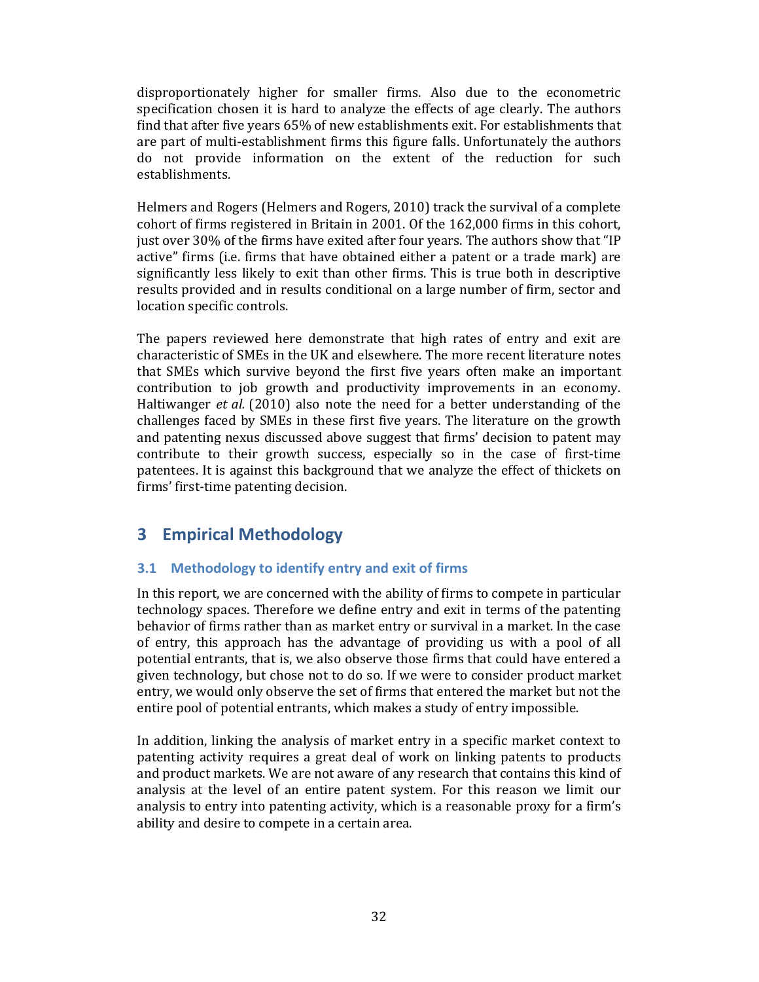disproportionately higher for smaller firms. Also due to the econometric specification chosen it is hard to analyze the effects of age clearly. The authors find that after five years 65% of new establishments exit. For establishments that are part of multi‐establishment firms this figure falls. Unfortunately the authors do not provide information on the extent of the reduction for such establishments.

Helmers and Rogers (Helmers and Rogers, 2010) track the survival of a complete cohort of firms registered in Britain in 2001. Of the 162,000 firms in this cohort, just over 30% of the firms have exited after four years. The authors show that "IP active" firms (i.e. firms that have obtained either a patent or a trade mark) are significantly less likely to exit than other firms. This is true both in descriptive results provided and in results conditional on a large number of firm, sector and location specific controls.

The papers reviewed here demonstrate that high rates of entry and exit are characteristic of SMEs in the UK and elsewhere. The more recent literature notes that SMEs which survive beyond the first five years often make an important contribution to job growth and productivity improvements in an economy. Haltiwanger *et al.* (2010) also note the need for a better understanding of the challenges faced by SMEs in these first five years. The literature on the growth and patenting nexus discussed above suggest that firms' decision to patent may contribute to their growth success, especially so in the case of first-time patentees. It is against this background that we analyze the effect of thickets on firms' first-time patenting decision.

## **3 Empirical Methodology**

## **3.1 Methodology to identify entry and exit of firms**

In this report, we are concerned with the ability of firms to compete in particular technology spaces. Therefore we define entry and exit in terms of the patenting behavior of firms rather than as market entry or survival in a market. In the case of entry, this approach has the advantage of providing us with a pool of all potential entrants, that is, we also observe those firms that could have entered a given technology, but chose not to do so. If we were to consider product market entry, we would only observe the set of firms that entered the market but not the entire pool of potential entrants, which makes a study of entry impossible.

In addition, linking the analysis of market entry in a specific market context to patenting activity requires a great deal of work on linking patents to products and product markets. We are not aware of any research that contains this kind of analysis at the level of an entire patent system. For this reason we limit our analysis to entry into patenting activity, which is a reasonable proxy for a firm's ability and desire to compete in a certain area.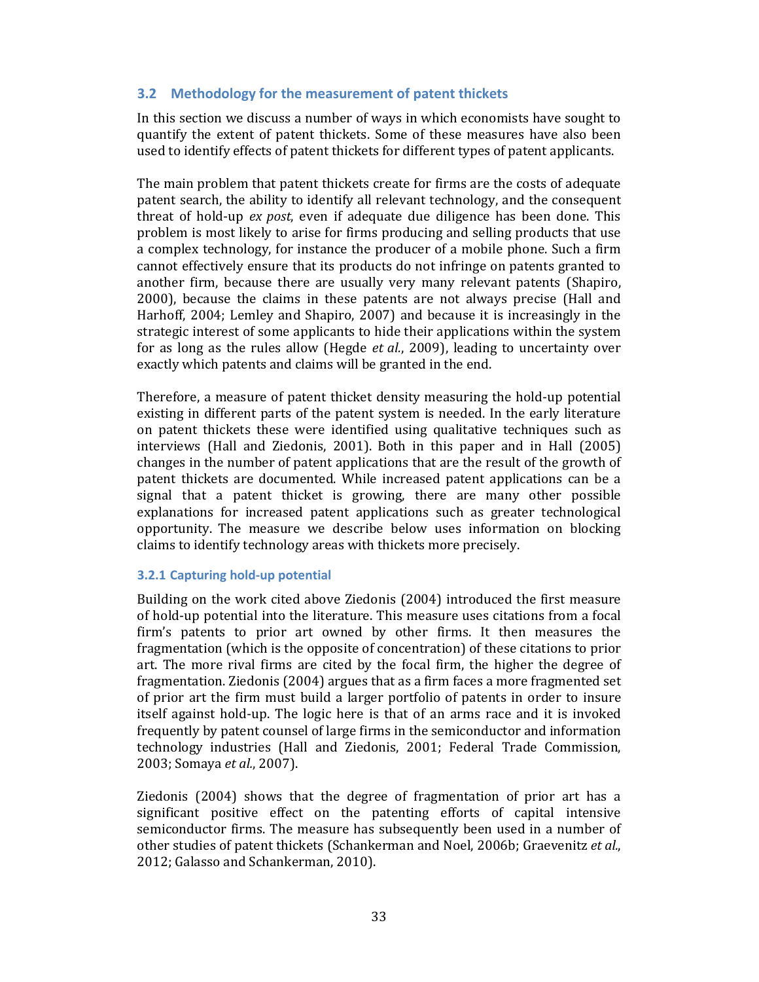## **3.2 Methodology for the measurement of patent thickets**

In this section we discuss a number of ways in which economists have sought to quantify the extent of patent thickets. Some of these measures have also been used to identify effects of patent thickets for different types of patent applicants.

The main problem that patent thickets create for firms are the costs of adequate patent search, the ability to identify all relevant technology, and the consequent threat of hold‐up *ex post*, even if adequate due diligence has been done. This problem is most likely to arise for firms producing and selling products that use a complex technology, for instance the producer of a mobile phone. Such a firm cannot effectively ensure that its products do not infringe on patents granted to another firm, because there are usually very many relevant patents (Shapiro, 2000), because the claims in these patents are not always precise (Hall and Harhoff, 2004; Lemley and Shapiro, 2007) and because it is increasingly in the strategic interest of some applicants to hide their applications within the system for as long as the rules allow (Hegde *et al.*, 2009), leading to uncertainty over exactly which patents and claims will be granted in the end.

Therefore, a measure of patent thicket density measuring the hold‐up potential existing in different parts of the patent system is needed. In the early literature on patent thickets these were identified using qualitative techniques such as interviews (Hall and Ziedonis, 2001). Both in this paper and in Hall (2005) changes in the number of patent applications that are the result of the growth of patent thickets are documented. While increased patent applications can be a signal that a patent thicket is growing, there are many other possible explanations for increased patent applications such as greater technological opportunity. The measure we describe below uses information on blocking claims to identify technology areas with thickets more precisely.

## **3.2.1 Capturing hold‐up potential**

Building on the work cited above Ziedonis (2004) introduced the first measure of hold‐up potential into the literature. This measure uses citations from a focal firm's patents to prior art owned by other firms. It then measures the fragmentation (which is the opposite of concentration) of these citations to prior art. The more rival firms are cited by the focal firm, the higher the degree of fragmentation. Ziedonis (2004) argues that as a firm faces a more fragmented set of prior art the firm must build a larger portfolio of patents in order to insure itself against hold‐up. The logic here is that of an arms race and it is invoked frequently by patent counsel of large firms in the semiconductor and information technology industries (Hall and Ziedonis, 2001; Federal Trade Commission, 2003; Somaya *et al.*, 2007).

Ziedonis (2004) shows that the degree of fragmentation of prior art has a significant positive effect on the patenting efforts of capital intensive semiconductor firms. The measure has subsequently been used in a number of other studies of patent thickets (Schankerman and Noel, 2006b; Graevenitz *et al.*, 2012; Galasso and Schankerman, 2010).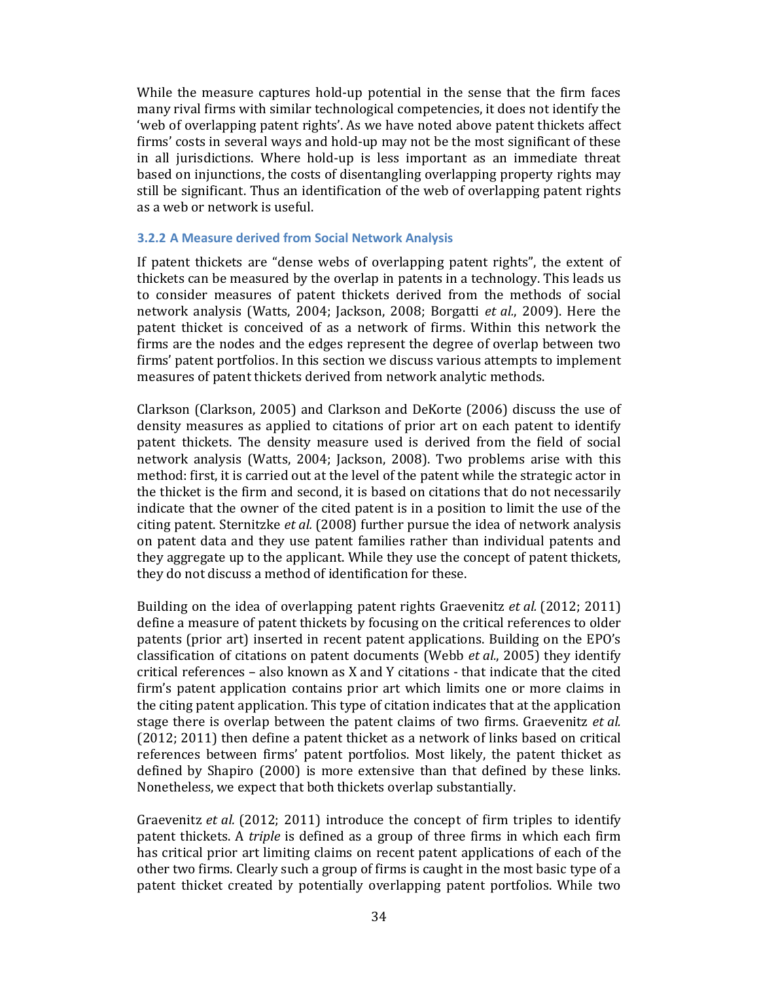While the measure captures hold-up potential in the sense that the firm faces many rival firms with similar technological competencies, it does not identify the 'web of overlapping patent rights'. As we have noted above patent thickets affect firms' costs in several ways and hold‐up may not be the most significant of these in all jurisdictions. Where hold-up is less important as an immediate threat based on injunctions, the costs of disentangling overlapping property rights may still be significant. Thus an identification of the web of overlapping patent rights as a web or network is useful.

#### **3.2.2 A Measure derived from Social Network Analysis**

If patent thickets are "dense webs of overlapping patent rights", the extent of thickets can be measured by the overlap in patents in a technology. This leads us to consider measures of patent thickets derived from the methods of social network analysis (Watts, 2004; Jackson, 2008; Borgatti *et al.*, 2009). Here the patent thicket is conceived of as a network of firms. Within this network the firms are the nodes and the edges represent the degree of overlap between two firms' patent portfolios. In this section we discuss various attempts to implement measures of patent thickets derived from network analytic methods.

Clarkson (Clarkson, 2005) and Clarkson and DeKorte (2006) discuss the use of density measures as applied to citations of prior art on each patent to identify patent thickets. The density measure used is derived from the field of social network analysis (Watts, 2004; Jackson, 2008). Two problems arise with this method: first, it is carried out at the level of the patent while the strategic actor in the thicket is the firm and second, it is based on citations that do not necessarily indicate that the owner of the cited patent is in a position to limit the use of the citing patent. Sternitzke *et al.* (2008) further pursue the idea of network analysis on patent data and they use patent families rather than individual patents and they aggregate up to the applicant. While they use the concept of patent thickets, they do not discuss a method of identification for these.

Building on the idea of overlapping patent rights Graevenitz *et al.* (2012; 2011) define a measure of patent thickets by focusing on the critical references to older patents (prior art) inserted in recent patent applications. Building on the EPO's classification of citations on patent documents (Webb *et al.*, 2005) they identify critical references – also known as X and Y citations ‐ that indicate that the cited firm's patent application contains prior art which limits one or more claims in the citing patent application. This type of citation indicates that at the application stage there is overlap between the patent claims of two firms. Graevenitz *et al.* (2012; 2011) then define a patent thicket as a network of links based on critical references between firms' patent portfolios. Most likely, the patent thicket as defined by Shapiro (2000) is more extensive than that defined by these links. Nonetheless, we expect that both thickets overlap substantially.

Graevenitz *et al.* (2012; 2011) introduce the concept of firm triples to identify patent thickets. A *triple* is defined as a group of three firms in which each firm has critical prior art limiting claims on recent patent applications of each of the other two firms. Clearly such a group of firms is caught in the most basic type of a patent thicket created by potentially overlapping patent portfolios. While two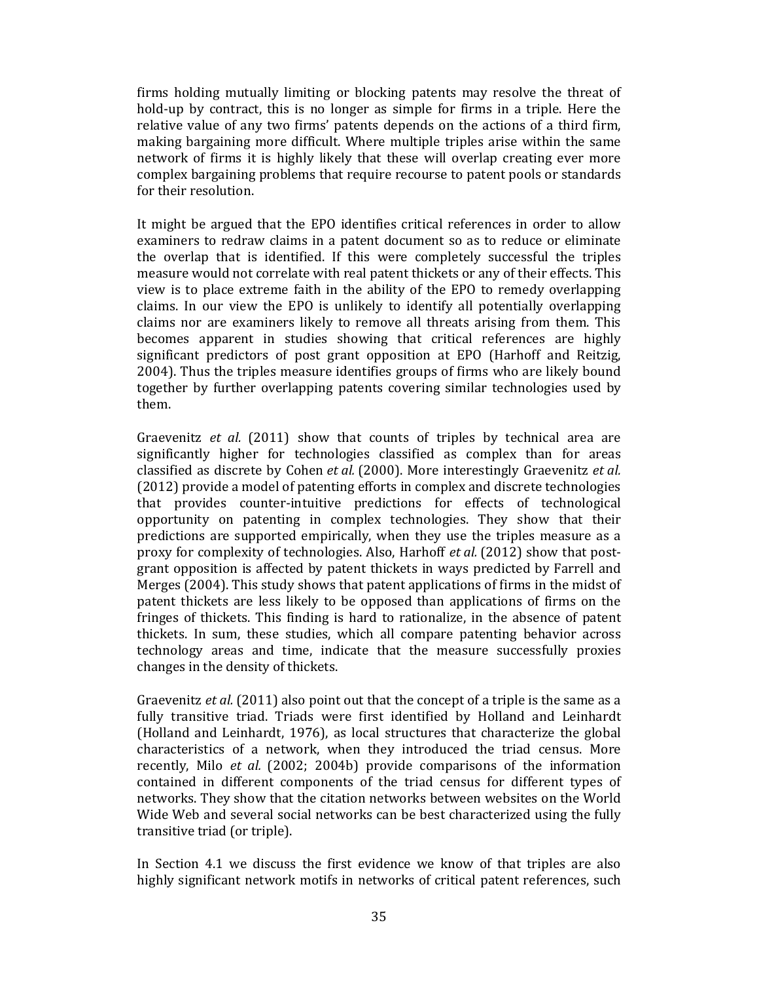firms holding mutually limiting or blocking patents may resolve the threat of hold-up by contract, this is no longer as simple for firms in a triple. Here the relative value of any two firms' patents depends on the actions of a third firm, making bargaining more difficult. Where multiple triples arise within the same network of firms it is highly likely that these will overlap creating ever more complex bargaining problems that require recourse to patent pools or standards for their resolution.

It might be argued that the EPO identifies critical references in order to allow examiners to redraw claims in a patent document so as to reduce or eliminate the overlap that is identified. If this were completely successful the triples measure would not correlate with real patent thickets or any of their effects. This view is to place extreme faith in the ability of the EPO to remedy overlapping claims. In our view the EPO is unlikely to identify all potentially overlapping claims nor are examiners likely to remove all threats arising from them. This becomes apparent in studies showing that critical references are highly significant predictors of post grant opposition at EPO (Harhoff and Reitzig, 2004). Thus the triples measure identifies groups of firms who are likely bound together by further overlapping patents covering similar technologies used by them.

Graevenitz *et al.* (2011) show that counts of triples by technical area are significantly higher for technologies classified as complex than for areas classified as discrete by Cohen *et al.* (2000). More interestingly Graevenitz *et al.* (2012) provide a model of patenting efforts in complex and discrete technologies that provides counter‐intuitive predictions for effects of technological opportunity on patenting in complex technologies. They show that their predictions are supported empirically, when they use the triples measure as a proxy for complexity of technologies. Also, Harhoff *et al.* (2012) show that post‐ grant opposition is affected by patent thickets in ways predicted by Farrell and Merges (2004). This study shows that patent applications of firms in the midst of patent thickets are less likely to be opposed than applications of firms on the fringes of thickets. This finding is hard to rationalize, in the absence of patent thickets. In sum, these studies, which all compare patenting behavior across technology areas and time, indicate that the measure successfully proxies changes in the density of thickets.

Graevenitz *et al.* (2011) also point out that the concept of a triple is the same as a fully transitive triad. Triads were first identified by Holland and Leinhardt (Holland and Leinhardt, 1976), as local structures that characterize the global characteristics of a network, when they introduced the triad census. More recently, Milo *et al.* (2002; 2004b) provide comparisons of the information contained in different components of the triad census for different types of networks. They show that the citation networks between websites on the World Wide Web and several social networks can be best characterized using the fully transitive triad (or triple).

In Section 4.1 we discuss the first evidence we know of that triples are also highly significant network motifs in networks of critical patent references, such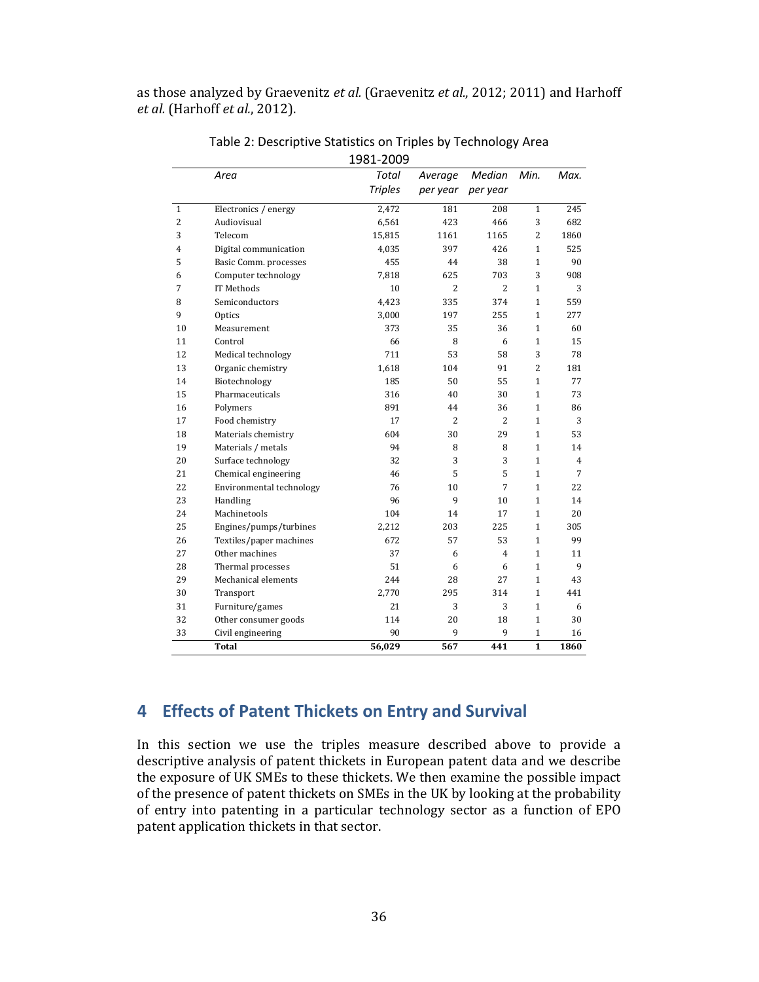as those analyzed by Graevenitz *et al.* (Graevenitz *et al.*, 2012; 2011) and Harhoff *et al.* (Harhoff *et al.*, 2012).

|                | Area                     | ⊥⊃ບ⊥−∠ບບ⊃<br>Total | Average        | Median         | Min.           | Max. |
|----------------|--------------------------|--------------------|----------------|----------------|----------------|------|
|                |                          | <b>Triples</b>     | per year       | per year       |                |      |
| $\mathbf{1}$   | Electronics / energy     | 2,472              | 181            | 208            | $\mathbf{1}$   | 245  |
| $\overline{2}$ | Audiovisual              | 6,561              | 423            | 466            | 3              | 682  |
| 3              | Telecom                  | 15,815             | 1161           | 1165           | 2              | 1860 |
| 4              | Digital communication    | 4,035              | 397            | 426            | $\mathbf{1}$   | 525  |
| 5              | Basic Comm. processes    | 455                | 44             | 38             | $\mathbf{1}$   | 90   |
| 6              | Computer technology      | 7.818              | 625            | 703            | 3              | 908  |
| 7              | <b>IT Methods</b>        | 10                 | 2              | 2              | $\mathbf{1}$   | 3    |
| 8              | Semiconductors           | 4,423              | 335            | 374            | $\mathbf{1}$   | 559  |
| 9              | Optics                   | 3,000              | 197            | 255            | $\mathbf{1}$   | 277  |
| 10             | Measurement              | 373                | 35             | 36             | $\mathbf{1}$   | 60   |
| 11             | Control                  | 66                 | 8              | 6              | $\mathbf{1}$   | 15   |
| 12             | Medical technology       | 711                | 53             | 58             | 3              | 78   |
| 13             | Organic chemistry        | 1,618              | 104            | 91             | $\overline{c}$ | 181  |
| 14             | Biotechnology            | 185                | 50             | 55             | $\mathbf{1}$   | 77   |
| 15             | Pharmaceuticals          | 316                | 40             | 30             | $\mathbf{1}$   | 73   |
| 16             | Polymers                 | 891                | 44             | 36             | $\mathbf{1}$   | 86   |
| 17             | Food chemistry           | 17                 | $\overline{2}$ | $\overline{c}$ | $\mathbf{1}$   | 3    |
| 18             | Materials chemistry      | 604                | 30             | 29             | $\mathbf{1}$   | 53   |
| 19             | Materials / metals       | 94                 | 8              | 8              | $\mathbf{1}$   | 14   |
| 20             | Surface technology       | 32                 | 3              | 3              | $\mathbf{1}$   | 4    |
| 21             | Chemical engineering     | 46                 | 5              | 5              | $\mathbf{1}$   | 7    |
| 22             | Environmental technology | 76                 | 10             | 7              | $\mathbf{1}$   | 22   |
| 23             | Handling                 | 96                 | 9              | 10             | $\mathbf{1}$   | 14   |
| 24             | Machinetools             | 104                | 14             | 17             | $\mathbf{1}$   | 20   |
| 25             | Engines/pumps/turbines   | 2,212              | 203            | 225            | $\mathbf{1}$   | 305  |
| 26             | Textiles/paper machines  | 672                | 57             | 53             | $\mathbf{1}$   | 99   |
| 27             | Other machines           | 37                 | 6              | 4              | $\mathbf{1}$   | 11   |
| 28             | Thermal processes        | 51                 | 6              | 6              | $\mathbf{1}$   | 9    |
| 29             | Mechanical elements      | 244                | 28             | 27             | $\mathbf{1}$   | 43   |
| 30             | Transport                | 2,770              | 295            | 314            | $\mathbf{1}$   | 441  |
| 31             | Furniture/games          | 21                 | 3              | 3              | $\mathbf{1}$   | 6    |
| 32             | Other consumer goods     | 114                | 20             | 18             | $\mathbf{1}$   | 30   |
| 33             | Civil engineering        | 90                 | 9              | 9              | $\mathbf{1}$   | 16   |
|                | <b>Total</b>             | 56,029             | 567            | 441            | $\mathbf{1}$   | 1860 |

Table 2: Descriptive Statistics on Triples by Technology Area 1981‐2009

## **4 Effects of Patent Thickets on Entry and Survival**

In this section we use the triples measure described above to provide a descriptive analysis of patent thickets in European patent data and we describe the exposure of UK SMEs to these thickets. We then examine the possible impact of the presence of patent thickets on SMEs in the UK by looking at the probability of entry into patenting in a particular technology sector as a function of EPO patent application thickets in that sector.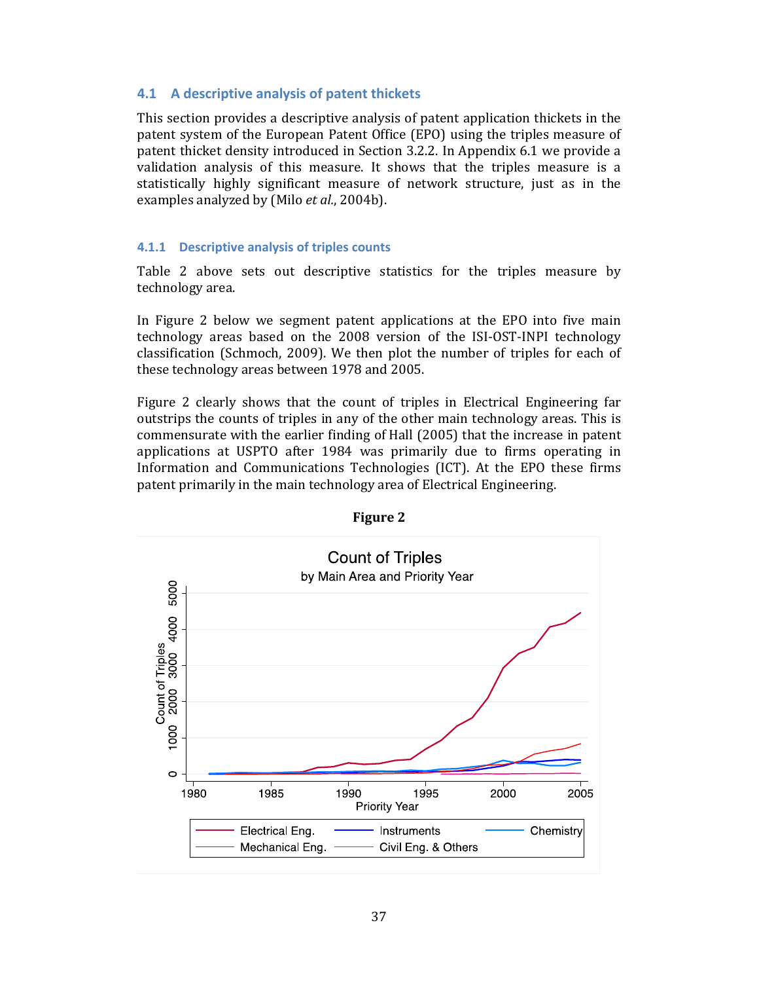#### **4.1 A descriptive analysis of patent thickets**

This section provides a descriptive analysis of patent application thickets in the patent system of the European Patent Office (EPO) using the triples measure of patent thicket density introduced in Section 3.2.2. In Appendix 6.1 we provide a validation analysis of this measure. It shows that the triples measure is a statistically highly significant measure of network structure, just as in the examples analyzed by (Milo *et al.*, 2004b).

#### **4.1.1 Descriptive analysis of triples counts**

Table 2 above sets out descriptive statistics for the triples measure by technology area.

In Figure 2 below we segment patent applications at the EPO into five main technology areas based on the 2008 version of the ISI‐OST‐INPI technology classification (Schmoch, 2009). We then plot the number of triples for each of these technology areas between 1978 and 2005.

Figure 2 clearly shows that the count of triples in Electrical Engineering far outstrips the counts of triples in any of the other main technology areas. This is commensurate with the earlier finding of Hall (2005) that the increase in patent applications at USPTO after 1984 was primarily due to firms operating in Information and Communications Technologies (ICT). At the EPO these firms patent primarily in the main technology area of Electrical Engineering.



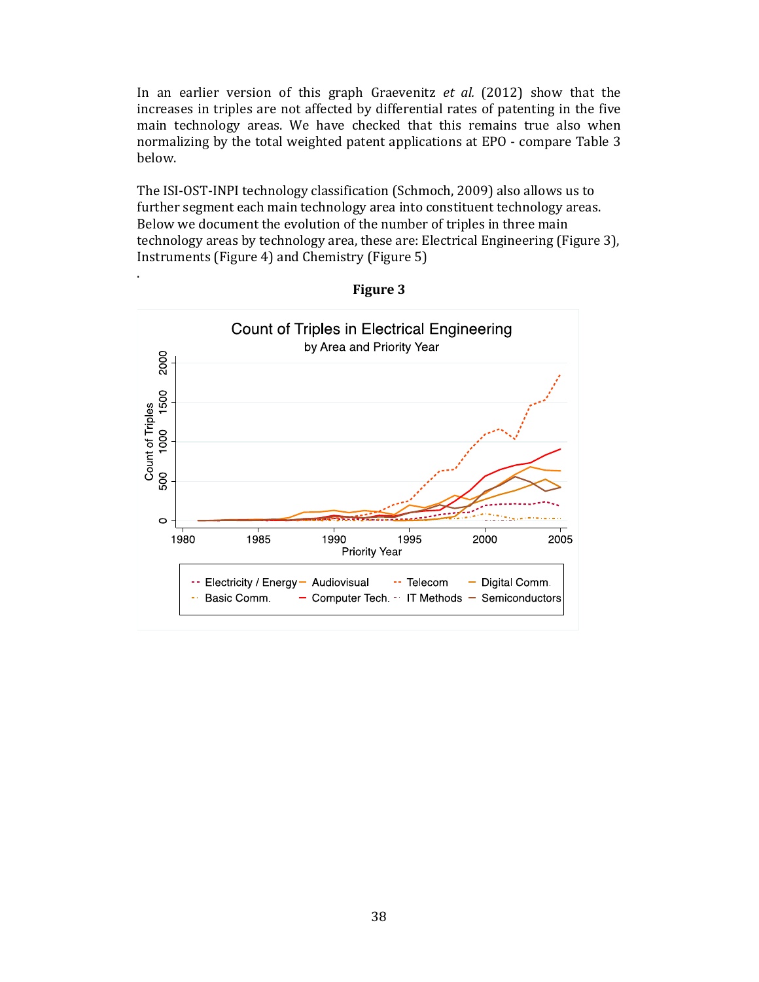In an earlier version of this graph Graevenitz *et al.* (2012) show that the increases in triples are not affected by differential rates of patenting in the five main technology areas. We have checked that this remains true also when normalizing by the total weighted patent applications at EPO ‐ compare Table 3 below.

The ISI‐OST‐INPI technology classification (Schmoch, 2009) also allows us to further segment each main technology area into constituent technology areas. Below we document the evolution of the number of triples in three main technology areas by technology area, these are: Electrical Engineering (Figure 3), Instruments (Figure 4) and Chemistry (Figure 5)



**Figure 3**

.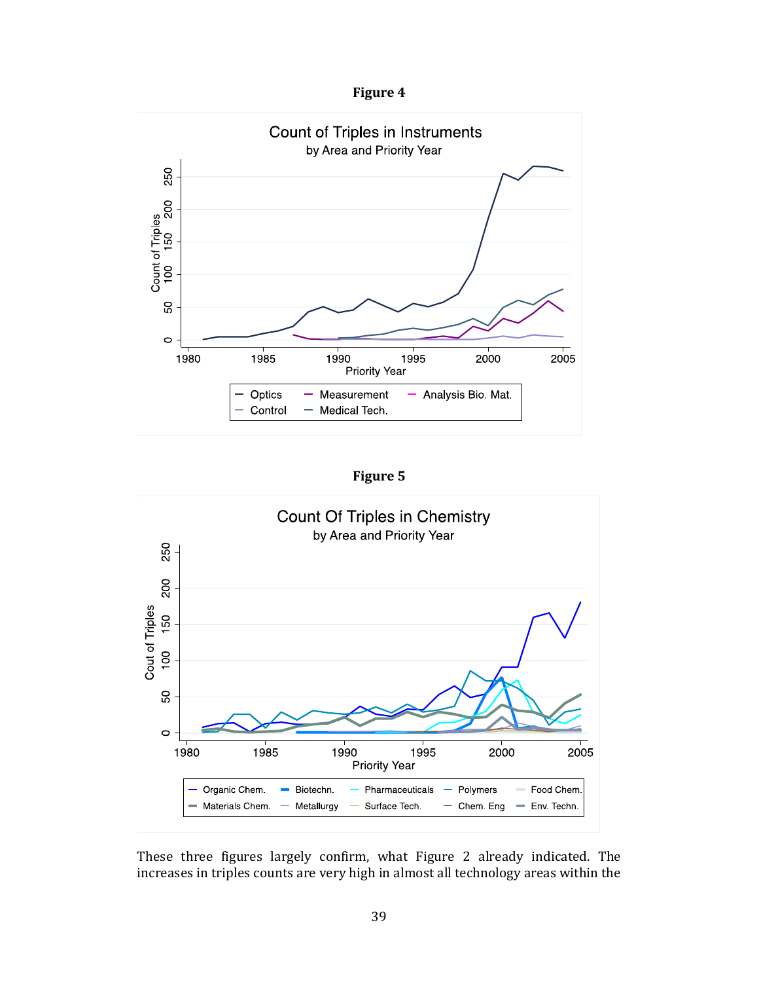**Figure 4**



**Figure 5**



These three figures largely confirm, what Figure 2 already indicated. The increases in triples counts are very high in almost all technology areas within the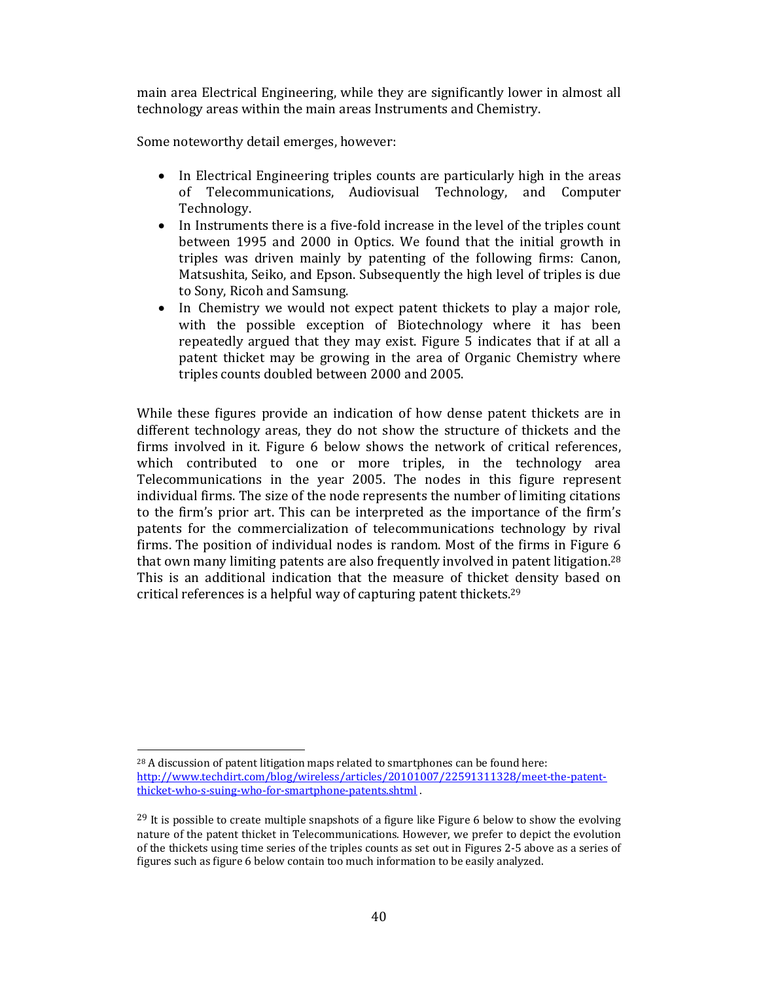main area Electrical Engineering, while they are significantly lower in almost all technology areas within the main areas Instruments and Chemistry.

Some noteworthy detail emerges, however:

- In Electrical Engineering triples counts are particularly high in the areas of Telecommunications, Audiovisual Technology, and Computer Technology.
- In Instruments there is a five-fold increase in the level of the triples count between 1995 and 2000 in Optics. We found that the initial growth in triples was driven mainly by patenting of the following firms: Canon, Matsushita, Seiko, and Epson. Subsequently the high level of triples is due to Sony, Ricoh and Samsung.
- In Chemistry we would not expect patent thickets to play a major role, with the possible exception of Biotechnology where it has been repeatedly argued that they may exist. Figure 5 indicates that if at all a patent thicket may be growing in the area of Organic Chemistry where triples counts doubled between 2000 and 2005.

While these figures provide an indication of how dense patent thickets are in different technology areas, they do not show the structure of thickets and the firms involved in it. Figure 6 below shows the network of critical references, which contributed to one or more triples, in the technology area Telecommunications in the year 2005. The nodes in this figure represent individual firms. The size of the node represents the number of limiting citations to the firm's prior art. This can be interpreted as the importance of the firm's patents for the commercialization of telecommunications technology by rival firms. The position of individual nodes is random. Most of the firms in Figure 6 that own many limiting patents are also frequently involved in patent litigation.<sup>28</sup> This is an additional indication that the measure of thicket density based on critical references is a helpful way of capturing patent thickets. $29$ 

 <sup>28</sup> A discussion of patent litigation maps related to smartphones can be found here: http://www.techdirt.com/blog/wireless/articles/20101007/22591311328/meet-the-patentthicket‐who‐s‐suing‐who‐for‐smartphone‐patents.shtml .

 $^{29}$  It is possible to create multiple snapshots of a figure like Figure 6 below to show the evolving nature of the patent thicket in Telecommunications. However, we prefer to depict the evolution of the thickets using time series of the triples counts as set out in Figures 2‐5 above as a series of figures such as figure 6 below contain too much information to be easily analyzed.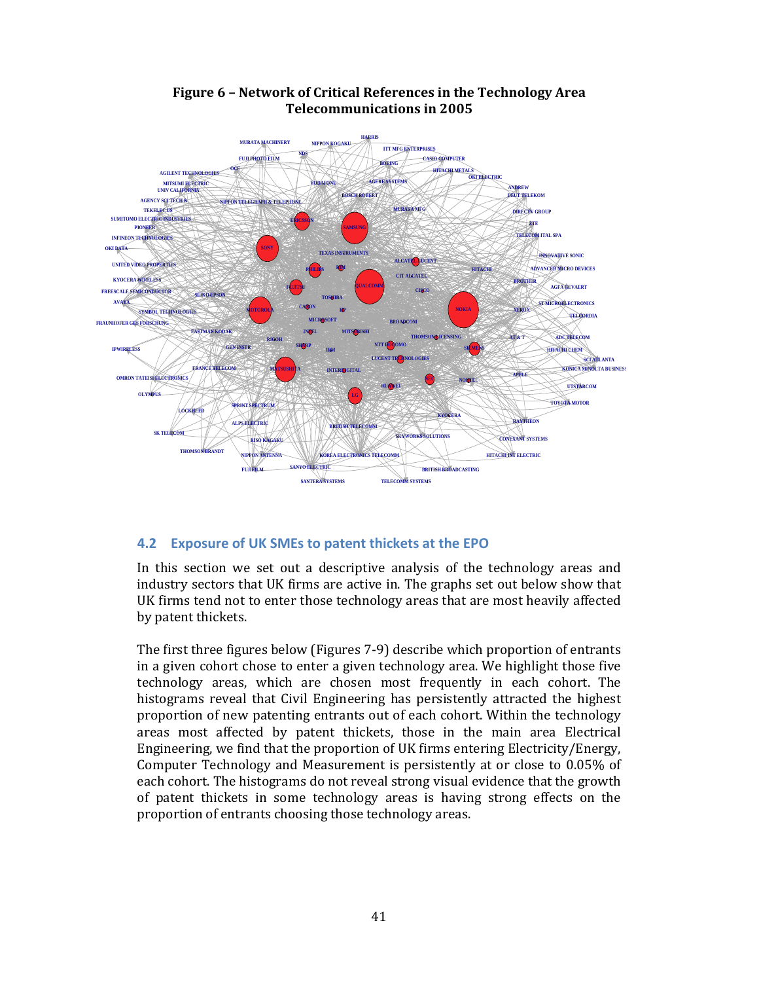

## **Figure 6 – Network of Critical References in the Technology Area Telecommunications in 2005**

## **4.2 Exposure of UK SMEs to patent thickets at the EPO**

In this section we set out a descriptive analysis of the technology areas and industry sectors that UK firms are active in. The graphs set out below show that UK firms tend not to enter those technology areas that are most heavily affected by patent thickets.

The first three figures below (Figures 7‐9) describe which proportion of entrants in a given cohort chose to enter a given technology area. We highlight those five technology areas, which are chosen most frequently in each cohort. The histograms reveal that Civil Engineering has persistently attracted the highest proportion of new patenting entrants out of each cohort. Within the technology areas most affected by patent thickets, those in the main area Electrical Engineering, we find that the proportion of UK firms entering Electricity/Energy, Computer Technology and Measurement is persistently at or close to 0.05% of each cohort. The histograms do not reveal strong visual evidence that the growth of patent thickets in some technology areas is having strong effects on the proportion of entrants choosing those technology areas.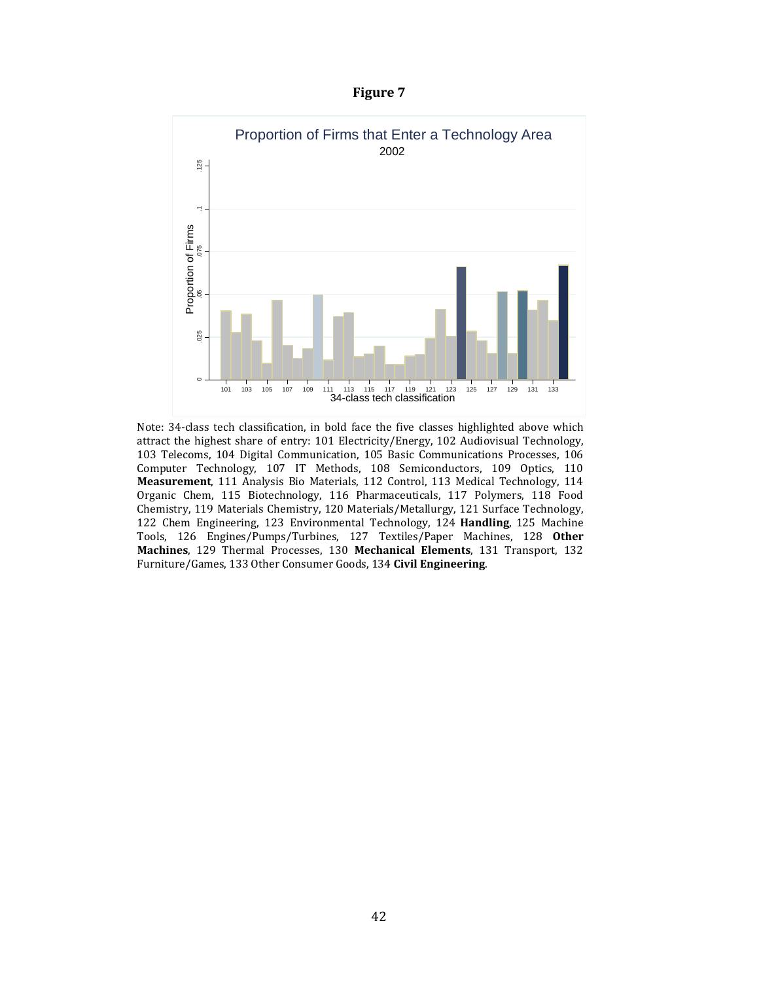**Figure 7**



Note: 34-class tech classification, in bold face the five classes highlighted above which attract the highest share of entry: 101 Electricity/Energy, 102 Audiovisual Technology, 103 Telecoms, 104 Digital Communication, 105 Basic Communications Processes, 106 Computer Technology, 107 IT Methods, 108 Semiconductors, 109 Optics, 110 **Measurement**, 111 Analysis Bio Materials, 112 Control, 113 Medical Technology, 114 Organic Chem, 115 Biotechnology, 116 Pharmaceuticals, 117 Polymers, 118 Food Chemistry, 119 Materials Chemistry, 120 Materials/Metallurgy, 121 Surface Technology, 122 Chem Engineering, 123 Environmental Technology, 124 **Handling**, 125 Machine Tools, 126 Engines/Pumps/Turbines, 127 Textiles/Paper Machines, 128 **Other Machines**, 129 Thermal Processes, 130 **Mechanical Elements**, 131 Transport, 132 Furniture/Games, 133 Other Consumer Goods, 134 **Civil Engineering**.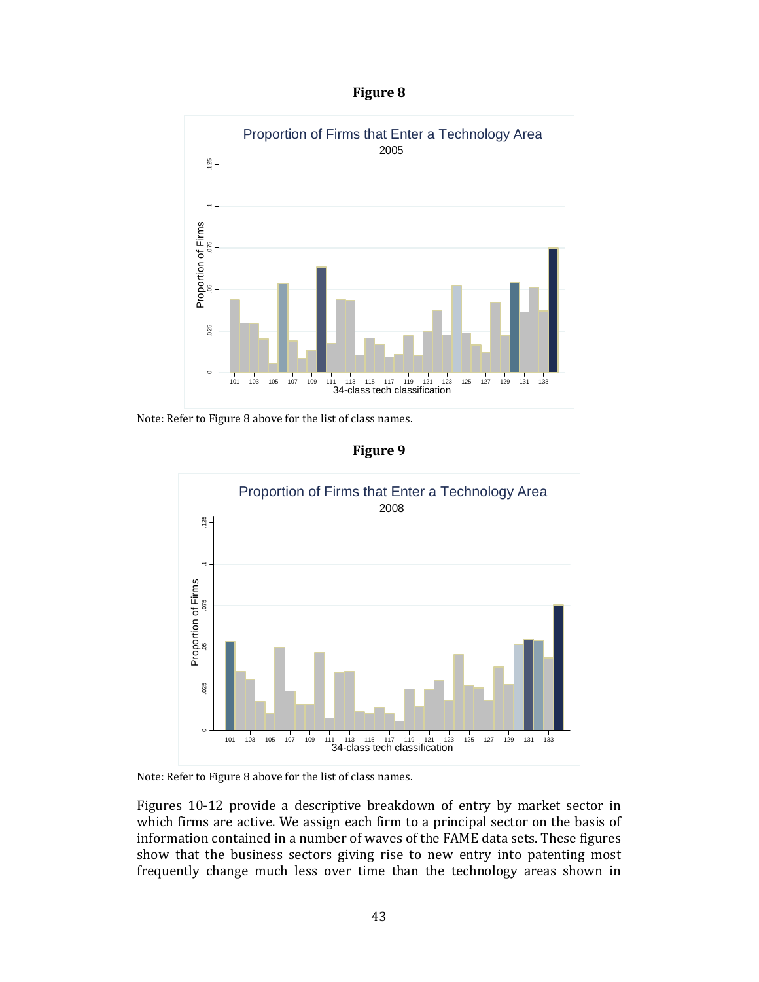## **Figure 8**



Note: Refer to Figure 8 above for the list of class names.

**Figure 9**



Note: Refer to Figure 8 above for the list of class names.

Figures 10-12 provide a descriptive breakdown of entry by market sector in which firms are active. We assign each firm to a principal sector on the basis of information contained in a number of waves of the FAME data sets. These figures show that the business sectors giving rise to new entry into patenting most frequently change much less over time than the technology areas shown in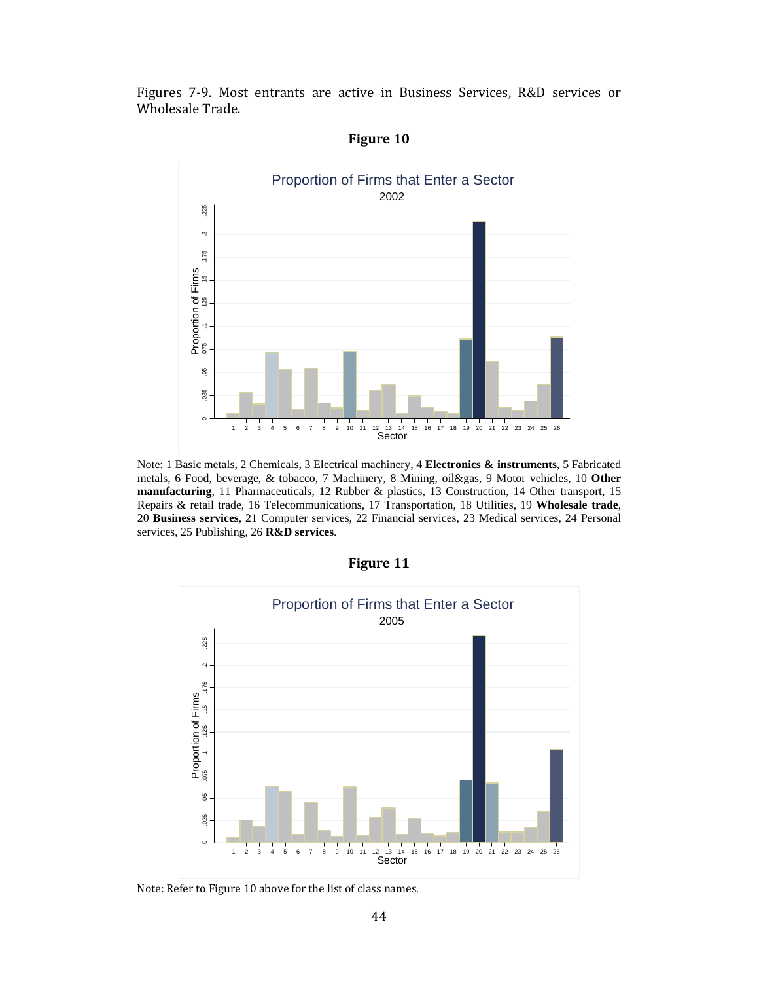Figures 7-9. Most entrants are active in Business Services, R&D services or Wholesale Trade.



**Figure 10**

Note: 1 Basic metals, 2 Chemicals, 3 Electrical machinery, 4 **Electronics & instruments**, 5 Fabricated metals, 6 Food, beverage, & tobacco, 7 Machinery, 8 Mining, oil&gas, 9 Motor vehicles, 10 **Other manufacturing**, 11 Pharmaceuticals, 12 Rubber & plastics, 13 Construction, 14 Other transport, 15 Repairs & retail trade, 16 Telecommunications, 17 Transportation, 18 Utilities, 19 **Wholesale trade**, 20 **Business services**, 21 Computer services, 22 Financial services, 23 Medical services, 24 Personal services, 25 Publishing, 26 **R&D services**.

| rıgure |  |
|--------|--|
|--------|--|



Note: Refer to Figure 10 above for the list of class names.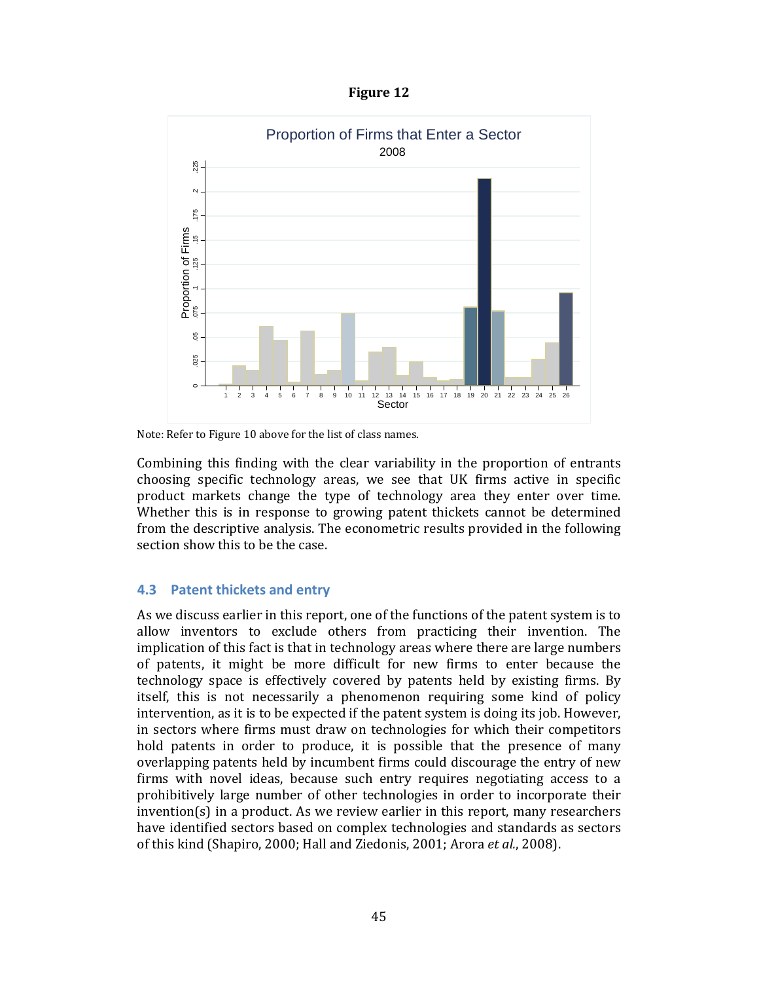**Figure 12**



Note: Refer to Figure 10 above for the list of class names.

Combining this finding with the clear variability in the proportion of entrants choosing specific technology areas, we see that UK firms active in specific product markets change the type of technology area they enter over time. Whether this is in response to growing patent thickets cannot be determined from the descriptive analysis. The econometric results provided in the following section show this to be the case.

## **4.3 Patent thickets and entry**

As we discuss earlier in this report, one of the functions of the patent system is to allow inventors to exclude others from practicing their invention. The implication of this fact is that in technology areas where there are large numbers of patents, it might be more difficult for new firms to enter because the technology space is effectively covered by patents held by existing firms. By itself, this is not necessarily a phenomenon requiring some kind of policy intervention, as it is to be expected if the patent system is doing its job. However, in sectors where firms must draw on technologies for which their competitors hold patents in order to produce, it is possible that the presence of many overlapping patents held by incumbent firms could discourage the entry of new firms with novel ideas, because such entry requires negotiating access to a prohibitively large number of other technologies in order to incorporate their invention(s) in a product. As we review earlier in this report, many researchers have identified sectors based on complex technologies and standards as sectors of this kind (Shapiro, 2000; Hall and Ziedonis, 2001; Arora *et al.*, 2008).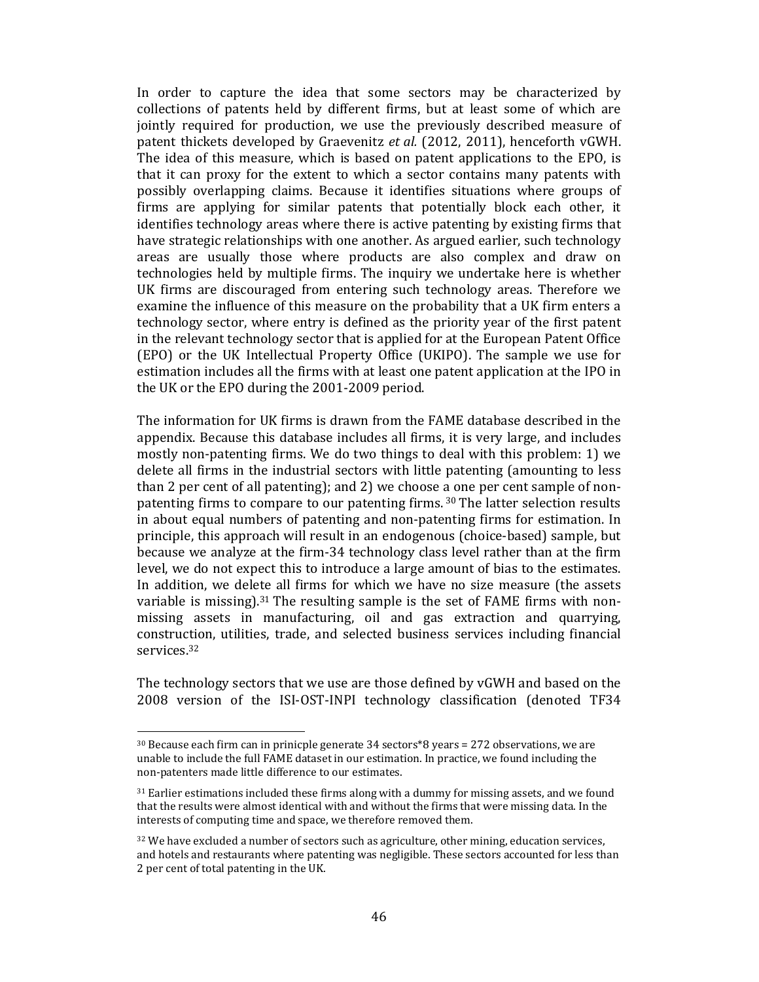In order to capture the idea that some sectors may be characterized by collections of patents held by different firms, but at least some of which are jointly required for production, we use the previously described measure of patent thickets developed by Graevenitz *et al.* (2012, 2011), henceforth vGWH. The idea of this measure, which is based on patent applications to the EPO, is that it can proxy for the extent to which a sector contains many patents with possibly overlapping claims. Because it identifies situations where groups of firms are applying for similar patents that potentially block each other, it identifies technology areas where there is active patenting by existing firms that have strategic relationships with one another. As argued earlier, such technology areas are usually those where products are also complex and draw on technologies held by multiple firms. The inquiry we undertake here is whether UK firms are discouraged from entering such technology areas. Therefore we examine the influence of this measure on the probability that a UK firm enters a technology sector, where entry is defined as the priority year of the first patent in the relevant technology sector that is applied for at the European Patent Office (EPO) or the UK Intellectual Property Office (UKIPO). The sample we use for estimation includes all the firms with at least one patent application at the IPO in the UK or the EPO during the 2001‐2009 period.

The information for UK firms is drawn from the FAME database described in the appendix. Because this database includes all firms, it is very large, and includes mostly non-patenting firms. We do two things to deal with this problem: 1) we delete all firms in the industrial sectors with little patenting (amounting to less than 2 per cent of all patenting); and 2) we choose a one per cent sample of non‐ patenting firms to compare to our patenting firms. 30 The latter selection results in about equal numbers of patenting and non‐patenting firms for estimation. In principle, this approach will result in an endogenous (choice‐based) sample, but because we analyze at the firm‐34 technology class level rather than at the firm level, we do not expect this to introduce a large amount of bias to the estimates. In addition, we delete all firms for which we have no size measure (the assets variable is missing).<sup>31</sup> The resulting sample is the set of  $FAME$  firms with nonmissing assets in manufacturing, oil and gas extraction and quarrying, construction, utilities, trade, and selected business services including financial services.32

The technology sectors that we use are those defined by vGWH and based on the 2008 version of the ISI‐OST‐INPI technology classification (denoted TF34

<sup>30</sup> Because each firm can in prinicple generate 34 sectors\*8 years = 272 observations, we are unable to include the full FAME dataset in our estimation. In practice, we found including the non‐patenters made little difference to our estimates.

 $31$  Earlier estimations included these firms along with a dummy for missing assets, and we found that the results were almost identical with and without the firms that were missing data. In the interests of computing time and space, we therefore removed them.

 $32$  We have excluded a number of sectors such as agriculture, other mining, education services, and hotels and restaurants where patenting was negligible. These sectors accounted for less than 2 per cent of total patenting in the UK.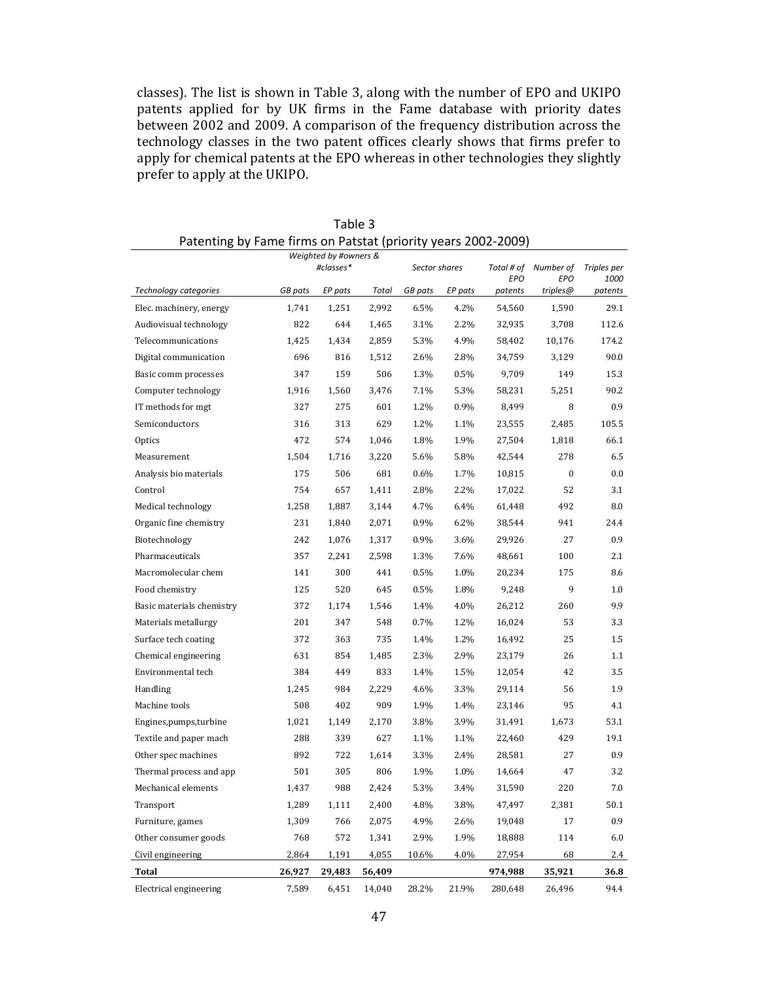classes). The list is shown in Table 3, along with the number of EPO and UKIPO patents applied for by UK firms in the Fame database with priority dates between 2002 and 2009. A comparison of the frequency distribution across the technology classes in the two patent offices clearly shows that firms prefer to apply for chemical patents at the EPO whereas in other technologies they slightly prefer to apply at the UKIPO.

|                           | Patenting by Fame firms on Patstat (priority years 2002-2009) |                       |        |               |         |                          |                         |                     |  |
|---------------------------|---------------------------------------------------------------|-----------------------|--------|---------------|---------|--------------------------|-------------------------|---------------------|--|
|                           |                                                               | Weighted by #owners & |        |               |         |                          |                         |                     |  |
|                           |                                                               | #classes*             |        | Sector shares |         | Total # of<br><b>EPO</b> | Number of<br><b>EPO</b> | Triples per<br>1000 |  |
| Technology categories     | GB pats                                                       | EP pats               | Total  | GB pats       | EP pats | patents                  | triples@                | patents             |  |
| Elec. machinery, energy   | 1,741                                                         | 1,251                 | 2,992  | 6.5%          | 4.2%    | 54,560                   | 1,590                   | 29.1                |  |
| Audiovisual technology    | 822                                                           | 644                   | 1,465  | 3.1%          | 2.2%    | 32,935                   | 3,708                   | 112.6               |  |
| Telecommunications        | 1,425                                                         | 1,434                 | 2,859  | 5.3%          | 4.9%    | 58,402                   | 10,176                  | 174.2               |  |
| Digital communication     | 696                                                           | 816                   | 1,512  | 2.6%          | 2.8%    | 34,759                   | 3,129                   | 90.0                |  |
| Basic comm processes      | 347                                                           | 159                   | 506    | 1.3%          | 0.5%    | 9,709                    | 149                     | 15.3                |  |
| Computer technology       | 1,916                                                         | 1,560                 | 3,476  | 7.1%          | 5.3%    | 58,231                   | 5,251                   | 90.2                |  |
| IT methods for mgt        | 327                                                           | 275                   | 601    | 1.2%          | 0.9%    | 8,499                    | 8                       | 0.9                 |  |
| Semiconductors            | 316                                                           | 313                   | 629    | 1.2%          | 1.1%    | 23,555                   | 2,485                   | 105.5               |  |
| Optics                    | 472                                                           | 574                   | 1,046  | 1.8%          | 1.9%    | 27,504                   | 1,818                   | 66.1                |  |
| Measurement               | 1,504                                                         | 1,716                 | 3,220  | 5.6%          | 5.8%    | 42,544                   | 278                     | 6.5                 |  |
| Analysis bio materials    | 175                                                           | 506                   | 681    | $0.6\%$       | 1.7%    | 10,815                   | 0                       | $0.0\,$             |  |
| Control                   | 754                                                           | 657                   | 1,411  | $2.8\%$       | 2.2%    | 17,022                   | 52                      | 3.1                 |  |
| Medical technology        | 1,258                                                         | 1,887                 | 3,144  | 4.7%          | 6.4%    | 61,448                   | 492                     | 8.0                 |  |
| Organic fine chemistry    | 231                                                           | 1,840                 | 2,071  | 0.9%          | 6.2%    | 38,544                   | 941                     | 24.4                |  |
| Biotechnology             | 242                                                           | 1,076                 | 1,317  | 0.9%          | 3.6%    | 29,926                   | 27                      | 0.9                 |  |
| Pharmaceuticals           | 357                                                           | 2,241                 | 2,598  | 1.3%          | 7.6%    | 48,661                   | 100                     | 2.1                 |  |
| Macromolecular chem       | 141                                                           | 300                   | 441    | 0.5%          | 1.0%    | 20,234                   | 175                     | 8.6                 |  |
| Food chemistry            | 125                                                           | 520                   | 645    | 0.5%          | 1.8%    | 9,248                    | 9                       | $1.0\,$             |  |
| Basic materials chemistry | 372                                                           | 1,174                 | 1,546  | 1.4%          | 4.0%    | 26,212                   | 260                     | 9.9                 |  |
| Materials metallurgy      | 201                                                           | 347                   | 548    | 0.7%          | 1.2%    | 16,024                   | 53                      | 3.3                 |  |
| Surface tech coating      | 372                                                           | 363                   | 735    | 1.4%          | 1.2%    | 16,492                   | 25                      | $1.5\,$             |  |
| Chemical engineering      | 631                                                           | 854                   | 1,485  | 2.3%          | 2.9%    | 23,179                   | 26                      | 1.1                 |  |
| Environmental tech        | 384                                                           | 449                   | 833    | 1.4%          | 1.5%    | 12,054                   | 42                      | 3.5                 |  |
| Handling                  | 1,245                                                         | 984                   | 2,229  | 4.6%          | 3.3%    | 29,114                   | 56                      | 1.9                 |  |
| Machine tools             | 508                                                           | 402                   | 909    | 1.9%          | 1.4%    | 23,146                   | 95                      | 4.1                 |  |
| Engines, pumps, turbine   | 1,021                                                         | 1,149                 | 2,170  | 3.8%          | 3.9%    | 31,491                   | 1,673                   | 53.1                |  |
| Textile and paper mach    | 288                                                           | 339                   | 627    | 1.1%          | 1.1%    | 22,460                   | 429                     | 19.1                |  |
| Other spec machines       | 892                                                           | 722                   | 1,614  | 3.3%          | 2.4%    | 28,581                   | 27                      | 0.9                 |  |
| Thermal process and app   | 501                                                           | 305                   | 806    | 1.9%          | 1.0%    | 14,664                   | 47                      | 3.2                 |  |
| Mechanical elements       | 1,437                                                         | 988                   | 2,424  | 5.3%          | 3.4%    | 31,590                   | 220                     | 7.0                 |  |
| Transport                 | 1,289                                                         | 1,111                 | 2,400  | 4.8%          | 3.8%    | 47,497                   | 2,381                   | 50.1                |  |
| Furniture, games          | 1,309                                                         | 766                   | 2,075  | 4.9%          | 2.6%    | 19,048                   | 17                      | 0.9                 |  |
| Other consumer goods      | 768                                                           | 572                   | 1,341  | 2.9%          | 1.9%    | 18,888                   | 114                     | 6.0                 |  |
| Civil engineering         | 2,864                                                         | 1,191                 | 4,055  | 10.6%         | 4.0%    | 27,954                   | 68                      | 2.4                 |  |
| Total                     | 26,927                                                        | 29,483                | 56,409 |               |         | 974,988                  | 35,921                  | 36.8                |  |
| Electrical engineering    | 7,589                                                         | 6,451                 | 14,040 | 28.2%         | 21.9%   | 280,648                  | 26,496                  | 94.4                |  |

Table 3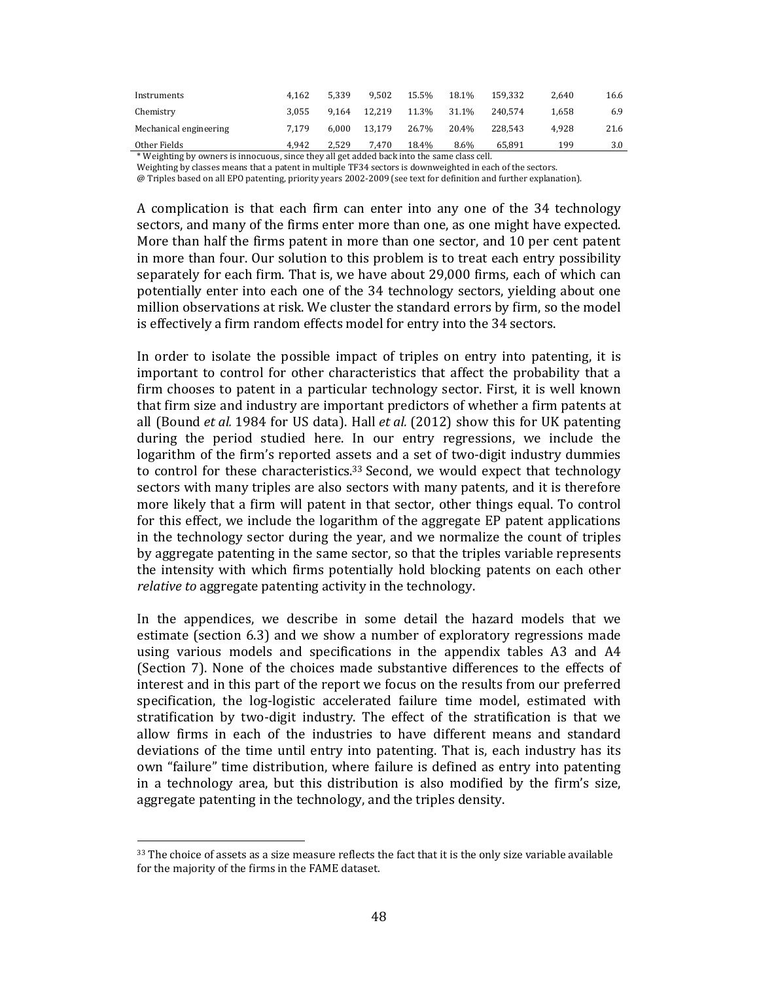| Instruments            | 4.162 | 5.339 | 9.502  | 15.5% | 18.1% | 159.332 | 2.640 | 16.6 |
|------------------------|-------|-------|--------|-------|-------|---------|-------|------|
| Chemistry              | 3.055 | 9.164 | 12.219 | 11.3% | 31.1% | 240.574 | 1.658 | 6.9  |
| Mechanical engineering | 7.179 | 6.000 | 13.179 | 26.7% | 20.4% | 228.543 | 4.928 | 21.6 |
| Other Fields           | 4.942 | 2.529 | 7.470  | 18.4% | 8.6%  | 65.891  | 199   | 3.0  |

\* Weighting by owners is innocuous, since they all get added back into the same class cell. Weighting by classes means that a patent in multiple TF34 sectors is downweighted in each of the sectors.

@ Triples based on all EPO patenting, priority years 2002‐2009 (see text for definition and further explanation).

A complication is that each firm can enter into any one of the 34 technology sectors, and many of the firms enter more than one, as one might have expected. More than half the firms patent in more than one sector, and 10 per cent patent in more than four. Our solution to this problem is to treat each entry possibility separately for each firm. That is, we have about 29,000 firms, each of which can potentially enter into each one of the 34 technology sectors, yielding about one million observations at risk. We cluster the standard errors by firm, so the model is effectively a firm random effects model for entry into the 34 sectors.

In order to isolate the possible impact of triples on entry into patenting, it is important to control for other characteristics that affect the probability that a firm chooses to patent in a particular technology sector. First, it is well known that firm size and industry are important predictors of whether a firm patents at all (Bound *et al.* 1984 for US data). Hall *et al.* (2012) show this for UK patenting during the period studied here. In our entry regressions, we include the logarithm of the firm's reported assets and a set of two-digit industry dummies to control for these characteristics. $33$  Second, we would expect that technology sectors with many triples are also sectors with many patents, and it is therefore more likely that a firm will patent in that sector, other things equal. To control for this effect, we include the logarithm of the aggregate EP patent applications in the technology sector during the year, and we normalize the count of triples by aggregate patenting in the same sector, so that the triples variable represents the intensity with which firms potentially hold blocking patents on each other *relative to* aggregate patenting activity in the technology.

In the appendices, we describe in some detail the hazard models that we estimate (section 6.3) and we show a number of exploratory regressions made using various models and specifications in the appendix tables A3 and A4 (Section 7). None of the choices made substantive differences to the effects of interest and in this part of the report we focus on the results from our preferred specification, the log-logistic accelerated failure time model, estimated with stratification by two-digit industry. The effect of the stratification is that we allow firms in each of the industries to have different means and standard deviations of the time until entry into patenting. That is, each industry has its own "failure" time distribution, where failure is defined as entry into patenting in a technology area, but this distribution is also modified by the firm's size, aggregate patenting in the technology, and the triples density.

<sup>&</sup>lt;sup>33</sup> The choice of assets as a size measure reflects the fact that it is the only size variable available for the majority of the firms in the FAME dataset.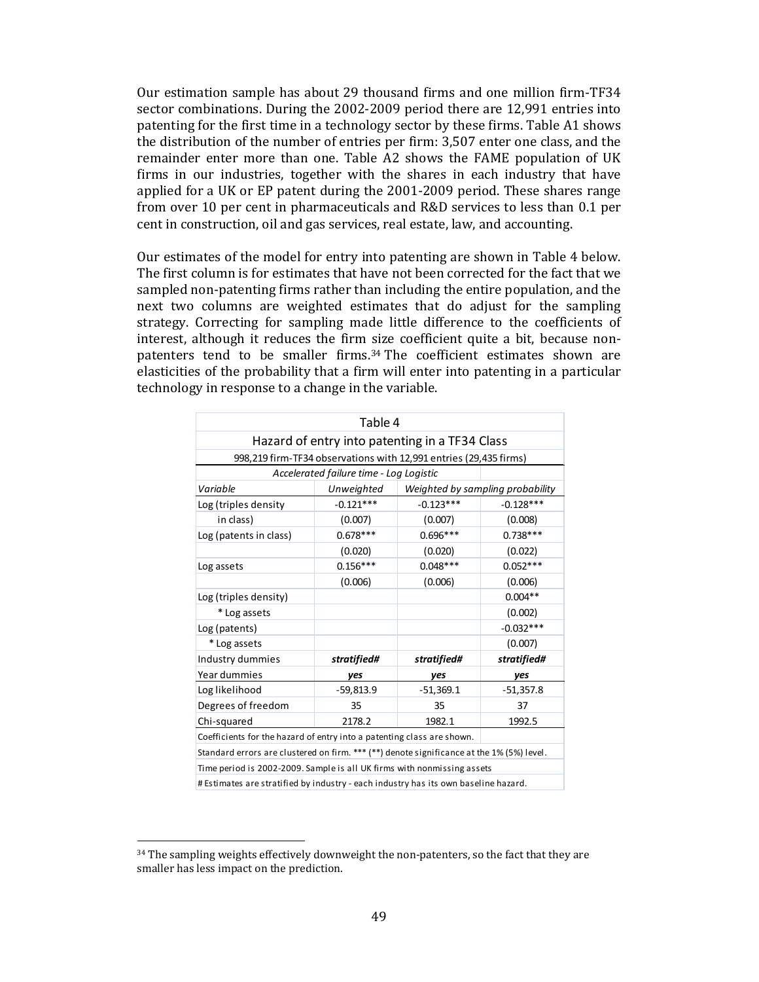Our estimation sample has about 29 thousand firms and one million firm‐TF34 sector combinations. During the 2002-2009 period there are 12,991 entries into patenting for the first time in a technology sector by these firms. Table A1 shows the distribution of the number of entries per firm: 3,507 enter one class, and the remainder enter more than one. Table A2 shows the FAME population of UK firms in our industries, together with the shares in each industry that have applied for a UK or EP patent during the 2001‐2009 period. These shares range from over 10 per cent in pharmaceuticals and R&D services to less than 0.1 per cent in construction, oil and gas services, real estate, law, and accounting.

Our estimates of the model for entry into patenting are shown in Table 4 below. The first column is for estimates that have not been corrected for the fact that we sampled non-patenting firms rather than including the entire population, and the next two columns are weighted estimates that do adjust for the sampling strategy. Correcting for sampling made little difference to the coefficients of interest, although it reduces the firm size coefficient quite a bit, because nonpatenters tend to be smaller firms.<sup>34</sup> The coefficient estimates shown are elasticities of the probability that a firm will enter into patenting in a particular technology in response to a change in the variable.

| Table 4                                                                                   |             |             |             |  |  |  |  |  |
|-------------------------------------------------------------------------------------------|-------------|-------------|-------------|--|--|--|--|--|
| Hazard of entry into patenting in a TF34 Class                                            |             |             |             |  |  |  |  |  |
| 998,219 firm-TF34 observations with 12,991 entries (29,435 firms)                         |             |             |             |  |  |  |  |  |
| Accelerated failure time - Log Logistic                                                   |             |             |             |  |  |  |  |  |
| Variable<br>Weighted by sampling probability<br>Unweighted                                |             |             |             |  |  |  |  |  |
| $-0.121***$<br>$-0.123***$<br>$-0.128***$<br>Log (triples density                         |             |             |             |  |  |  |  |  |
| in class)                                                                                 | (0.007)     | (0.007)     | (0.008)     |  |  |  |  |  |
| Log (patents in class)                                                                    | $0.678***$  | $0.696***$  | $0.738***$  |  |  |  |  |  |
|                                                                                           | (0.020)     | (0.020)     | (0.022)     |  |  |  |  |  |
| Log assets                                                                                | $0.156***$  | $0.048***$  | $0.052***$  |  |  |  |  |  |
|                                                                                           | (0.006)     | (0.006)     | (0.006)     |  |  |  |  |  |
| Log (triples density)                                                                     |             |             | $0.004**$   |  |  |  |  |  |
| * Log assets                                                                              |             |             | (0.002)     |  |  |  |  |  |
| Log (patents)                                                                             |             |             | $-0.032***$ |  |  |  |  |  |
| * Log assets                                                                              |             |             | (0.007)     |  |  |  |  |  |
| Industry dummies                                                                          | stratified# | stratified# | stratified# |  |  |  |  |  |
| Year dummies                                                                              | yes         | yes         | yes         |  |  |  |  |  |
| Log likelihood                                                                            | $-59,813.9$ | $-51,369.1$ | $-51,357.8$ |  |  |  |  |  |
| Degrees of freedom                                                                        | 35          | 35          | 37          |  |  |  |  |  |
| Chi-squared<br>2178.2<br>1982.1<br>1992.5                                                 |             |             |             |  |  |  |  |  |
| Coefficients for the hazard of entry into a patenting class are shown.                    |             |             |             |  |  |  |  |  |
| Standard errors are clustered on firm. *** (**) denote significance at the 1% (5%) level. |             |             |             |  |  |  |  |  |
| Time period is 2002-2009. Sample is all UK firms with nonmissing assets                   |             |             |             |  |  |  |  |  |
| #Estimates are stratified by industry - each industry has its own baseline hazard.        |             |             |             |  |  |  |  |  |

<sup>&</sup>lt;sup>34</sup> The sampling weights effectively downweight the non-patenters, so the fact that they are smaller has less impact on the prediction.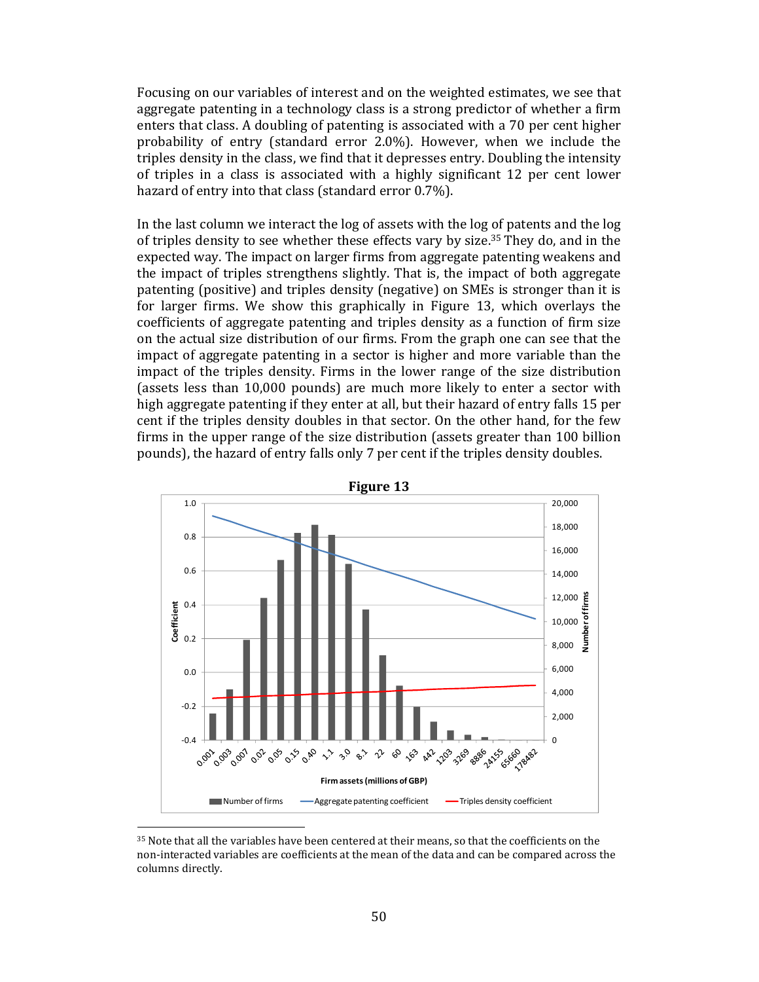Focusing on our variables of interest and on the weighted estimates, we see that aggregate patenting in a technology class is a strong predictor of whether a firm enters that class. A doubling of patenting is associated with a 70 per cent higher probability of entry (standard error 2.0%). However, when we include the triples density in the class, we find that it depresses entry. Doubling the intensity of triples in a class is associated with a highly significant 12 per cent lower hazard of entry into that class (standard error 0.7%).

In the last column we interact the log of assets with the log of patents and the log of triples density to see whether these effects vary by size.<sup>35</sup> They do, and in the expected way. The impact on larger firms from aggregate patenting weakens and the impact of triples strengthens slightly. That is, the impact of both aggregate patenting (positive) and triples density (negative) on SMEs is stronger than it is for larger firms. We show this graphically in Figure 13, which overlays the coefficients of aggregate patenting and triples density as a function of firm size on the actual size distribution of our firms. From the graph one can see that the impact of aggregate patenting in a sector is higher and more variable than the impact of the triples density. Firms in the lower range of the size distribution (assets less than 10,000 pounds) are much more likely to enter a sector with high aggregate patenting if they enter at all, but their hazard of entry falls 15 per cent if the triples density doubles in that sector. On the other hand, for the few firms in the upper range of the size distribution (assets greater than 100 billion pounds), the hazard of entry falls only 7 per cent if the triples density doubles.



35 Note that all the variables have been centered at their means, so that the coefficients on the non‐interacted variables are coefficients at the mean of the data and can be compared across the columns directly.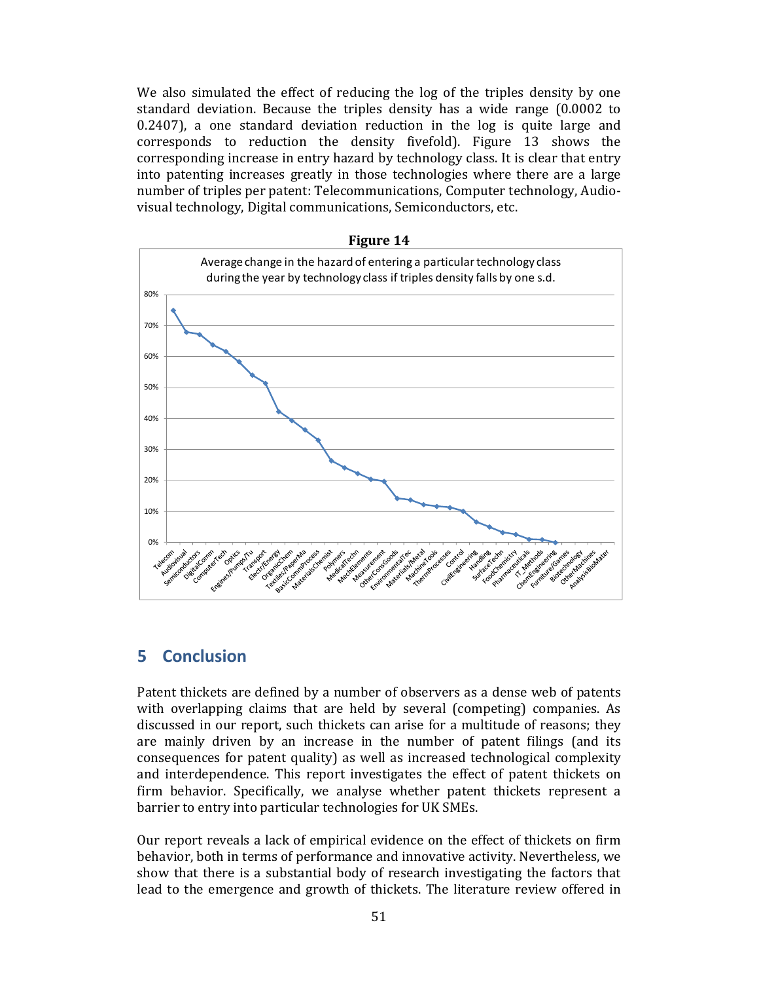We also simulated the effect of reducing the log of the triples density by one standard deviation. Because the triples density has a wide range (0.0002 to 0.2407), a one standard deviation reduction in the log is quite large and corresponds to reduction the density fivefold). Figure 13 shows the corresponding increase in entry hazard by technology class. It is clear that entry into patenting increases greatly in those technologies where there are a large number of triples per patent: Telecommunications, Computer technology, Audio‐ visual technology, Digital communications, Semiconductors, etc.



## **Figure 14**

## **5 Conclusion**

Patent thickets are defined by a number of observers as a dense web of patents with overlapping claims that are held by several (competing) companies. As discussed in our report, such thickets can arise for a multitude of reasons; they are mainly driven by an increase in the number of patent filings (and its consequences for patent quality) as well as increased technological complexity and interdependence. This report investigates the effect of patent thickets on firm behavior. Specifically, we analyse whether patent thickets represent a barrier to entry into particular technologies for UK SMEs.

Our report reveals a lack of empirical evidence on the effect of thickets on firm behavior, both in terms of performance and innovative activity. Nevertheless, we show that there is a substantial body of research investigating the factors that lead to the emergence and growth of thickets. The literature review offered in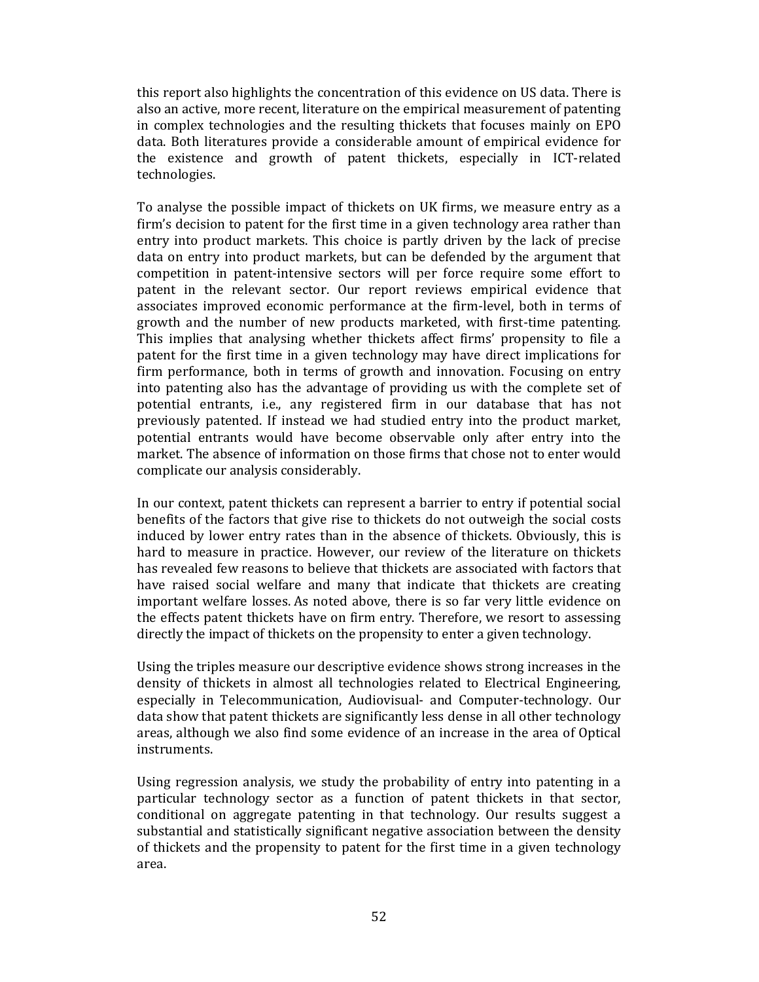this report also highlights the concentration of this evidence on US data. There is also an active, more recent, literature on the empirical measurement of patenting in complex technologies and the resulting thickets that focuses mainly on EPO data. Both literatures provide a considerable amount of empirical evidence for the existence and growth of patent thickets, especially in ICT-related technologies.

To analyse the possible impact of thickets on UK firms, we measure entry as a firm's decision to patent for the first time in a given technology area rather than entry into product markets. This choice is partly driven by the lack of precise data on entry into product markets, but can be defended by the argument that competition in patent-intensive sectors will per force require some effort to patent in the relevant sector. Our report reviews empirical evidence that associates improved economic performance at the firm‐level, both in terms of growth and the number of new products marketed, with first-time patenting. This implies that analysing whether thickets affect firms' propensity to file a patent for the first time in a given technology may have direct implications for firm performance, both in terms of growth and innovation. Focusing on entry into patenting also has the advantage of providing us with the complete set of potential entrants, i.e., any registered firm in our database that has not previously patented. If instead we had studied entry into the product market, potential entrants would have become observable only after entry into the market. The absence of information on those firms that chose not to enter would complicate our analysis considerably.

In our context, patent thickets can represent a barrier to entry if potential social benefits of the factors that give rise to thickets do not outweigh the social costs induced by lower entry rates than in the absence of thickets. Obviously, this is hard to measure in practice. However, our review of the literature on thickets has revealed few reasons to believe that thickets are associated with factors that have raised social welfare and many that indicate that thickets are creating important welfare losses. As noted above, there is so far very little evidence on the effects patent thickets have on firm entry. Therefore, we resort to assessing directly the impact of thickets on the propensity to enter a given technology.

Using the triples measure our descriptive evidence shows strong increases in the density of thickets in almost all technologies related to Electrical Engineering, especially in Telecommunication, Audiovisual‐ and Computer‐technology. Our data show that patent thickets are significantly less dense in all other technology areas, although we also find some evidence of an increase in the area of Optical instruments.

Using regression analysis, we study the probability of entry into patenting in a particular technology sector as a function of patent thickets in that sector, conditional on aggregate patenting in that technology. Our results suggest a substantial and statistically significant negative association between the density of thickets and the propensity to patent for the first time in a given technology area.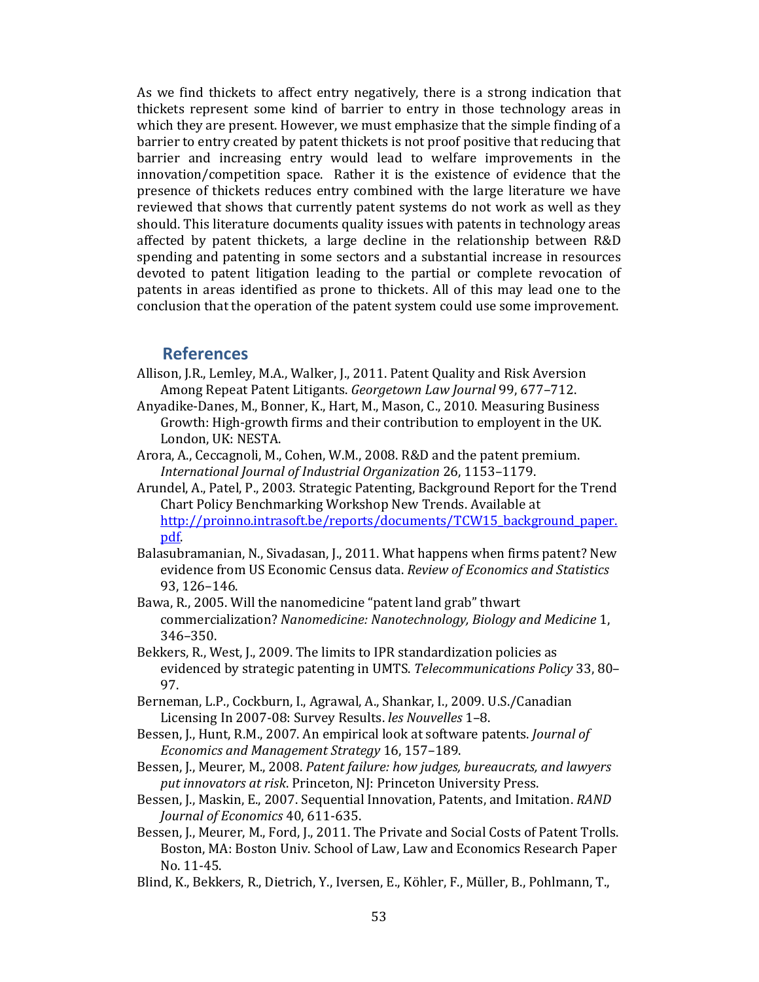As we find thickets to affect entry negatively, there is a strong indication that thickets represent some kind of barrier to entry in those technology areas in which they are present. However, we must emphasize that the simple finding of a barrier to entry created by patent thickets is not proof positive that reducing that barrier and increasing entry would lead to welfare improvements in the innovation/competition space. Rather it is the existence of evidence that the presence of thickets reduces entry combined with the large literature we have reviewed that shows that currently patent systems do not work as well as they should. This literature documents quality issues with patents in technology areas affected by patent thickets, a large decline in the relationship between R&D spending and patenting in some sectors and a substantial increase in resources devoted to patent litigation leading to the partial or complete revocation of patents in areas identified as prone to thickets. All of this may lead one to the conclusion that the operation of the patent system could use some improvement.

## **References**

- Allison, J.R., Lemley, M.A., Walker, J., 2011. Patent Quality and Risk Aversion Among Repeat Patent Litigants. *Georgetown Law Journal* 99, 677–712.
- Anyadike‐Danes, M., Bonner, K., Hart, M., Mason, C., 2010. Measuring Business Growth: High‐growth firms and their contribution to employent in the UK. London, UK: NESTA.
- Arora, A., Ceccagnoli, M., Cohen, W.M., 2008. R&D and the patent premium. *International Journal of Industrial Organization* 26, 1153–1179.
- Arundel, A., Patel, P., 2003. Strategic Patenting, Background Report for the Trend Chart Policy Benchmarking Workshop New Trends. Available at http://proinno.intrasoft.be/reports/documents/TCW15\_background\_paper. pdf.
- Balasubramanian, N., Sivadasan, J., 2011. What happens when firms patent? New evidence from US Economic Census data. *Review of Economics and Statistics* 93, 126–146.
- Bawa, R., 2005. Will the nanomedicine "patent land grab" thwart commercialization? *Nanomedicine: Nanotechnology, Biology and Medicine* 1, 346–350.
- Bekkers, R., West, J., 2009. The limits to IPR standardization policies as evidenced by strategic patenting in UMTS. *Telecommunications Policy* 33, 80– 97.
- Berneman, L.P., Cockburn, I., Agrawal, A., Shankar, I., 2009. U.S./Canadian Licensing In 2007‐08: Survey Results. *les Nouvelles* 1–8.
- Bessen, J., Hunt, R.M., 2007. An empirical look at software patents. *Journal of Economics and Management Strategy* 16, 157–189.
- Bessen, J., Meurer, M., 2008. *Patent failure: how judges, bureaucrats, and lawyers put innovators at risk*. Princeton, NJ: Princeton University Press.
- Bessen, J., Maskin, E., 2007. Sequential Innovation, Patents, and Imitation. *RAND Journal of Economics* 40, 611‐635.
- Bessen, J., Meurer, M., Ford, J., 2011. The Private and Social Costs of Patent Trolls. Boston, MA: Boston Univ. School of Law, Law and Economics Research Paper No. 11‐45.
- Blind, K., Bekkers, R., Dietrich, Y., Iversen, E., Köhler, F., Müller, B., Pohlmann, T.,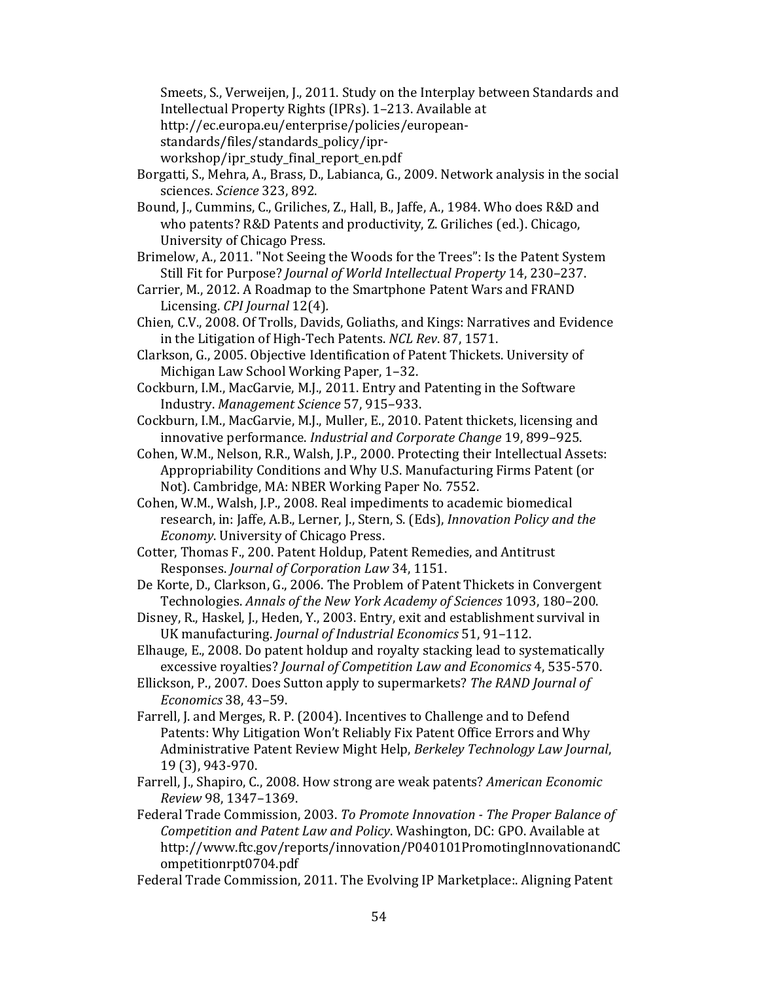Smeets, S., Verweijen, J., 2011. Study on the Interplay between Standards and Intellectual Property Rights (IPRs). 1–213. Available at

http://ec.europa.eu/enterprise/policies/european‐

standards/files/standards\_policy/ipr‐

workshop/ipr\_study\_final\_report\_en.pdf

- Borgatti, S., Mehra, A., Brass, D., Labianca, G., 2009. Network analysis in the social sciences. *Science* 323, 892.
- Bound, J., Cummins, C., Griliches, Z., Hall, B., Jaffe, A., 1984. Who does R&D and who patents? R&D Patents and productivity, Z. Griliches (ed.). Chicago, University of Chicago Press.
- Brimelow, A., 2011. "Not Seeing the Woods for the Trees": Is the Patent System Still Fit for Purpose? *Journal of World Intellectual Property* 14, 230–237.
- Carrier, M., 2012. A Roadmap to the Smartphone Patent Wars and FRAND Licensing. *CPI Journal* 12(4)*.*
- Chien, C.V., 2008. Of Trolls, Davids, Goliaths, and Kings: Narratives and Evidence in the Litigation of High‐Tech Patents. *NCL Rev*. 87, 1571.
- Clarkson, G., 2005. Objective Identification of Patent Thickets. University of Michigan Law School Working Paper, 1–32.
- Cockburn, I.M., MacGarvie, M.J., 2011. Entry and Patenting in the Software Industry. *Management Science* 57, 915–933.
- Cockburn, I.M., MacGarvie, M.J., Muller, E., 2010. Patent thickets, licensing and innovative performance. *Industrial and Corporate Change* 19, 899–925.
- Cohen, W.M., Nelson, R.R., Walsh, J.P., 2000. Protecting their Intellectual Assets: Appropriability Conditions and Why U.S. Manufacturing Firms Patent (or Not). Cambridge, MA: NBER Working Paper No. 7552.
- Cohen, W.M., Walsh, J.P., 2008. Real impediments to academic biomedical research, in: Jaffe, A.B., Lerner, J., Stern, S. (Eds), *Innovation Policy and the Economy*. University of Chicago Press.
- Cotter, Thomas F., 200. Patent Holdup, Patent Remedies, and Antitrust Responses. *Journal of Corporation Law* 34, 1151.
- De Korte, D., Clarkson, G., 2006. The Problem of Patent Thickets in Convergent Technologies. *Annals of the New York Academy of Sciences* 1093, 180–200.
- Disney, R., Haskel, J., Heden, Y., 2003. Entry, exit and establishment survival in UK manufacturing. *Journal of Industrial Economics* 51, 91–112.
- Elhauge, E., 2008. Do patent holdup and royalty stacking lead to systematically excessive royalties? *Journal of Competition Law and Economics* 4, 535‐570.
- Ellickson, P., 2007. Does Sutton apply to supermarkets? *The RAND Journal of Economics* 38, 43–59.
- Farrell, J. and Merges, R. P. (2004). Incentives to Challenge and to Defend Patents: Why Litigation Won't Reliably Fix Patent Office Errors and Why Administrative Patent Review Might Help, *Berkeley Technology Law Journal*, 19 (3), 943‐970.
- Farrell, J., Shapiro, C., 2008. How strong are weak patents? *American Economic Review* 98, 1347–1369.
- Federal Trade Commission, 2003. *To Promote Innovation The Proper Balance of Competition and Patent Law and Policy*. Washington, DC: GPO. Available at http://www.ftc.gov/reports/innovation/P040101PromotingInnovationandC ompetitionrpt0704.pdf
- Federal Trade Commission, 2011. The Evolving IP Marketplace:. Aligning Patent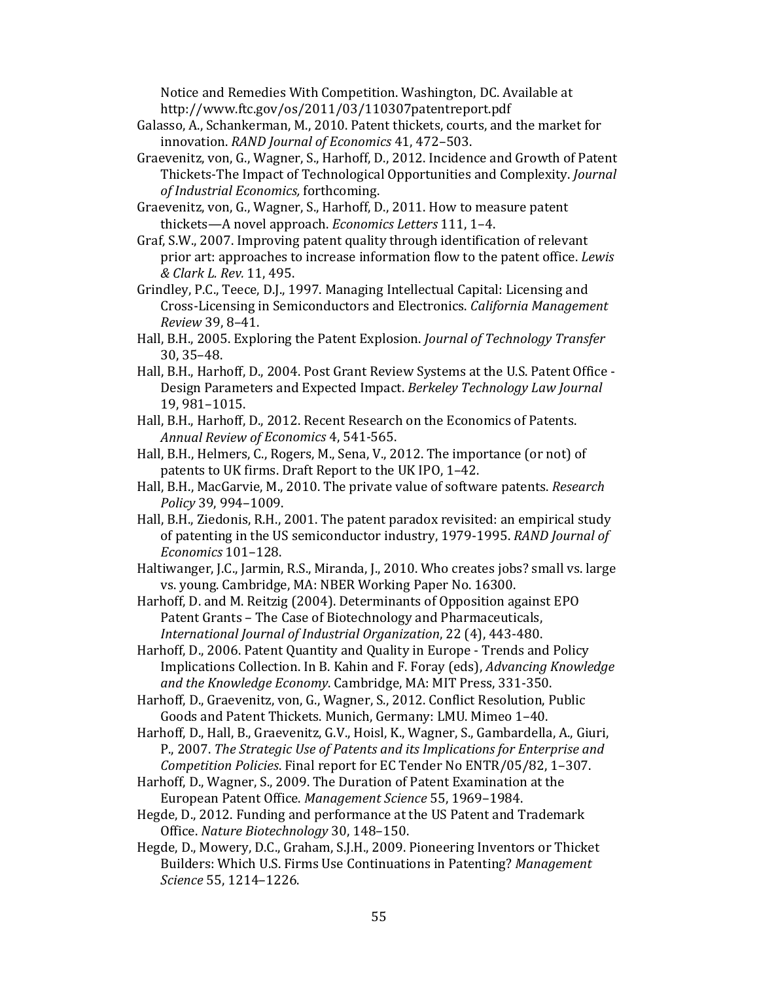Notice and Remedies With Competition. Washington, DC. Available at http://www.ftc.gov/os/2011/03/110307patentreport.pdf

- Galasso, A., Schankerman, M., 2010. Patent thickets, courts, and the market for innovation. *RAND Journal of Economics* 41, 472–503.
- Graevenitz, von, G., Wagner, S., Harhoff, D., 2012. Incidence and Growth of Patent Thickets‐The Impact of Technological Opportunities and Complexity. *Journal of Industrial Economics,* forthcoming.
- Graevenitz, von, G., Wagner, S., Harhoff, D., 2011. How to measure patent thickets—A novel approach. *Economics Letters* 111, 1–4.
- Graf, S.W., 2007. Improving patent quality through identification of relevant prior art: approaches to increase information flow to the patent office. *Lewis & Clark L. Rev.* 11, 495.
- Grindley, P.C., Teece, D.J., 1997. Managing Intellectual Capital: Licensing and Cross‐Licensing in Semiconductors and Electronics. *California Management Review* 39, 8–41.
- Hall, B.H., 2005. Exploring the Patent Explosion. *Journal of Technology Transfer* 30, 35–48.
- Hall, B.H., Harhoff, D., 2004. Post Grant Review Systems at the U.S. Patent Office ‐ Design Parameters and Expected Impact. *Berkeley Technology Law Journal* 19, 981–1015.
- Hall, B.H., Harhoff, D., 2012. Recent Research on the Economics of Patents. *Annual Review of Economics* 4, 541‐565.
- Hall, B.H., Helmers, C., Rogers, M., Sena, V., 2012. The importance (or not) of patents to UK firms. Draft Report to the UK IPO, 1–42.
- Hall, B.H., MacGarvie, M., 2010. The private value of software patents. *Research Policy* 39, 994–1009.
- Hall, B.H., Ziedonis, R.H., 2001. The patent paradox revisited: an empirical study of patenting in the US semiconductor industry, 1979‐1995. *RAND Journal of Economics* 101–128.
- Haltiwanger, J.C., Jarmin, R.S., Miranda, J., 2010. Who creates jobs? small vs. large vs. young. Cambridge, MA: NBER Working Paper No. 16300.
- Harhoff, D. and M. Reitzig (2004). Determinants of Opposition against EPO Patent Grants – The Case of Biotechnology and Pharmaceuticals, *International Journal of Industrial Organization*, 22 (4), 443‐480.
- Harhoff, D., 2006. Patent Quantity and Quality in Europe ‐ Trends and Policy Implications Collection. In B. Kahin and F. Foray (eds), *Advancing Knowledge and the Knowledge Economy*. Cambridge, MA: MIT Press, 331‐350.
- Harhoff, D., Graevenitz, von, G., Wagner, S., 2012. Conflict Resolution, Public Goods and Patent Thickets. Munich, Germany: LMU. Mimeo 1–40.
- Harhoff, D., Hall, B., Graevenitz, G.V., Hoisl, K., Wagner, S., Gambardella, A., Giuri, P., 2007. *The Strategic Use of Patents and its Implications for Enterprise and Competition Policies*. Final report for EC Tender No ENTR/05/82, 1–307.
- Harhoff, D., Wagner, S., 2009. The Duration of Patent Examination at the European Patent Office. *Management Science* 55, 1969–1984.
- Hegde, D., 2012. Funding and performance at the US Patent and Trademark Office. *Nature Biotechnology* 30, 148–150.
- Hegde, D., Mowery, D.C., Graham, S.J.H., 2009. Pioneering Inventors or Thicket Builders: Which U.S. Firms Use Continuations in Patenting? *Management Science* 55, 1214–1226.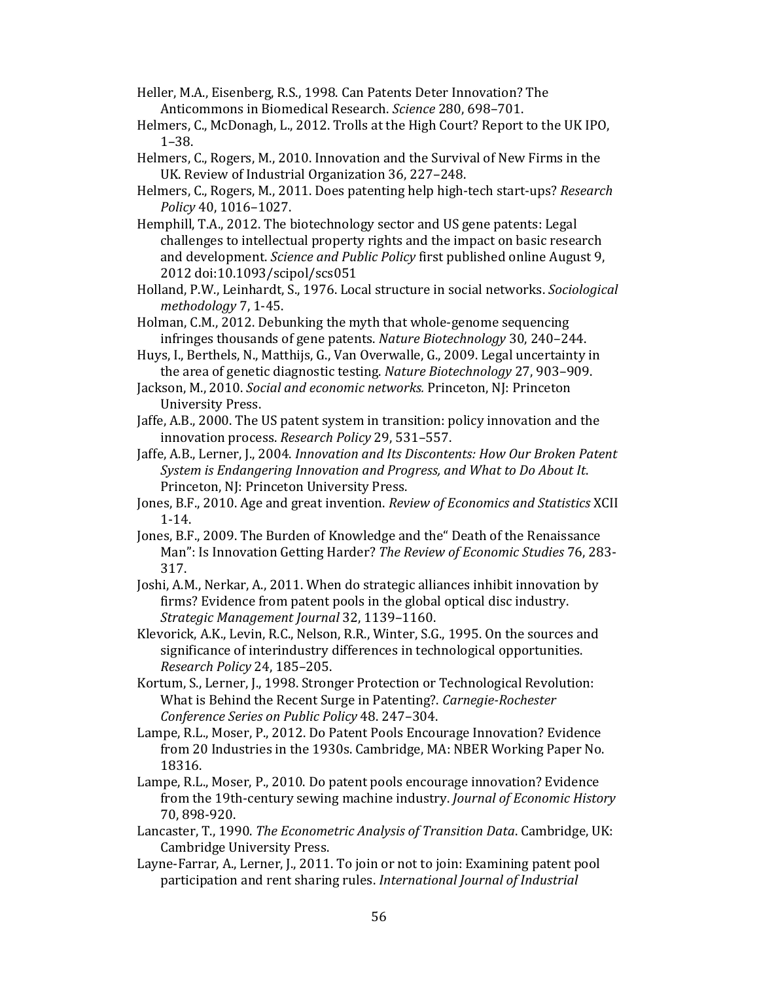- Heller, M.A., Eisenberg, R.S., 1998. Can Patents Deter Innovation? The Anticommons in Biomedical Research. *Science* 280, 698–701.
- Helmers, C., McDonagh, L., 2012. Trolls at the High Court? Report to the UK IPO, 1–38.
- Helmers, C., Rogers, M., 2010. Innovation and the Survival of New Firms in the UK. Review of Industrial Organization 36, 227–248.
- Helmers, C., Rogers, M., 2011. Does patenting help high‐tech start‐ups? *Research Policy* 40, 1016–1027.
- Hemphill, T.A., 2012. The biotechnology sector and US gene patents: Legal challenges to intellectual property rights and the impact on basic research and development. *Science and Public Policy* first published online August 9, 2012 doi:10.1093/scipol/scs051
- Holland, P.W., Leinhardt, S., 1976. Local structure in social networks. *Sociological methodology* 7, 1‐45.
- Holman, C.M., 2012. Debunking the myth that whole‐genome sequencing infringes thousands of gene patents. *Nature Biotechnology* 30, 240–244.
- Huys, I., Berthels, N., Matthijs, G., Van Overwalle, G., 2009. Legal uncertainty in the area of genetic diagnostic testing. *Nature Biotechnology* 27, 903–909.
- Jackson, M., 2010. *Social and economic networks.* Princeton, NJ: Princeton University Press.
- Jaffe, A.B., 2000. The US patent system in transition: policy innovation and the innovation process. *Research Policy* 29, 531–557.
- Jaffe, A.B., Lerner, J., 2004. *Innovation and Its Discontents: How Our Broken Patent System is Endangering Innovation and Progress, and What to Do About It*. Princeton, NJ: Princeton University Press.
- Jones, B.F., 2010. Age and great invention. *Review of Economics and Statistics* XCII 1‐14.
- Jones, B.F., 2009. The Burden of Knowledge and the" Death of the Renaissance Man": Is Innovation Getting Harder? *The Review of Economic Studies* 76, 283‐ 317.
- Joshi, A.M., Nerkar, A., 2011. When do strategic alliances inhibit innovation by firms? Evidence from patent pools in the global optical disc industry. *Strategic Management Journal* 32, 1139–1160.
- Klevorick, A.K., Levin, R.C., Nelson, R.R., Winter, S.G., 1995. On the sources and significance of interindustry differences in technological opportunities. *Research Policy* 24, 185–205.
- Kortum, S., Lerner, J., 1998. Stronger Protection or Technological Revolution: What is Behind the Recent Surge in Patenting?. *CarnegieRochester Conference Series on Public Policy* 48. 247–304.
- Lampe, R.L., Moser, P., 2012. Do Patent Pools Encourage Innovation? Evidence from 20 Industries in the 1930s. Cambridge, MA: NBER Working Paper No. 18316.
- Lampe, R.L., Moser, P., 2010. Do patent pools encourage innovation? Evidence from the 19th‐century sewing machine industry. *Journal of Economic History* 70, 898‐920.
- Lancaster, T., 1990. *The Econometric Analysis of Transition Data*. Cambridge, UK: Cambridge University Press.
- Layne‐Farrar, A., Lerner, J., 2011. To join or not to join: Examining patent pool participation and rent sharing rules. *International Journal of Industrial*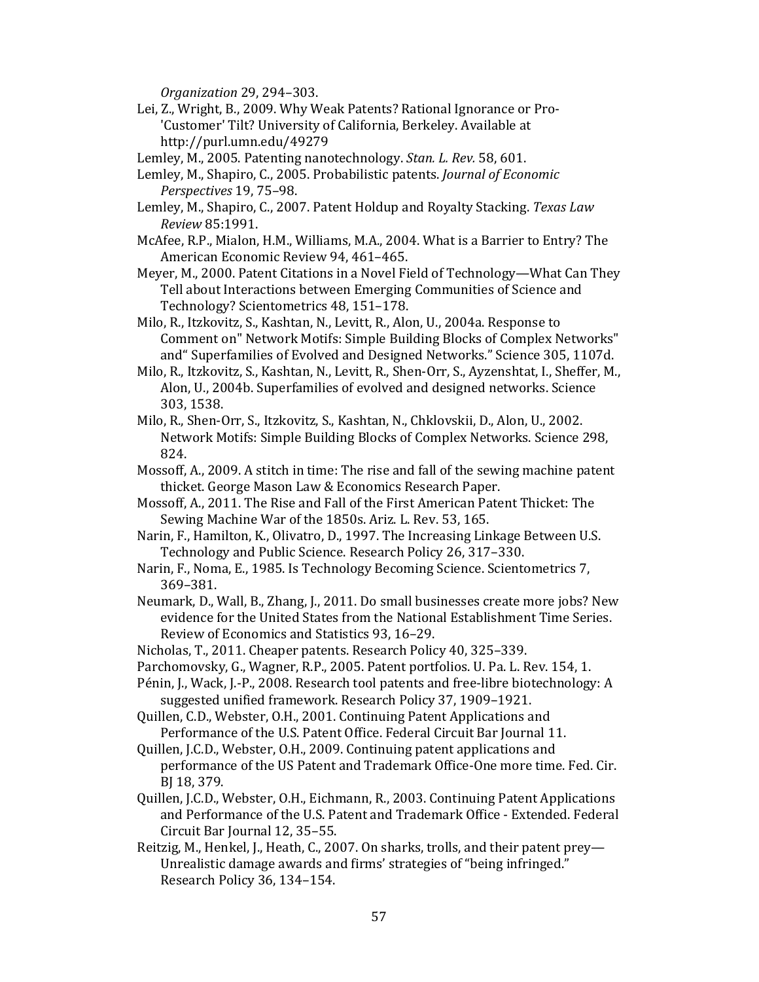*Organization* 29, 294–303.

- Lei, Z., Wright, B., 2009. Why Weak Patents? Rational Ignorance or Pro‐ 'Customer' Tilt? University of California, Berkeley. Available at http://purl.umn.edu/49279
- Lemley, M., 2005. Patenting nanotechnology. *Stan. L. Rev.* 58, 601.
- Lemley, M., Shapiro, C., 2005. Probabilistic patents. *Journal of Economic Perspectives* 19, 75–98.
- Lemley, M., Shapiro, C., 2007. Patent Holdup and Royalty Stacking. *Texas Law Review* 85:1991.
- McAfee, R.P., Mialon, H.M., Williams, M.A., 2004. What is a Barrier to Entry? The American Economic Review 94, 461–465.
- Meyer, M., 2000. Patent Citations in a Novel Field of Technology—What Can They Tell about Interactions between Emerging Communities of Science and Technology? Scientometrics 48, 151–178.
- Milo, R., Itzkovitz, S., Kashtan, N., Levitt, R., Alon, U., 2004a. Response to Comment on" Network Motifs: Simple Building Blocks of Complex Networks" and" Superfamilies of Evolved and Designed Networks." Science 305, 1107d.
- Milo, R., Itzkovitz, S., Kashtan, N., Levitt, R., Shen‐Orr, S., Ayzenshtat, I., Sheffer, M., Alon, U., 2004b. Superfamilies of evolved and designed networks. Science 303, 1538.
- Milo, R., Shen‐Orr, S., Itzkovitz, S., Kashtan, N., Chklovskii, D., Alon, U., 2002. Network Motifs: Simple Building Blocks of Complex Networks. Science 298, 824.
- Mossoff, A., 2009. A stitch in time: The rise and fall of the sewing machine patent thicket. George Mason Law & Economics Research Paper.
- Mossoff, A., 2011. The Rise and Fall of the First American Patent Thicket: The Sewing Machine War of the 1850s. Ariz. L. Rev. 53, 165.
- Narin, F., Hamilton, K., Olivatro, D., 1997. The Increasing Linkage Between U.S. Technology and Public Science. Research Policy 26, 317–330.
- Narin, F., Noma, E., 1985. Is Technology Becoming Science. Scientometrics 7, 369–381.
- Neumark, D., Wall, B., Zhang, J., 2011. Do small businesses create more jobs? New evidence for the United States from the National Establishment Time Series. Review of Economics and Statistics 93, 16–29.
- Nicholas, T., 2011. Cheaper patents. Research Policy 40, 325–339.
- Parchomovsky, G., Wagner, R.P., 2005. Patent portfolios. U. Pa. L. Rev. 154, 1.
- Pénin, J., Wack, J.‐P., 2008. Research tool patents and free‐libre biotechnology: A suggested unified framework. Research Policy 37, 1909–1921.
- Quillen, C.D., Webster, O.H., 2001. Continuing Patent Applications and Performance of the U.S. Patent Office. Federal Circuit Bar Journal 11.
- Quillen, J.C.D., Webster, O.H., 2009. Continuing patent applications and performance of the US Patent and Trademark Office‐One more time. Fed. Cir. BJ 18, 379.
- Quillen, J.C.D., Webster, O.H., Eichmann, R., 2003. Continuing Patent Applications and Performance of the U.S. Patent and Trademark Office ‐ Extended. Federal Circuit Bar Journal 12, 35–55.
- Reitzig, M., Henkel, J., Heath, C., 2007. On sharks, trolls, and their patent prey— Unrealistic damage awards and firms' strategies of "being infringed." Research Policy 36, 134–154.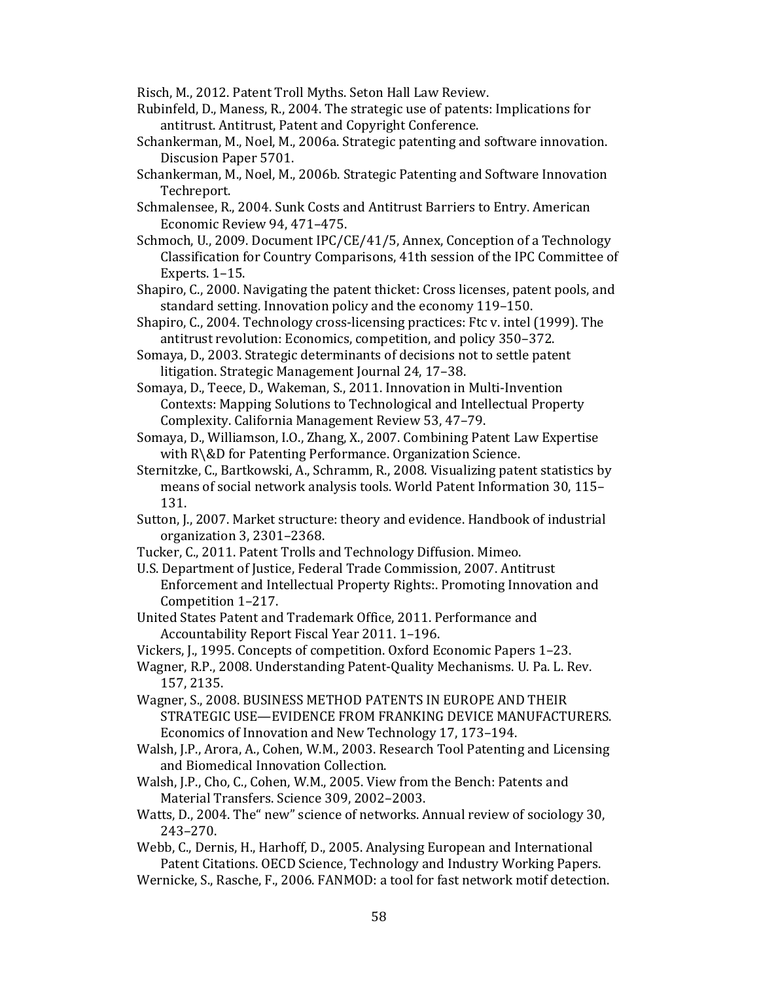Risch, M., 2012. Patent Troll Myths. Seton Hall Law Review.

- Rubinfeld, D., Maness, R., 2004. The strategic use of patents: Implications for antitrust. Antitrust, Patent and Copyright Conference.
- Schankerman, M., Noel, M., 2006a. Strategic patenting and software innovation. Discusion Paper 5701.
- Schankerman, M., Noel, M., 2006b. Strategic Patenting and Software Innovation Techreport.
- Schmalensee, R., 2004. Sunk Costs and Antitrust Barriers to Entry. American Economic Review 94, 471–475.
- Schmoch, U., 2009. Document IPC/CE/41/5, Annex, Conception of a Technology Classification for Country Comparisons, 41th session of the IPC Committee of Experts. 1–15.
- Shapiro, C., 2000. Navigating the patent thicket: Cross licenses, patent pools, and standard setting. Innovation policy and the economy 119–150.
- Shapiro, C., 2004. Technology cross‐licensing practices: Ftc v. intel (1999). The antitrust revolution: Economics, competition, and policy 350–372.
- Somaya, D., 2003. Strategic determinants of decisions not to settle patent litigation. Strategic Management Journal 24, 17–38.

Somaya, D., Teece, D., Wakeman, S., 2011. Innovation in Multi‐Invention Contexts: Mapping Solutions to Technological and Intellectual Property Complexity. California Management Review 53, 47–79.

Somaya, D., Williamson, I.O., Zhang, X., 2007. Combining Patent Law Expertise with R\&D for Patenting Performance. Organization Science.

- Sternitzke, C., Bartkowski, A., Schramm, R., 2008. Visualizing patent statistics by means of social network analysis tools. World Patent Information 30, 115– 131.
- Sutton, J., 2007. Market structure: theory and evidence. Handbook of industrial organization 3, 2301–2368.
- Tucker, C., 2011. Patent Trolls and Technology Diffusion. Mimeo.
- U.S. Department of Justice, Federal Trade Commission, 2007. Antitrust Enforcement and Intellectual Property Rights:. Promoting Innovation and Competition 1–217.
- United States Patent and Trademark Office, 2011. Performance and Accountability Report Fiscal Year 2011. 1–196.
- Vickers, J., 1995. Concepts of competition. Oxford Economic Papers 1–23.
- Wagner, R.P., 2008. Understanding Patent‐Quality Mechanisms. U. Pa. L. Rev. 157, 2135.
- Wagner, S., 2008. BUSINESS METHOD PATENTS IN EUROPE AND THEIR STRATEGIC USE—EVIDENCE FROM FRANKING DEVICE MANUFACTURERS. Economics of Innovation and New Technology 17, 173–194.
- Walsh, J.P., Arora, A., Cohen, W.M., 2003. Research Tool Patenting and Licensing and Biomedical Innovation Collection.
- Walsh, J.P., Cho, C., Cohen, W.M., 2005. View from the Bench: Patents and Material Transfers. Science 309, 2002–2003.
- Watts, D., 2004. The" new" science of networks. Annual review of sociology 30, 243–270.
- Webb, C., Dernis, H., Harhoff, D., 2005. Analysing European and International Patent Citations. OECD Science, Technology and Industry Working Papers.
- Wernicke, S., Rasche, F., 2006. FANMOD: a tool for fast network motif detection.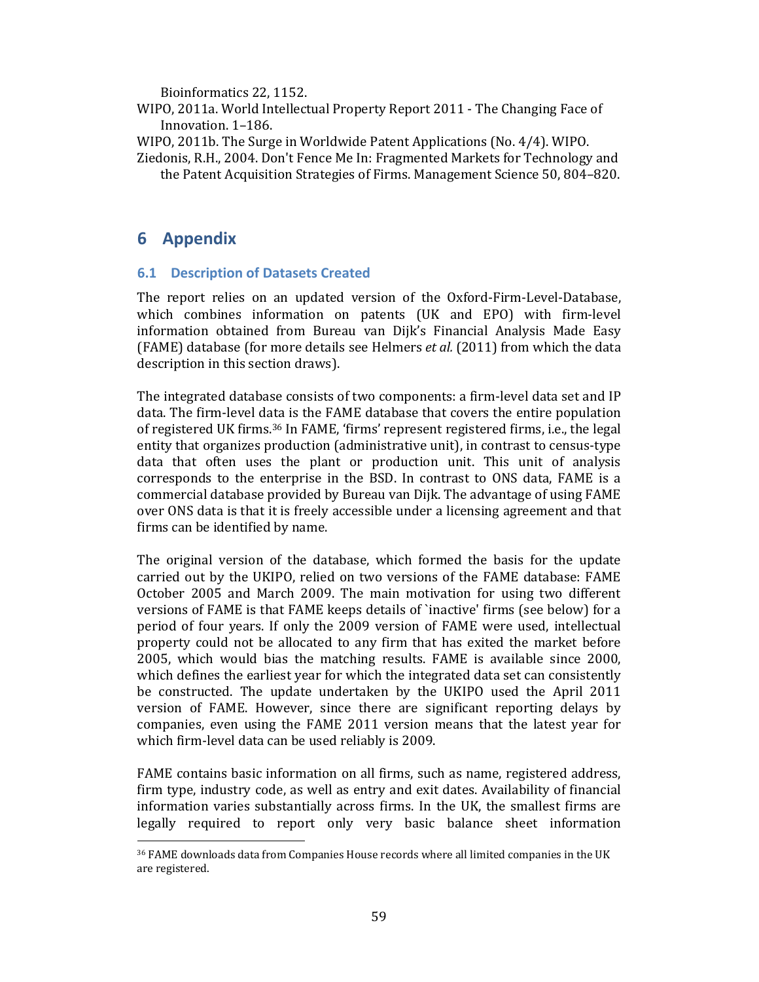Bioinformatics 22, 1152.

- WIPO, 2011a. World Intellectual Property Report 2011 ‐ The Changing Face of Innovation. 1–186.
- WIPO, 2011b. The Surge in Worldwide Patent Applications (No. 4/4). WIPO.
- Ziedonis, R.H., 2004. Don't Fence Me In: Fragmented Markets for Technology and the Patent Acquisition Strategies of Firms. Management Science 50, 804–820.

## **6 Appendix**

## **6.1 Description of Datasets Created**

The report relies on an updated version of the Oxford-Firm-Level-Database, which combines information on patents (UK and EPO) with firm-level information obtained from Bureau van Dijk's Financial Analysis Made Easy (FAME) database (for more details see Helmers *et al.* (2011) from which the data description in this section draws).

The integrated database consists of two components: a firm-level data set and IP data. The firm‐level data is the FAME database that covers the entire population of registered UK firms.36 In FAME, 'firms' represent registered firms, i.e., the legal entity that organizes production (administrative unit), in contrast to census‐type data that often uses the plant or production unit. This unit of analysis corresponds to the enterprise in the BSD. In contrast to ONS data, FAME is a commercial database provided by Bureau van Dijk. The advantage of using FAME over ONS data is that it is freely accessible under a licensing agreement and that firms can be identified by name.

The original version of the database, which formed the basis for the update carried out by the UKIPO, relied on two versions of the FAME database: FAME October 2005 and March 2009. The main motivation for using two different versions of FAME is that FAME keeps details of `inactive' firms (see below) for a period of four years. If only the 2009 version of FAME were used, intellectual property could not be allocated to any firm that has exited the market before 2005, which would bias the matching results. FAME is available since 2000, which defines the earliest year for which the integrated data set can consistently be constructed. The update undertaken by the UKIPO used the April 2011 version of FAME. However, since there are significant reporting delays by companies, even using the FAME 2011 version means that the latest year for which firm‐level data can be used reliably is 2009.

FAME contains basic information on all firms, such as name, registered address, firm type, industry code, as well as entry and exit dates. Availability of financial information varies substantially across firms. In the UK, the smallest firms are legally required to report only very basic balance sheet information

<sup>36</sup> FAME downloads data from Companies House records where all limited companies in the UK are registered.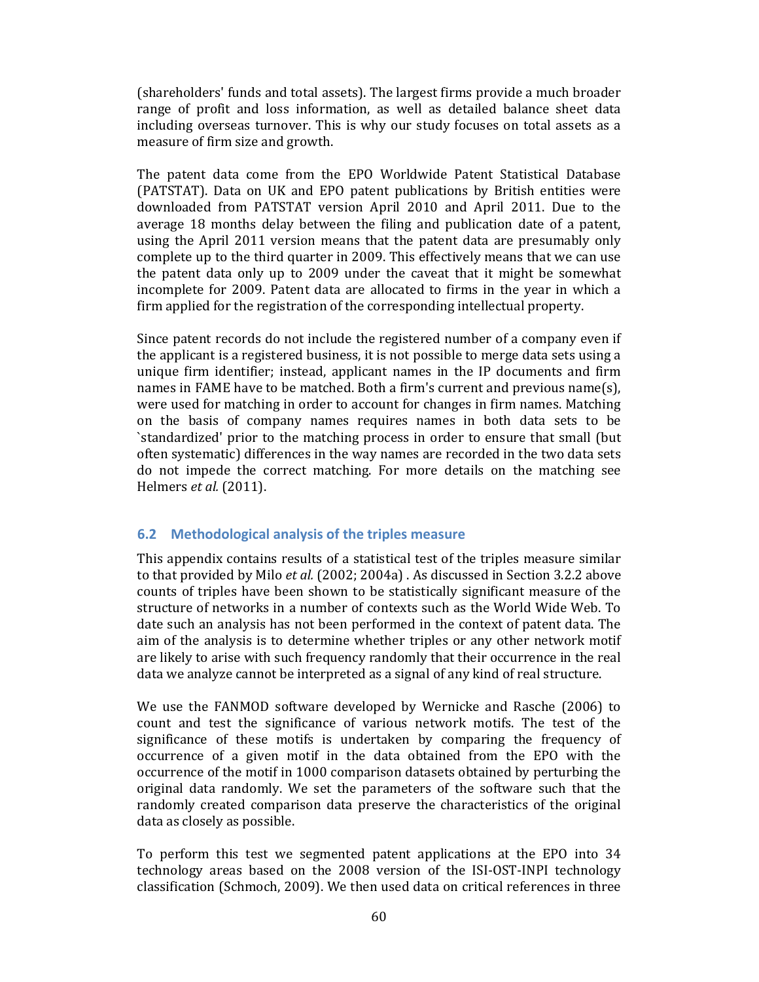(shareholders' funds and total assets). The largest firms provide a much broader range of profit and loss information, as well as detailed balance sheet data including overseas turnover. This is why our study focuses on total assets as a measure of firm size and growth.

The patent data come from the EPO Worldwide Patent Statistical Database (PATSTAT). Data on UK and EPO patent publications by British entities were downloaded from PATSTAT version April 2010 and April 2011. Due to the average 18 months delay between the filing and publication date of a patent, using the April 2011 version means that the patent data are presumably only complete up to the third quarter in 2009. This effectively means that we can use the patent data only up to 2009 under the caveat that it might be somewhat incomplete for 2009. Patent data are allocated to firms in the year in which a firm applied for the registration of the corresponding intellectual property.

Since patent records do not include the registered number of a company even if the applicant is a registered business, it is not possible to merge data sets using a unique firm identifier; instead, applicant names in the IP documents and firm names in FAME have to be matched. Both a firm's current and previous name(s), were used for matching in order to account for changes in firm names. Matching on the basis of company names requires names in both data sets to be `standardized' prior to the matching process in order to ensure that small (but often systematic) differences in the way names are recorded in the two data sets do not impede the correct matching. For more details on the matching see Helmers *et al.* (2011).

## **6.2 Methodological analysis of the triples measure**

This appendix contains results of a statistical test of the triples measure similar to that provided by Milo *et al.* (2002; 2004a) . As discussed in Section 3.2.2 above counts of triples have been shown to be statistically significant measure of the structure of networks in a number of contexts such as the World Wide Web. To date such an analysis has not been performed in the context of patent data. The aim of the analysis is to determine whether triples or any other network motif are likely to arise with such frequency randomly that their occurrence in the real data we analyze cannot be interpreted as a signal of any kind of real structure.

We use the FANMOD software developed by Wernicke and Rasche (2006) to count and test the significance of various network motifs. The test of the significance of these motifs is undertaken by comparing the frequency of occurrence of a given motif in the data obtained from the EPO with the occurrence of the motif in 1000 comparison datasets obtained by perturbing the original data randomly. We set the parameters of the software such that the randomly created comparison data preserve the characteristics of the original data as closely as possible.

To perform this test we segmented patent applications at the EPO into 34 technology areas based on the 2008 version of the ISI‐OST‐INPI technology classification (Schmoch, 2009). We then used data on critical references in three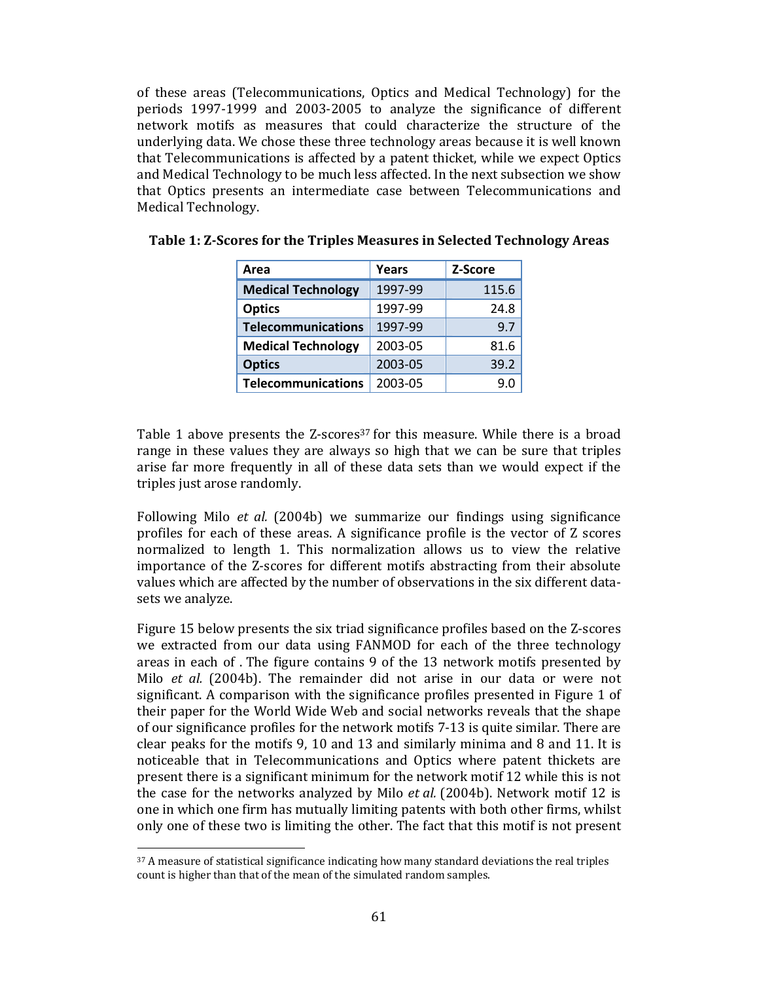of these areas (Telecommunications, Optics and Medical Technology) for the periods 1997‐1999 and 2003‐2005 to analyze the significance of different network motifs as measures that could characterize the structure of the underlying data. We chose these three technology areas because it is well known that Telecommunications is affected by a patent thicket, while we expect Optics and Medical Technology to be much less affected. In the next subsection we show that Optics presents an intermediate case between Telecommunications and Medical Technology.

| Area                      | Years   | Z-Score |
|---------------------------|---------|---------|
| <b>Medical Technology</b> | 1997-99 | 115.6   |
| <b>Optics</b>             | 1997-99 | 24.8    |
| <b>Telecommunications</b> | 1997-99 | 9.7     |
| <b>Medical Technology</b> | 2003-05 | 81.6    |
| <b>Optics</b>             | 2003-05 | 39.2    |
| <b>Telecommunications</b> | 2003-05 | 9.0     |

| Table 1: Z-Scores for the Triples Measures in Selected Technology Areas |
|-------------------------------------------------------------------------|
|-------------------------------------------------------------------------|

Table 1 above presents the Z-scores<sup>37</sup> for this measure. While there is a broad range in these values they are always so high that we can be sure that triples arise far more frequently in all of these data sets than we would expect if the triples just arose randomly.

Following Milo *et al.* (2004b) we summarize our findings using significance profiles for each of these areas. A significance profile is the vector of Z scores normalized to length 1. This normalization allows us to view the relative importance of the Z-scores for different motifs abstracting from their absolute values which are affected by the number of observations in the six different data‐ sets we analyze.

Figure 15 below presents the six triad significance profiles based on the Z‐scores we extracted from our data using FANMOD for each of the three technology areas in each of . The figure contains 9 of the 13 network motifs presented by Milo *et al.* (2004b). The remainder did not arise in our data or were not significant. A comparison with the significance profiles presented in Figure 1 of their paper for the World Wide Web and social networks reveals that the shape of our significance profiles for the network motifs 7‐13 is quite similar. There are clear peaks for the motifs 9, 10 and 13 and similarly minima and 8 and 11. It is noticeable that in Telecommunications and Optics where patent thickets are present there is a significant minimum for the network motif 12 while this is not the case for the networks analyzed by Milo *et al.* (2004b). Network motif 12 is one in which one firm has mutually limiting patents with both other firms, whilst only one of these two is limiting the other. The fact that this motif is not present

<sup>&</sup>lt;sup>37</sup> A measure of statistical significance indicating how many standard deviations the real triples count is higher than that of the mean of the simulated random samples.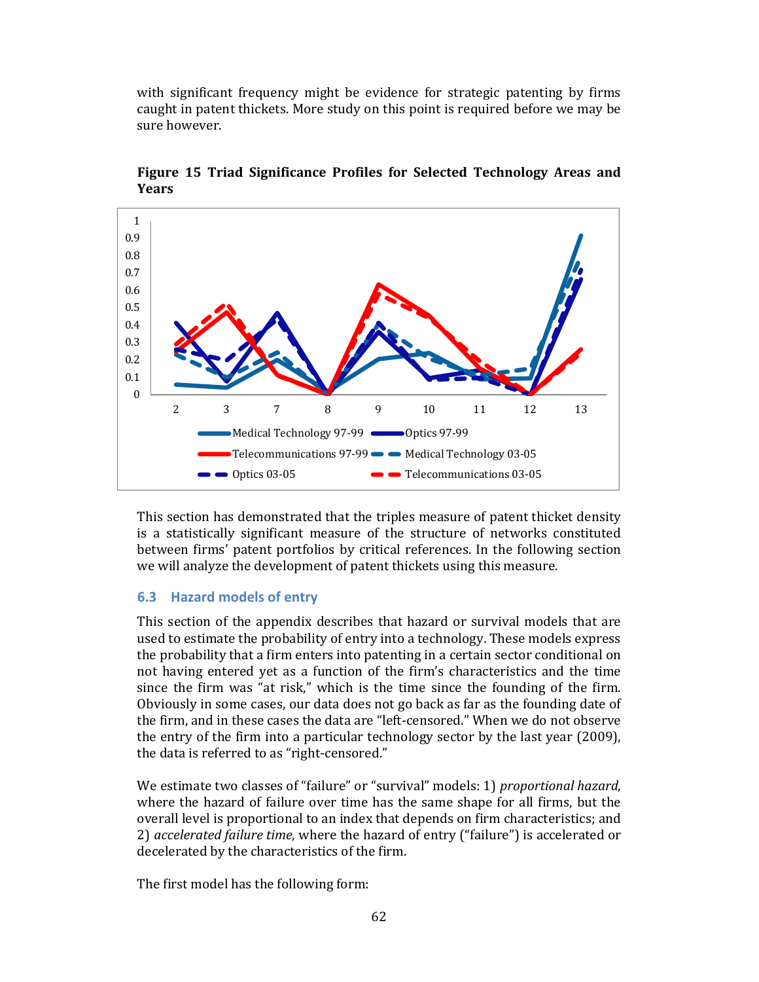with significant frequency might be evidence for strategic patenting by firms caught in patent thickets. More study on this point is required before we may be sure however.



**Figure 15 Triad Significance Profiles for Selected Technology Areas and Years** 

This section has demonstrated that the triples measure of patent thicket density is a statistically significant measure of the structure of networks constituted between firms' patent portfolios by critical references. In the following section we will analyze the development of patent thickets using this measure.

## **6.3 Hazard models of entry**

This section of the appendix describes that hazard or survival models that are used to estimate the probability of entry into a technology. These models express the probability that a firm enters into patenting in a certain sector conditional on not having entered yet as a function of the firm's characteristics and the time since the firm was "at risk," which is the time since the founding of the firm. Obviously in some cases, our data does not go back as far as the founding date of the firm, and in these cases the data are "left‐censored." When we do not observe the entry of the firm into a particular technology sector by the last year (2009), the data is referred to as "right‐censored."

We estimate two classes of "failure" or "survival" models: 1) *proportional hazard*, where the hazard of failure over time has the same shape for all firms, but the overall level is proportional to an index that depends on firm characteristics; and 2) *accelerated failure time*, where the hazard of entry ("failure") is accelerated or decelerated by the characteristics of the firm.

The first model has the following form: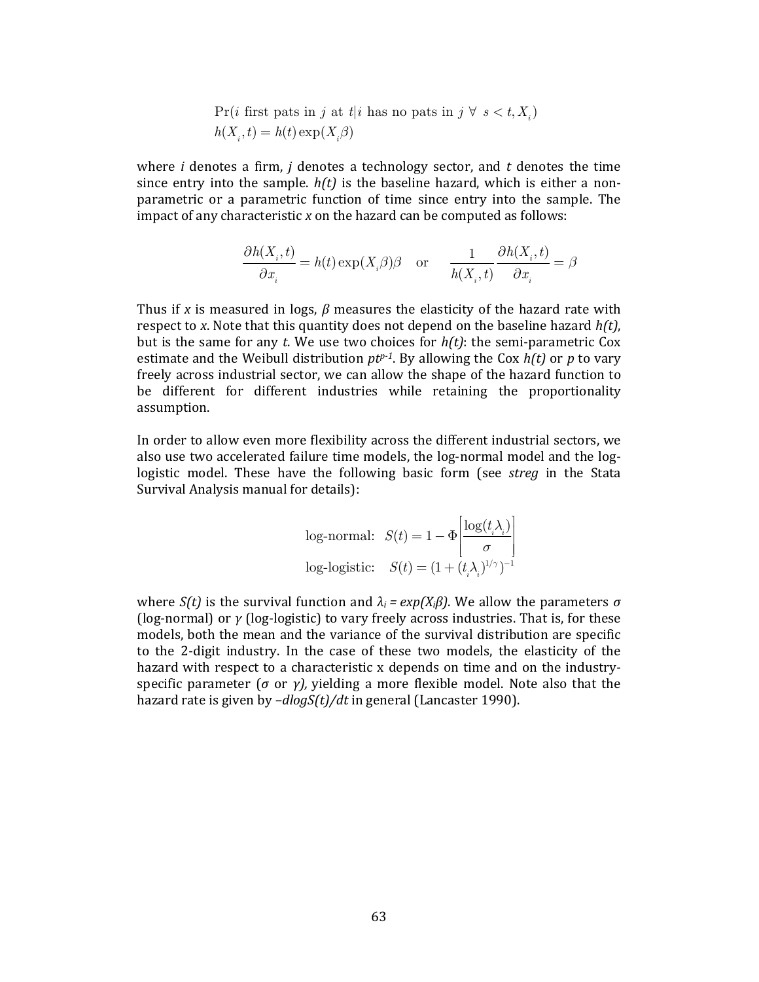$$
Pr(i \text{ first paths in } j \text{ at } t | i \text{ has no pats in } j \forall s < t, X_i)
$$

$$
h(X_i, t) = h(t) \exp(X_i, \beta)
$$

where *i* denotes a firm, *j* denotes a technology sector, and *t* denotes the time since entry into the sample.  $h(t)$  is the baseline hazard, which is either a nonparametric or a parametric function of time since entry into the sample. The impact of any characteristic *x* on the hazard can be computed as follows:

$$
\frac{\partial h(X_i,t)}{\partial x_i} = h(t)\exp(X_i\beta)\beta \quad \text{or} \quad \ \frac{1}{h(X_i,t)}\frac{\partial h(X_i,t)}{\partial x_i} = \beta
$$

Thus if *x* is measured in logs,  $\beta$  measures the elasticity of the hazard rate with respect to *x*. Note that this quantity does not depend on the baseline hazard *h(t)*, but is the same for any  $t$ . We use two choices for  $h(t)$ : the semi-parametric Cox estimate and the Weibull distribution  $pt^{p-1}$ . By allowing the Cox  $h(t)$  or p to vary freely across industrial sector, we can allow the shape of the hazard function to be different for different industries while retaining the proportionality assumption.

In order to allow even more flexibility across the different industrial sectors, we also use two accelerated failure time models, the log-normal model and the loglogistic model. These have the following basic form (see *streg* in the Stata Survival Analysis manual for details):

$$
\begin{aligned} & \text{log-normal:} \ \ S(t) = 1 - \Phi\bigg[\frac{\log(t_{\text{i}} \lambda_{\text{i}})}{\sigma} \bigg] \\ & \text{log-logistic:} \quad S(t) = (1 + (t_{\text{i}} \lambda_{\text{i}})^{1/\gamma})^{-1} \end{aligned}
$$

where *S(t)* is the survival function and  $\lambda_i = exp(X_i \beta)$ . We allow the parameters  $\sigma$ (log‐normal) or *γ* (log‐logistic) to vary freely across industries. That is, for these models, both the mean and the variance of the survival distribution are specific to the 2‐digit industry. In the case of these two models, the elasticity of the hazard with respect to a characteristic x depends on time and on the industryspecific parameter ( $\sigma$  or  $\gamma$ ), yielding a more flexible model. Note also that the hazard rate is given by *–dlogS(t)/dt* in general (Lancaster 1990).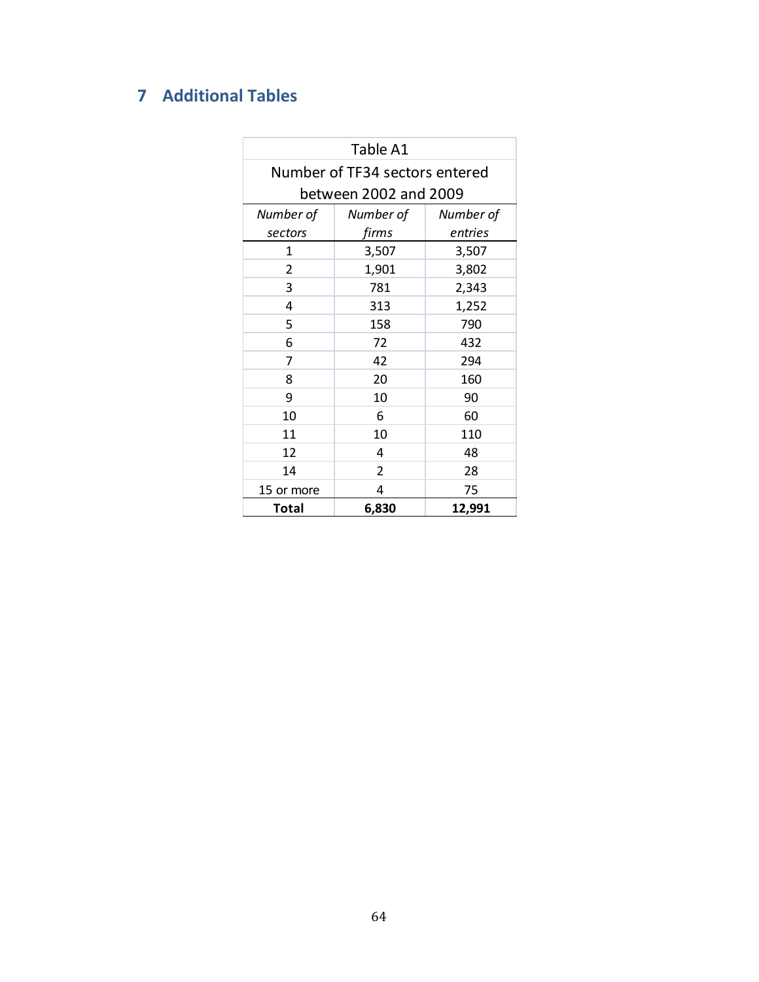## **7 Additional Tables**

| Table A1                 |                                |         |  |  |  |  |  |  |
|--------------------------|--------------------------------|---------|--|--|--|--|--|--|
|                          | Number of TF34 sectors entered |         |  |  |  |  |  |  |
| between 2002 and 2009    |                                |         |  |  |  |  |  |  |
| Number of                | Number of                      |         |  |  |  |  |  |  |
| sectors                  | firms                          | entries |  |  |  |  |  |  |
| 1                        | 3,507                          | 3,507   |  |  |  |  |  |  |
| 2                        | 1,901                          | 3,802   |  |  |  |  |  |  |
| 3                        | 781                            | 2,343   |  |  |  |  |  |  |
| 4                        | 313                            | 1,252   |  |  |  |  |  |  |
| 5                        | 158                            | 790     |  |  |  |  |  |  |
| 6                        | 72                             | 432     |  |  |  |  |  |  |
| 7                        | 42                             | 294     |  |  |  |  |  |  |
| 8                        | 20                             | 160     |  |  |  |  |  |  |
| 9                        | 10                             | 90      |  |  |  |  |  |  |
| 10                       | 6                              | 60      |  |  |  |  |  |  |
| 11                       | 10                             | 110     |  |  |  |  |  |  |
| 12                       | 4                              | 48      |  |  |  |  |  |  |
| 14                       | 2                              | 28      |  |  |  |  |  |  |
| 15 or more               | 4                              | 75      |  |  |  |  |  |  |
| 6,830<br>12,991<br>Total |                                |         |  |  |  |  |  |  |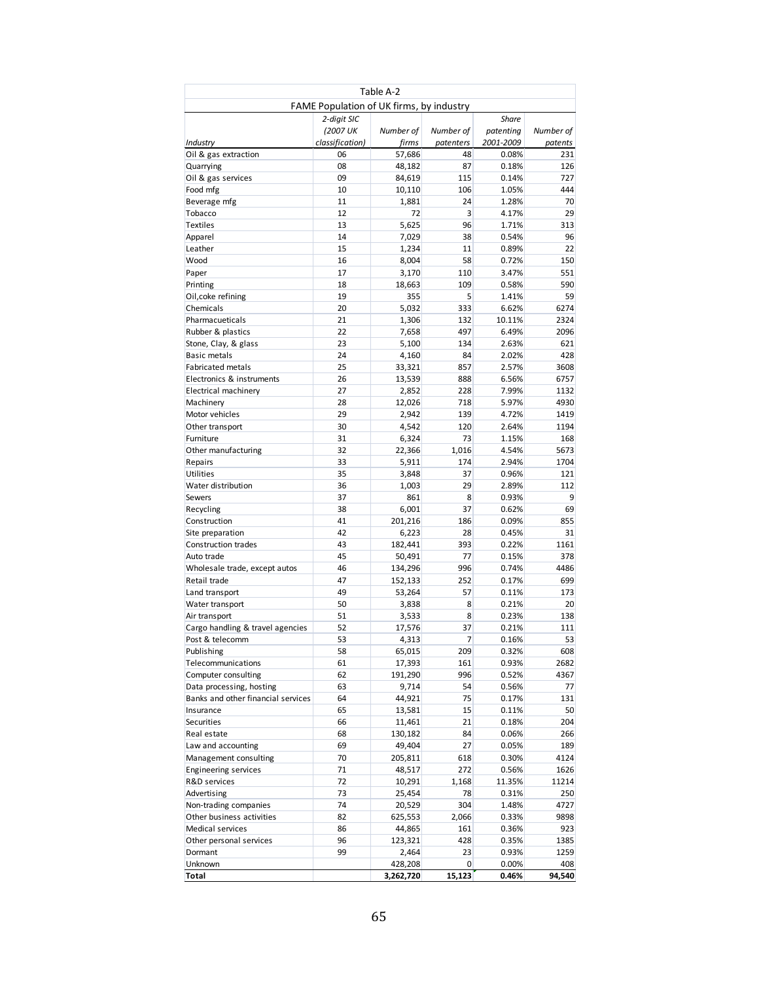|                                    |                                          | Table A-2 |                |              |           |
|------------------------------------|------------------------------------------|-----------|----------------|--------------|-----------|
|                                    | FAME Population of UK firms, by industry |           |                |              |           |
|                                    | 2-digit SIC                              |           |                | <b>Share</b> |           |
|                                    | (2007 UK                                 | Number of | Number of      | patenting    | Number of |
| Industry                           | classification)                          | firms     | patenters      | 2001-2009    | patents   |
| Oil & gas extraction               | 06                                       | 57,686    | 48             | 0.08%        | 231       |
| Quarrying                          | 08                                       | 48,182    | 87             | 0.18%        | 126       |
| Oil & gas services                 | 09                                       | 84,619    | 115            | 0.14%        | 727       |
| Food mfg                           | 10                                       | 10,110    | 106            | 1.05%        | 444       |
| Beverage mfg                       | 11                                       | 1,881     | 24             | 1.28%        | 70        |
| Tobacco                            | 12                                       | 72        | 3              | 4.17%        | 29        |
| <b>Textiles</b>                    | 13                                       | 5,625     | 96             | 1.71%        | 313       |
| Apparel                            | 14                                       | 7,029     | 38             | 0.54%        | 96        |
| Leather                            | 15                                       | 1,234     | 11             | 0.89%        | 22        |
| Wood                               | 16                                       | 8,004     | 58             | 0.72%        | 150       |
| Paper                              | 17                                       | 3,170     | 110            | 3.47%        | 551       |
| Printing                           | 18                                       | 18,663    | 109            | 0.58%        | 590       |
| Oil, coke refining                 | 19                                       | 355       | 5              | 1.41%        | 59        |
| Chemicals                          | 20                                       | 5,032     | 333            | 6.62%        | 6274      |
| Pharmacueticals                    | 21                                       | 1,306     | 132            | 10.11%       | 2324      |
| Rubber & plastics                  | 22                                       | 7,658     | 497            | 6.49%        | 2096      |
| Stone, Clay, & glass               | 23                                       | 5,100     | 134            | 2.63%        | 621       |
| <b>Basic metals</b>                | 24                                       | 4,160     | 84             | 2.02%        | 428       |
| <b>Fabricated metals</b>           | 25                                       | 33,321    | 857            | 2.57%        | 3608      |
| Electronics & instruments          | 26                                       | 13,539    | 888            | 6.56%        | 6757      |
| Electrical machinery               | 27                                       | 2,852     | 228            | 7.99%        | 1132      |
| Machinery                          | 28                                       | 12,026    | 718            | 5.97%        | 4930      |
| Motor vehicles                     | 29                                       | 2,942     | 139            | 4.72%        | 1419      |
| Other transport                    | 30                                       | 4,542     | 120            | 2.64%        | 1194      |
| Furniture                          | 31                                       | 6,324     | 73             | 1.15%        | 168       |
| Other manufacturing                | 32                                       | 22,366    | 1,016          | 4.54%        | 5673      |
| Repairs                            | 33                                       | 5,911     | 174            | 2.94%        | 1704      |
| <b>Utilities</b>                   | 35                                       | 3,848     | 37             | 0.96%        | 121       |
| Water distribution                 | 36                                       | 1,003     | 29             | 2.89%        | 112       |
| Sewers                             | 37                                       | 861       | 8              | 0.93%        | 9         |
| Recycling                          | 38                                       | 6,001     | 37             | 0.62%        | 69        |
| Construction                       | 41                                       | 201,216   | 186            | 0.09%        | 855       |
| Site preparation                   | 42                                       | 6,223     | 28             | 0.45%        | 31        |
| Construction trades                | 43                                       | 182,441   | 393            | 0.22%        | 1161      |
| Auto trade                         | 45                                       | 50,491    | 77             | 0.15%        | 378       |
| Wholesale trade, except autos      | 46                                       | 134,296   | 996            | 0.74%        | 4486      |
| Retail trade                       | 47                                       | 152,133   | 252            | 0.17%        | 699       |
| Land transport                     | 49                                       | 53,264    | 57             | 0.11%        | 173       |
| Water transport                    | 50                                       | 3,838     | 8              | 0.21%        | 20        |
| Air transport                      | 51                                       | 3,533     | 8              | 0.23%        | 138       |
| Cargo handling & travel agencies   | 52                                       | 17,576    | 37             | 0.21%        | 111       |
| Post & telecomm                    | 53                                       | 4,313     | $\overline{7}$ | 0.16%        | 53        |
| Publishing                         | 58                                       | 65,015    | 209            | 0.32%        | 608       |
| Telecommunications                 | 61                                       | 17,393    | 161            | 0.93%        | 2682      |
| Computer consulting                | 62                                       | 191,290   | 996            | 0.52%        | 4367      |
| Data processing, hosting           | 63                                       | 9,714     | 54             | 0.56%        | 77        |
| Banks and other financial services | 64                                       | 44,921    | 75             | 0.17%        | 131       |
| Insurance                          | 65                                       | 13,581    | 15             | 0.11%        | 50        |
| Securities                         | 66                                       | 11,461    | 21             | 0.18%        | 204       |
| Real estate                        | 68                                       | 130,182   | 84             | 0.06%        | 266       |
| Law and accounting                 | 69                                       | 49,404    | 27             | 0.05%        | 189       |
| Management consulting              | 70                                       | 205,811   | 618            | 0.30%        | 4124      |
| <b>Engineering services</b>        | 71                                       | 48,517    | 272            | 0.56%        | 1626      |
| R&D services                       | 72                                       | 10,291    | 1,168          | 11.35%       | 11214     |
| Advertising                        | 73                                       | 25,454    | 78             | 0.31%        | 250       |
| Non-trading companies              | 74                                       | 20,529    | 304            | 1.48%        | 4727      |
| Other business activities          | 82                                       | 625,553   | 2,066          | 0.33%        | 9898      |
| Medical services                   | 86                                       | 44,865    | 161            | 0.36%        | 923       |
| Other personal services            | 96                                       | 123,321   | 428            | 0.35%        | 1385      |
| Dormant                            | 99                                       | 2,464     | 23             | 0.93%        | 1259      |
| Unknown                            |                                          | 428,208   | 0              | 0.00%        | 408       |
| Total                              |                                          | 3,262,720 | 15,123         | 0.46%        | 94,540    |